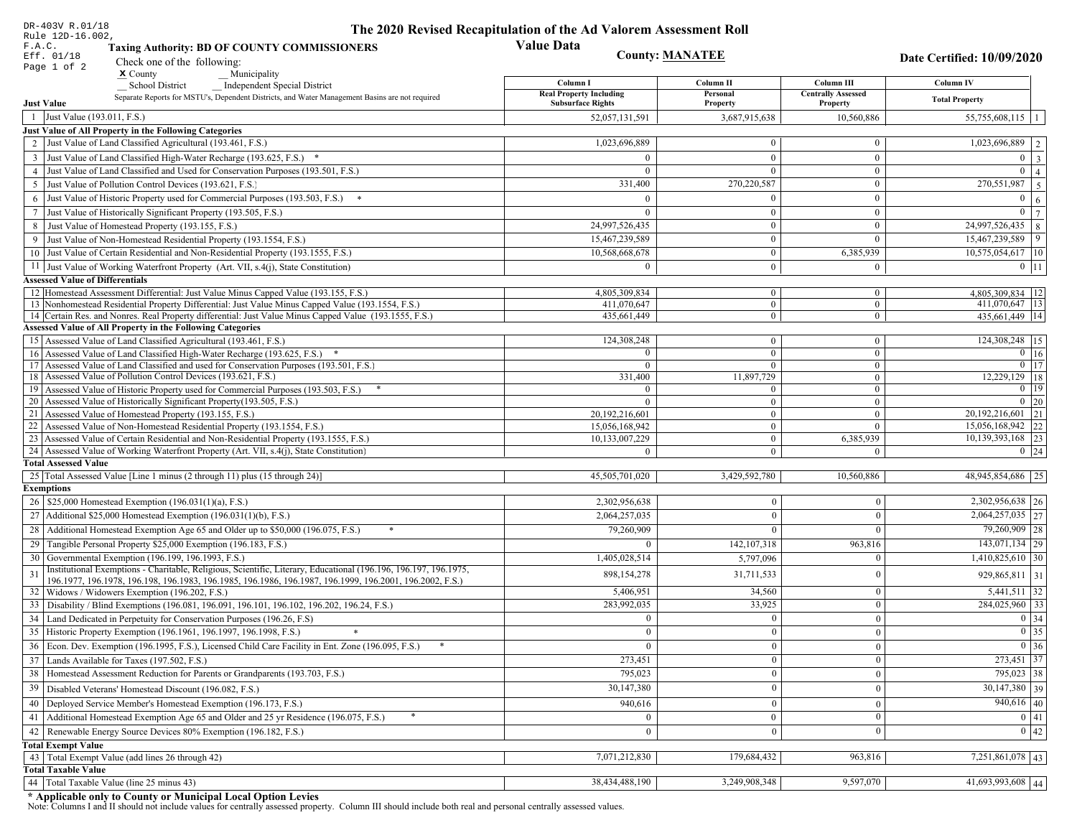| DR-403V R.01/18                                                                                                                                                                  | The 2020 Revised Recapitulation of the Ad Valorem Assessment Roll |                                |                                       |                                               |
|----------------------------------------------------------------------------------------------------------------------------------------------------------------------------------|-------------------------------------------------------------------|--------------------------------|---------------------------------------|-----------------------------------------------|
| Rule 12D-16.002,<br>F.A.C.<br><b>Taxing Authority: BD OF COUNTY COMMISSIONERS</b>                                                                                                | <b>Value Data</b>                                                 |                                |                                       |                                               |
| Eff. 01/18<br>Check one of the following:                                                                                                                                        |                                                                   | <b>County: MANATEE</b>         |                                       | Date Certified: 10/09/2020                    |
| Page 1 of 2<br>$\boldsymbol{\mathsf{x}}$ County<br>Municipality                                                                                                                  |                                                                   |                                |                                       |                                               |
| School District<br><b>Independent Special District</b>                                                                                                                           | Column I                                                          | Column II                      | Column III                            | Column IV                                     |
| Separate Reports for MSTU's, Dependent Districts, and Water Management Basins are not required<br><b>Just Value</b>                                                              | <b>Real Property Including</b><br><b>Subsurface Rights</b>        | Personal<br>Property           | <b>Centrally Assessed</b><br>Property | <b>Total Property</b>                         |
| 1 Just Value (193.011, F.S.)                                                                                                                                                     | 52,057,131,591                                                    | 3,687,915,638                  | 10,560,886                            | $55,755,608,115$   1                          |
| Just Value of All Property in the Following Categories                                                                                                                           |                                                                   |                                |                                       |                                               |
| 2 Just Value of Land Classified Agricultural (193.461, F.S.)                                                                                                                     | 1,023,696,889                                                     | $\bf{0}$                       | $\boldsymbol{0}$                      | $\overline{1,023,696,889}$   2                |
| 3 Just Value of Land Classified High-Water Recharge (193.625, F.S.) *                                                                                                            | $\Omega$                                                          | $\theta$                       | $\mathbf{0}$                          | $0 \mid 3$                                    |
| 4 Just Value of Land Classified and Used for Conservation Purposes (193.501, F.S.)                                                                                               | $\Omega$                                                          | $\theta$                       | $\boldsymbol{0}$                      | $\overline{0}$   4                            |
| 5 Just Value of Pollution Control Devices (193.621, F.S.)                                                                                                                        | 331,400                                                           | 270,220,587                    | $\boldsymbol{0}$                      | $\boxed{270,551,987}$ 5                       |
| 6 Just Value of Historic Property used for Commercial Purposes (193.503, F.S.) *                                                                                                 | $\Omega$                                                          |                                | $\mathbf{0}$                          | $\overline{0}$<br>  6                         |
| 7 Just Value of Historically Significant Property (193.505, F.S.)                                                                                                                | $\mathbf{0}$                                                      | $\overline{0}$                 | $\overline{0}$                        | $0 \mid 7$                                    |
| 8 Just Value of Homestead Property (193.155, F.S.)                                                                                                                               | 24,997,526,435                                                    | $\bf{0}$                       | $\bf{0}$                              | 24,997,526,435   8                            |
| 9 Just Value of Non-Homestead Residential Property (193.1554, F.S.)                                                                                                              | 15,467,239,589                                                    | $\boldsymbol{0}$               | $\mathbf{0}$                          | 15,467,239,589<br>$ 9\rangle$                 |
| 10 Just Value of Certain Residential and Non-Residential Property (193.1555, F.S.)                                                                                               | 10,568,668,678                                                    | $\mathbf{0}$                   | 6,385,939                             | 10,575,054,617 10                             |
| 11 Just Value of Working Waterfront Property (Art. VII, s.4(j), State Constitution)                                                                                              | $\Omega$                                                          | $\bf{0}$                       | $\boldsymbol{0}$                      | $0$   11                                      |
| <b>Assessed Value of Differentials</b>                                                                                                                                           |                                                                   |                                |                                       |                                               |
| 12 Homestead Assessment Differential: Just Value Minus Capped Value (193.155, F.S.)                                                                                              | 4,805,309,834                                                     | $\mathbf{0}$                   | $\bf{0}$                              | 4,805,309,834   12                            |
| 13 Nonhomestead Residential Property Differential: Just Value Minus Capped Value (193.1554, F.S.)                                                                                | 411,070,647                                                       | $\mathbf{0}$                   | $\mathbf{0}$                          | 411,070,647   13                              |
| 14 Certain Res. and Nonres. Real Property differential: Just Value Minus Capped Value (193.1555, F.S.)<br><b>Assessed Value of All Property in the Following Categories</b>      | 435,661,449                                                       | $\mathbf{0}$                   | $\mathbf{0}$                          | 435,661,449   14                              |
| 15 Assessed Value of Land Classified Agricultural (193.461, F.S.)                                                                                                                | 124,308,248                                                       | $\mathbf{0}$                   | $\mathbf{0}$                          | 124,308,248 15                                |
| 16 Assessed Value of Land Classified High-Water Recharge (193.625, F.S.) *                                                                                                       |                                                                   | $\mathbf{0}$                   | $\mathbf{0}$                          | $\overline{0}$ 16                             |
| 17 Assessed Value of Land Classified and used for Conservation Purposes (193.501, F.S.)                                                                                          | $\mathbf{0}$                                                      | $\overline{0}$                 | $\mathbf{0}$                          | $0$   17                                      |
| 18 Assessed Value of Pollution Control Devices (193.621, F.S.)                                                                                                                   | 331,400                                                           | 11,897,729                     | $\overline{0}$                        | 12,229,129 18                                 |
| 19 Assessed Value of Historic Property used for Commercial Purposes (193.503, F.S.)                                                                                              | $\Omega$                                                          | $\mathbf{0}$                   | $\mathbf{0}$                          | $0$ 19                                        |
| 20 Assessed Value of Historically Significant Property (193.505, F.S.)                                                                                                           | $\Omega$                                                          | $\overline{0}$                 | $\mathbf{0}$                          | $0 \mid 20$                                   |
| 21 Assessed Value of Homestead Property (193.155, F.S.)                                                                                                                          | 20,192,216,601                                                    | $\overline{0}$                 | $\boldsymbol{0}$                      | $\overline{20,192,216,601}$ 21                |
| 22 Assessed Value of Non-Homestead Residential Property (193.1554, F.S.)                                                                                                         | 15,056,168,942                                                    | $\overline{0}$                 | $\Omega$                              | 15,056,168,942 22                             |
| 23 Assessed Value of Certain Residential and Non-Residential Property (193.1555, F.S.)<br>24 Assessed Value of Working Waterfront Property (Art. VII, s.4(j), State Constitution | 10,133,007,229                                                    | $\mathbf{0}$<br>$\overline{0}$ | 6,385,939<br>$\Omega$                 | $\overline{10,139,393,168}$ 23<br>$0 \mid 24$ |
| <b>Total Assessed Value</b>                                                                                                                                                      |                                                                   |                                |                                       |                                               |
| 25 Total Assessed Value [Line 1 minus (2 through 11) plus (15 through 24)]                                                                                                       | 45,505,701,020                                                    | 3,429,592,780                  | 10,560,886                            | 48,945,854,686 25                             |
| <b>Exemptions</b>                                                                                                                                                                |                                                                   |                                |                                       |                                               |
| 26   \$25,000 Homestead Exemption (196.031(1)(a), F.S.)                                                                                                                          | 2,302,956,638                                                     | $\mathbf{0}$                   | $\mathbf{0}$                          | 2,302,956,638 26                              |
| 27   Additional \$25,000 Homestead Exemption (196.031(1)(b), F.S.)                                                                                                               | 2,064,257,035                                                     | $\theta$                       | $\Omega$                              | $\overline{2,064,257,035}$ 27                 |
| 28 Additional Homestead Exemption Age 65 and Older up to \$50,000 (196.075, F.S.)                                                                                                | 79,260,909                                                        | $\Omega$                       | $\Omega$                              | 79,260,909 28                                 |
| 29 Tangible Personal Property \$25,000 Exemption (196.183, F.S.)                                                                                                                 |                                                                   | 142, 107, 318                  | 963,816                               | 143,071,134 29                                |
| 30 Governmental Exemption (196.199, 196.1993, F.S.)                                                                                                                              | 1,405,028,514                                                     | 5,797,096                      |                                       | $1,410,825,610$ 30                            |
| Institutional Exemptions - Charitable, Religious, Scientific, Literary, Educational (196.196, 196.197, 196.1975,<br>31                                                           | 898, 154, 278                                                     | 31,711,533                     | $\Omega$                              | 929,865,811 31                                |
| 196.1977, 196.1978, 196.198, 196.1983, 196.1985, 196.1986, 196.1987, 196.1999, 196.2001, 196.2002, F.S.)                                                                         |                                                                   |                                |                                       |                                               |
| 32   Widows / Widowers Exemption (196.202, F.S.)<br>33 Disability / Blind Exemptions (196.081, 196.091, 196.101, 196.102, 196.202, 196.24, F.S.)                                 | 5,406,951<br>283,992,035                                          | 34,560<br>33,925               | $\mathbf{0}$<br>$\Omega$              | $5,441,511$ 32<br>284,025,960 33              |
|                                                                                                                                                                                  | $\Omega$                                                          | $\Omega$                       | $\Omega$                              |                                               |
| 34 Land Dedicated in Perpetuity for Conservation Purposes (196.26, F.S)<br>35 Historic Property Exemption (196.1961, 196.1997, 196.1998, F.S.)                                   |                                                                   |                                |                                       | 0 34<br>$\boxed{0}$ 35                        |
| 36 Econ. Dev. Exemption (196.1995, F.S.), Licensed Child Care Facility in Ent. Zone (196.095, F.S.)                                                                              | 0<br>$\theta$                                                     | $\mathbf{0}$<br>$\mathbf{0}$   | $\mathbf{0}$                          | $0 \mid 36$                                   |
| 37 Lands Available for Taxes (197.502, F.S.)                                                                                                                                     | 273,451                                                           | $\Omega$                       | $\Omega$<br>$\Omega$                  | 273,451 37                                    |
|                                                                                                                                                                                  |                                                                   |                                |                                       |                                               |
| 38   Homestead Assessment Reduction for Parents or Grandparents (193.703, F.S.)                                                                                                  | 795,023                                                           | $\mathbf{0}$<br>$\theta$       | $\overline{0}$                        | $795,023$ 38<br>$\overline{30,147,380}$ 39    |
| 39   Disabled Veterans' Homestead Discount (196.082, F.S.)                                                                                                                       | 30,147,380                                                        |                                | $\theta$                              |                                               |
| 40   Deployed Service Member's Homestead Exemption (196.173, F.S.)                                                                                                               | 940,616                                                           | $\Omega$                       | $\Omega$                              | $940,616$ 40                                  |
| 41 Additional Homestead Exemption Age 65 and Older and 25 yr Residence (196.075, F.S.)                                                                                           | $\mathbf{0}$                                                      | $\Omega$                       | $\Omega$                              | 0 41                                          |
| 42   Renewable Energy Source Devices 80% Exemption (196.182, F.S.)                                                                                                               | $\mathbf{0}$                                                      | $\mathbf{0}$                   | $\Omega$                              | 0 42                                          |
| <b>Total Exempt Value</b>                                                                                                                                                        |                                                                   |                                |                                       |                                               |
| 43 Total Exempt Value (add lines 26 through 42)<br><b>Total Taxable Value</b>                                                                                                    | 7,071,212,830                                                     | 179,684,432                    | 963,816                               | 7,251,861,078 43                              |
| 44   Total Taxable Value (line 25 minus 43)                                                                                                                                      | 38,434,488,190                                                    | 3,249,908,348                  | 9,597,070                             | 41,693,993,608 44                             |
|                                                                                                                                                                                  |                                                                   |                                |                                       |                                               |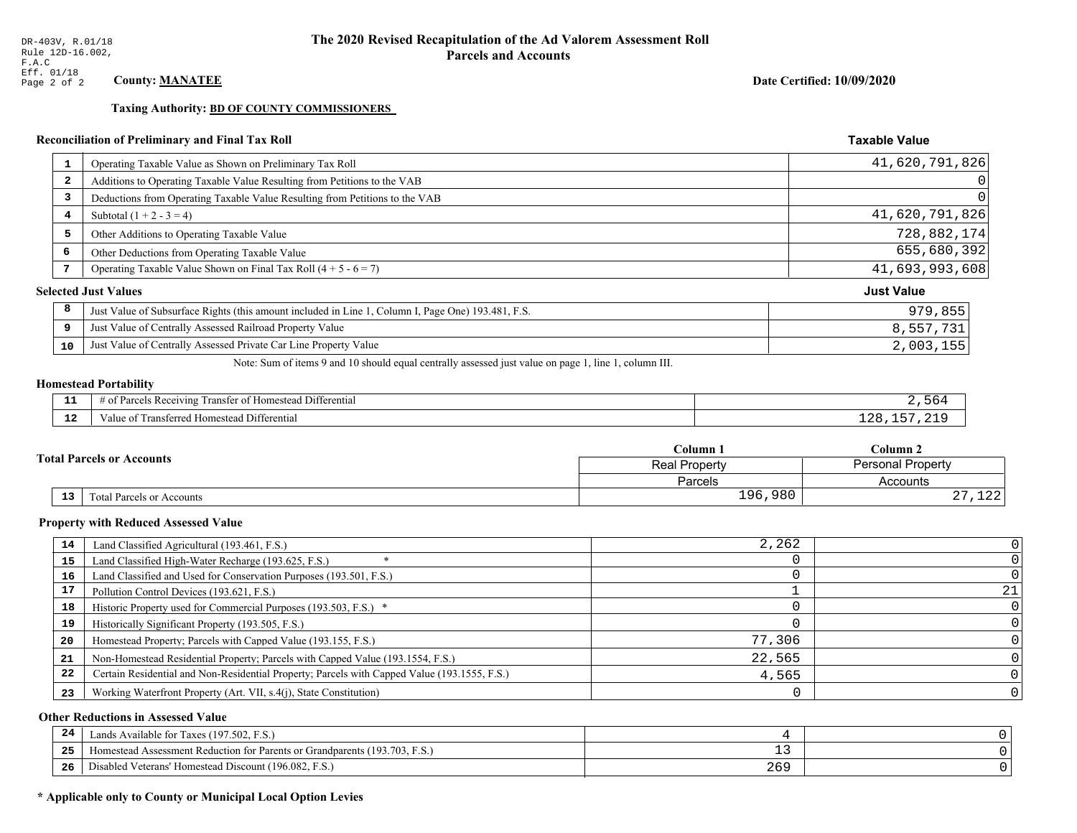**Taxing Authority: BD OF COUNTY COMMISSIONERS** 

# Reconciliation of Preliminary and Final Tax Roll

| $\mathbf{1}$            | Operating Taxable Value as Shown on Preliminary Tax Roll                                           | 41,620,791,826    |
|-------------------------|----------------------------------------------------------------------------------------------------|-------------------|
| $\overline{\mathbf{2}}$ | Additions to Operating Taxable Value Resulting from Petitions to the VAB                           | 0                 |
| 3                       | Deductions from Operating Taxable Value Resulting from Petitions to the VAB                        | 0                 |
| 4                       | Subtotal $(1 + 2 - 3 = 4)$                                                                         | 41,620,791,826    |
| 5                       | Other Additions to Operating Taxable Value                                                         | 728,882,174       |
| 6                       | Other Deductions from Operating Taxable Value                                                      | 655,680,392       |
| 7                       | Operating Taxable Value Shown on Final Tax Roll $(4 + 5 - 6 = 7)$                                  | 41,693,993,608    |
|                         | <b>Selected Just Values</b>                                                                        | <b>Just Value</b> |
| 8                       | Just Value of Subsurface Rights (this amount included in Line 1, Column I, Page One) 193.481, F.S. | 979,855           |
| 9                       | Just Value of Centrally Assessed Railroad Property Value                                           | 8,557,731         |
| 10                      | Just Value of Centrally Assessed Private Car Line Property Value                                   | 2,003,155         |

Note: Sum of items 9 and 10 should equal centrally assessed just value on page 1, line 1, column III.

# **Homestead Portability**

ł,

| - -<br>.     | Differential<br>: Receivin<br>ranstei<br>'oroo<br>∴omestea∩<br>н.<br>. . |  |
|--------------|--------------------------------------------------------------------------|--|
| $\sim$<br>-- | <b>Differential</b><br>Transferreo<br><b>Homestea</b><br>anie            |  |

|    |                                  | Column 1                                  | Column <sub>2</sub>  |  |
|----|----------------------------------|-------------------------------------------|----------------------|--|
|    | <b>Fotal Parcels or Accounts</b> | <b>Personal Property</b><br>Real Property |                      |  |
|    |                                  | Parcels                                   | Accounts             |  |
| 13 | Total Parcels or Accounts        | 196,980                                   | $\sim$ $\sim$<br>ᆂᅀᄼ |  |

### **Property with Reduced Assessed Value**

| 14 | Land Classified Agricultural (193.461, F.S.)                                                 | 2,262  |    |
|----|----------------------------------------------------------------------------------------------|--------|----|
| 15 | Land Classified High-Water Recharge (193.625, F.S.)                                          |        |    |
| 16 | Land Classified and Used for Conservation Purposes (193.501, F.S.)                           |        |    |
| 17 | Pollution Control Devices (193.621, F.S.)                                                    |        | 21 |
| 18 | Historic Property used for Commercial Purposes (193.503, F.S.) *                             |        |    |
| 19 | Historically Significant Property (193.505, F.S.)                                            |        |    |
| 20 | Homestead Property; Parcels with Capped Value (193.155, F.S.)                                | 77,306 |    |
| 21 | Non-Homestead Residential Property; Parcels with Capped Value (193.1554, F.S.)               | 22,565 |    |
| 22 | Certain Residential and Non-Residential Property; Parcels with Capped Value (193.1555, F.S.) | 4,565  |    |
| 23 | Working Waterfront Property (Art. VII, s.4(j), State Constitution)                           |        |    |

### **Other Reductions in Assessed Value**

| 24    | Lands Available for Taxes (197.502, F.S.)                                  |       |  |
|-------|----------------------------------------------------------------------------|-------|--|
| - - - | Homestead Assessment Reduction for Parents or Grandparents (193.703, F.S.) | - -   |  |
| -26   | Disabled Veterans' Homestead Discount (196.082, F.<br>F.S.                 | 2 U J |  |

# \* Applicable only to County or Municipal Local Option Levies

Date Certified: 10/09/2020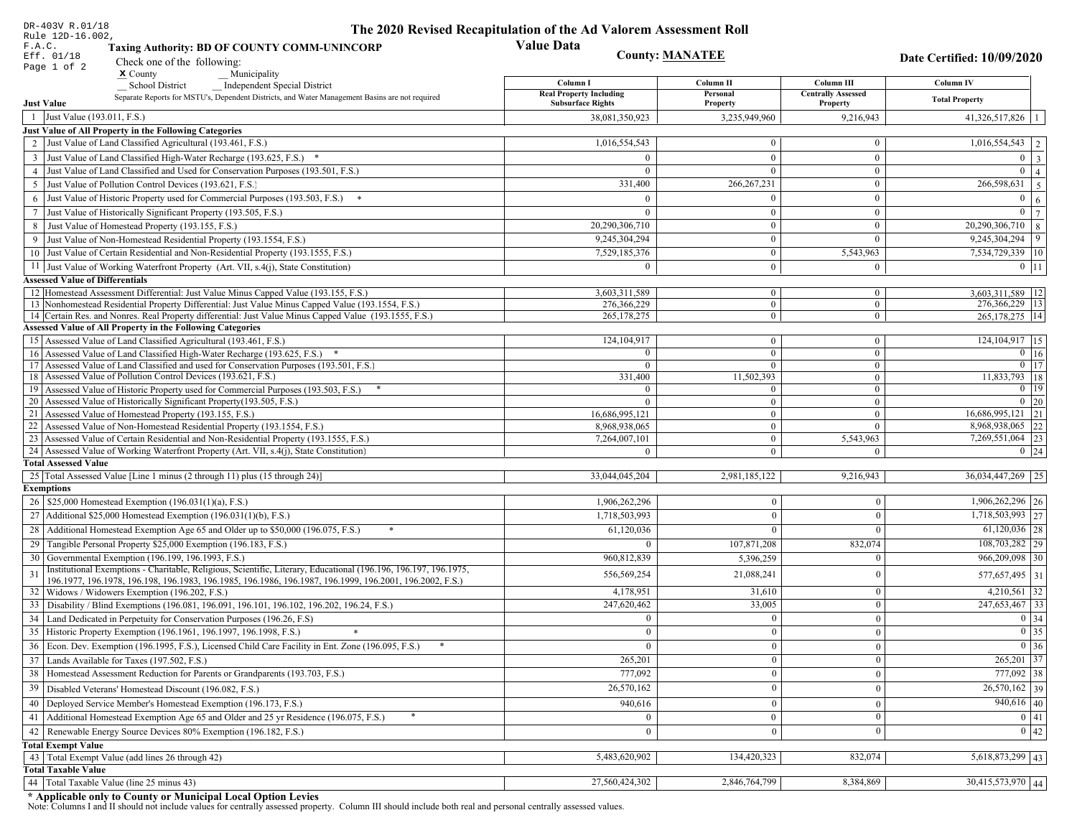| DR-403V R.01/18                                                                                                                                                                            | The 2020 Revised Recapitulation of the Ad Valorem Assessment Roll |                                  |                                    |                                        |
|--------------------------------------------------------------------------------------------------------------------------------------------------------------------------------------------|-------------------------------------------------------------------|----------------------------------|------------------------------------|----------------------------------------|
| Rule 12D-16.002,<br>F.A.C.<br><b>Taxing Authority: BD OF COUNTY COMM-UNINCORP</b>                                                                                                          | <b>Value Data</b>                                                 |                                  |                                    |                                        |
| Eff. 01/18<br>Check one of the following:<br>Page 1 of 2                                                                                                                                   | <b>County: MANATEE</b>                                            |                                  |                                    | Date Certified: 10/09/2020             |
| $x$ County<br>Municipality                                                                                                                                                                 | Column I                                                          | Column II                        | Column III                         | Column IV                              |
| <b>School District</b><br><b>Independent Special District</b><br>Separate Reports for MSTU's, Dependent Districts, and Water Management Basins are not required                            | <b>Real Property Including</b>                                    | Personal                         | <b>Centrally Assessed</b>          |                                        |
| <b>Just Value</b>                                                                                                                                                                          | <b>Subsurface Rights</b>                                          | Property                         | Property                           | <b>Total Property</b>                  |
| 1 Just Value (193.011, F.S.)                                                                                                                                                               | 38,081,350,923                                                    | 3,235,949,960                    | 9,216,943                          | $41,326,517,826$   1                   |
| Just Value of All Property in the Following Categories                                                                                                                                     |                                                                   |                                  |                                    |                                        |
| 2 Just Value of Land Classified Agricultural (193.461, F.S.)                                                                                                                               | 1,016,554,543                                                     | $\bf{0}$                         | $\mathbf{0}$                       | $1,016,554,543$   2                    |
| 3 Just Value of Land Classified High-Water Recharge (193.625, F.S.) *                                                                                                                      | $\Omega$                                                          | $\mathbf{0}$                     | $\mathbf{0}$                       | $0 \quad 3$                            |
| 4 Just Value of Land Classified and Used for Conservation Purposes (193.501, F.S.)                                                                                                         | $\Omega$                                                          | $\Omega$                         | $\boldsymbol{0}$                   | $\overline{0}$   4                     |
| 5 Just Value of Pollution Control Devices (193.621, F.S.)                                                                                                                                  | 331,400                                                           | 266, 267, 231                    | $\mathbf{0}$                       | $\boxed{266,598,631}$ 5                |
| 6 Just Value of Historic Property used for Commercial Purposes (193.503, F.S.) *                                                                                                           | $\Omega$                                                          | $\theta$                         | $\boldsymbol{0}$                   | $\overline{0}$<br>6                    |
| 7 Just Value of Historically Significant Property (193.505, F.S.)                                                                                                                          | $\Omega$                                                          | $\bf{0}$                         | $\bf{0}$                           | $0 \overline{7}$                       |
| 8 Just Value of Homestead Property (193.155, F.S.)                                                                                                                                         | 20,290,306,710                                                    | $\bf{0}$                         | $\boldsymbol{0}$                   | $20,290,306,710$ 8                     |
| 9 Just Value of Non-Homestead Residential Property (193.1554, F.S.)                                                                                                                        | 9,245,304,294                                                     | $\bf{0}$                         | $\theta$                           | $9,245,304,294$   9                    |
| 10 Just Value of Certain Residential and Non-Residential Property (193.1555, F.S.)                                                                                                         | 7,529,185,376                                                     | $\mathbf{0}$                     | 5,543,963                          | 7,534,729,339 10                       |
| 11 Just Value of Working Waterfront Property (Art. VII, s.4(j), State Constitution)                                                                                                        | $\Omega$                                                          | $\bf{0}$                         | $\bf{0}$                           | $0$   11                               |
| <b>Assessed Value of Differentials</b>                                                                                                                                                     |                                                                   |                                  |                                    |                                        |
| 12   Homestead Assessment Differential: Just Value Minus Capped Value (193.155, F.S.)<br>13 Nonhomestead Residential Property Differential: Just Value Minus Capped Value (193.1554, F.S.) | 3,603,311,589<br>276,366,229                                      | $\bf{0}$<br>$\overline{0}$       | $\bf{0}$<br>$\mathbf{0}$           | 3,603,311,589   12<br>276,366,229   13 |
| 14 Certain Res. and Nonres. Real Property differential: Just Value Minus Capped Value (193.1555, F.S.)                                                                                     | 265, 178, 275                                                     | $\overline{0}$                   | $\overline{0}$                     | 265, 178, 275   14                     |
| <b>Assessed Value of All Property in the Following Categories</b>                                                                                                                          |                                                                   |                                  |                                    |                                        |
| 15 Assessed Value of Land Classified Agricultural (193.461, F.S.)                                                                                                                          | 124, 104, 917                                                     | $\mathbf{0}$                     | $\mathbf{0}$                       | 124, 104, 917 15                       |
| Assessed Value of Land Classified High-Water Recharge (193.625, F.S.) *                                                                                                                    | $\Omega$                                                          | $\overline{0}$                   | $\mathbf{0}$                       | $\overline{0}$ 16                      |
| Assessed Value of Land Classified and used for Conservation Purposes (193.501, F.S.)<br>17                                                                                                 | $\Omega$                                                          | $\overline{0}$                   | $\boldsymbol{0}$                   | $0$   17                               |
| Assessed Value of Pollution Control Devices (193.621, F.S.)<br>18                                                                                                                          | 331,400                                                           | 11,502,393                       | $\mathbf{0}$                       | 11,833,793 18                          |
| 19 Assessed Value of Historic Property used for Commercial Purposes (193.503, F.S.)                                                                                                        | $\overline{0}$                                                    | $\overline{0}$                   | $\overline{0}$                     | $0 \mid 19$                            |
| 20 Assessed Value of Historically Significant Property (193.505, F.S.)<br>21 Assessed Value of Homestead Property (193.155, F.S.)                                                          | $\Omega$<br>16,686,995,121                                        | $\overline{0}$<br>$\overline{0}$ | $\overline{0}$<br>$\boldsymbol{0}$ | $0 \mid 20$<br>$16,686,995,121$ 21     |
| 22 Assessed Value of Non-Homestead Residential Property (193.1554, F.S.)                                                                                                                   | 8,968,938,065                                                     | $\overline{0}$                   | $\mathbf{0}$                       | 8,968,938,065 22                       |
| 23 Assessed Value of Certain Residential and Non-Residential Property (193.1555, F.S.)                                                                                                     | 7,264,007,101                                                     | $\overline{0}$                   | 5,543,963                          | 7,269,551,064 23                       |
| 24 Assessed Value of Working Waterfront Property (Art. VII, s.4(j), State Constitution)                                                                                                    | $\Omega$                                                          | $\overline{0}$                   | $\theta$                           | $0 \mid 24$                            |
| <b>Total Assessed Value</b>                                                                                                                                                                |                                                                   |                                  |                                    |                                        |
| 25 Total Assessed Value [Line 1 minus (2 through 11) plus (15 through 24)]                                                                                                                 | 33,044,045,204                                                    | 2,981,185,122                    | 9,216,943                          | 36,034,447,269 25                      |
| <b>Exemptions</b>                                                                                                                                                                          |                                                                   |                                  |                                    |                                        |
| 26   \$25,000 Homestead Exemption (196.031(1)(a), F.S.)                                                                                                                                    | 1,906,262,296                                                     | $\mathbf{0}$                     | $\mathbf{0}$                       | 1,906,262,296 26                       |
| 27   Additional \$25,000 Homestead Exemption $(196.031(1)(b), F.S.)$                                                                                                                       | 1,718,503,993                                                     | $\Omega$                         | $\Omega$                           | $\overline{1,718,503,993}$ 27          |
| 28 Additional Homestead Exemption Age 65 and Older up to \$50,000 (196.075, F.S.)                                                                                                          | 61,120,036                                                        | $\Omega$                         | $\Omega$                           | $61,120,036$   28                      |
| 29 Tangible Personal Property \$25,000 Exemption (196.183, F.S.)                                                                                                                           |                                                                   | 107,871,208                      | 832,074                            | 108,703,282 29                         |
| 30 Governmental Exemption (196.199, 196.1993, F.S.)                                                                                                                                        | 960,812,839                                                       | 5,396,259                        |                                    | 966,209,098<br>  30                    |
| Institutional Exemptions - Charitable, Religious, Scientific, Literary, Educational (196.196, 196.197, 196.1975,                                                                           | 556,569,254                                                       | 21,088,241                       | $\Omega$                           | 577,657,495 31                         |
| 196.1977, 196.1978, 196.198, 196.1983, 196.1985, 196.1986, 196.1987, 196.1999, 196.2001, 196.2002, F.S.)<br>32 Widows / Widowers Exemption (196.202, F.S.)                                 | 4,178,951                                                         | 31,610                           | $\mathbf{0}$                       | $4,210,561$ 32                         |
| 33 Disability / Blind Exemptions (196.081, 196.091, 196.101, 196.102, 196.202, 196.24, F.S.)                                                                                               | 247,620,462                                                       | 33,005                           | $\Omega$                           | 247,653,467 33                         |
| 34 Land Dedicated in Perpetuity for Conservation Purposes (196.26, F.S)                                                                                                                    | $\Omega$                                                          | $\mathbf{0}$                     | $\Omega$                           | 0 34                                   |
| 35 Historic Property Exemption (196.1961, 196.1997, 196.1998, F.S.)                                                                                                                        | 0                                                                 | $\mathbf{0}$                     | $\mathbf{0}$                       | $\boxed{0}$ 35                         |
| 36 Econ. Dev. Exemption (196.1995, F.S.), Licensed Child Care Facility in Ent. Zone (196.095, F.S.)                                                                                        |                                                                   | $\boldsymbol{0}$                 | $\Omega$                           | $0 \mid 36$                            |
| 37 Lands Available for Taxes (197.502, F.S.)                                                                                                                                               | 265,201                                                           | $\mathbf{0}$                     | $\Omega$                           | 265,201 37                             |
| 38   Homestead Assessment Reduction for Parents or Grandparents (193.703, F.S.)                                                                                                            | 777,092                                                           | $\mathbf{0}$                     | $\overline{0}$                     | $777,092$ 38                           |
| 39   Disabled Veterans' Homestead Discount (196.082, F.S.)                                                                                                                                 | 26,570,162                                                        | $\mathbf{0}$                     | $\overline{0}$                     | $\overline{26,570,162}$ 39             |
|                                                                                                                                                                                            |                                                                   |                                  |                                    | $940,616$ 40                           |
| 40   Deployed Service Member's Homestead Exemption (196.173, F.S.)                                                                                                                         | 940,616                                                           | $\mathbf{0}$                     | $\Omega$                           |                                        |
| 41 Additional Homestead Exemption Age 65 and Older and 25 yr Residence (196.075, F.S.)                                                                                                     | $\overline{0}$                                                    | $\mathbf{0}$                     | $\mathbf{0}$                       | 0 41                                   |
| 42 Renewable Energy Source Devices 80% Exemption (196.182, F.S.)                                                                                                                           | $\mathbf{0}$                                                      | $\mathbf{0}$                     | $\Omega$                           | 0 42                                   |
| <b>Total Exempt Value</b><br>43 Total Exempt Value (add lines 26 through 42)                                                                                                               | 5,483,620,902                                                     | 134,420,323                      | 832,074                            | $5,618,873,299$ 43                     |
| <b>Total Taxable Value</b>                                                                                                                                                                 |                                                                   |                                  |                                    |                                        |
| 44 Total Taxable Value (line 25 minus 43)                                                                                                                                                  | 27,560,424,302                                                    | 2,846,764,799                    | 8,384,869                          | 30,415,573,970 44                      |
|                                                                                                                                                                                            |                                                                   |                                  |                                    |                                        |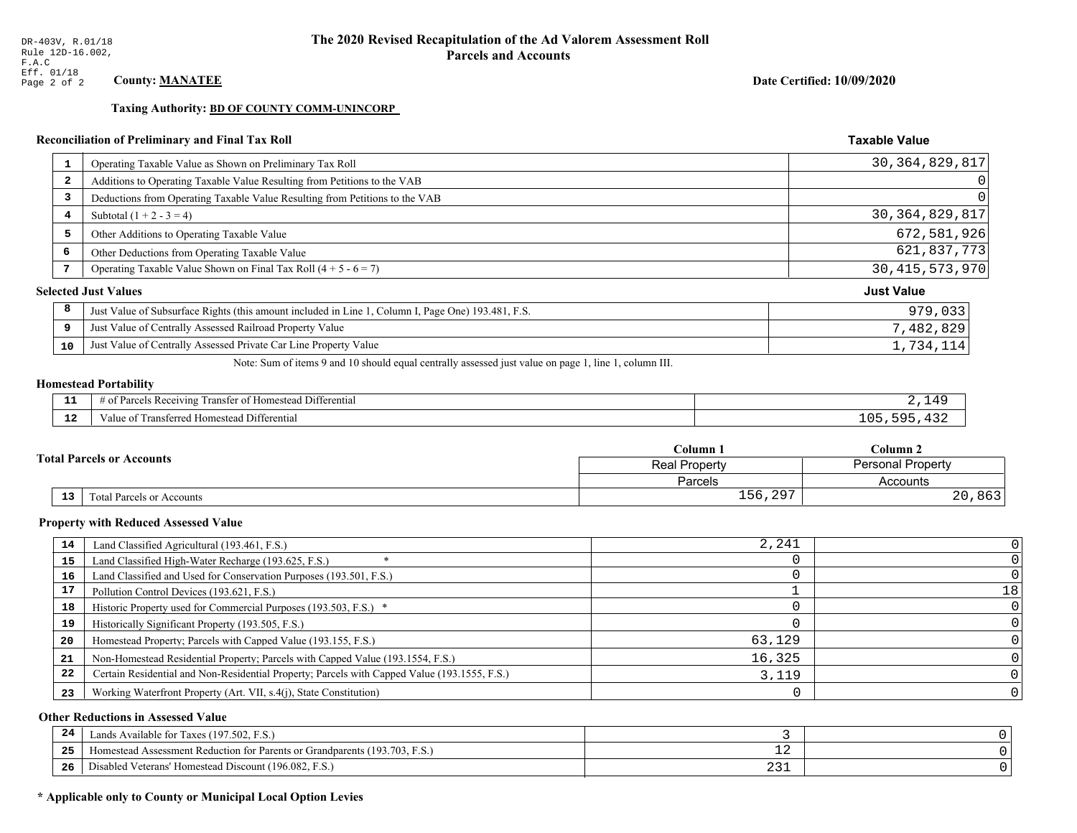**Taxing Authority: BD OF COUNTY COMM-UNINCORP** 

# Reconciliation of Preliminary and Final Tax Roll

| Operating Taxable Value as Shown on Preliminary Tax Roll<br>1                                           | 30, 364, 829, 817 |
|---------------------------------------------------------------------------------------------------------|-------------------|
| Additions to Operating Taxable Value Resulting from Petitions to the VAB<br>2                           | 0                 |
| Deductions from Operating Taxable Value Resulting from Petitions to the VAB<br>3                        | 0                 |
| Subtotal $(1 + 2 - 3 = 4)$<br>4                                                                         | 30, 364, 829, 817 |
| 5<br>Other Additions to Operating Taxable Value                                                         | 672,581,926       |
| 6<br>Other Deductions from Operating Taxable Value                                                      | 621,837,773       |
| Operating Taxable Value Shown on Final Tax Roll $(4 + 5 - 6 = 7)$<br>7                                  | 30, 415, 573, 970 |
| <b>Selected Just Values</b>                                                                             | <b>Just Value</b> |
| 8<br>Just Value of Subsurface Rights (this amount included in Line 1, Column I, Page One) 193.481, F.S. | 979,033           |
| Just Value of Centrally Assessed Railroad Property Value<br>9                                           | 7,482,829         |
| Just Value of Centrally Assessed Private Car Line Property Value<br>10                                  | 1,734,114         |

Note: Sum of items 9 and 10 should equal centrally assessed just value on page 1, line 1, column III.

### **Homestead Portability**

| - -<br>.     | Differential<br>: Rec<br>ceivins<br>ranster<br>$\sim$ $\sim$ $\sim$<br>Homestead |  |
|--------------|----------------------------------------------------------------------------------|--|
| $\sim$<br>-- | ntterential<br>' ransferred<br>` Homestead L<br>. anne i                         |  |

|  |    |                                  | Column 1                                  | Column 2 |  |
|--|----|----------------------------------|-------------------------------------------|----------|--|
|  |    | <b>Total Parcels or Accounts</b> | <b>Personal Property</b><br>Real Property |          |  |
|  |    |                                  | Parcels                                   | Accounts |  |
|  | 13 | <b>Fotal Parcels or Accounts</b> | 297<br>$156, 29^-$                        | , 863    |  |

### **Property with Reduced Assessed Value**

| 14 | Land Classified Agricultural (193.461, F.S.)                                                 | 2,241  |    |
|----|----------------------------------------------------------------------------------------------|--------|----|
| 15 | Land Classified High-Water Recharge (193.625, F.S.)                                          |        |    |
| 16 | Land Classified and Used for Conservation Purposes (193.501, F.S.)                           |        |    |
|    | Pollution Control Devices (193.621, F.S.)                                                    |        | 18 |
| 18 | Historic Property used for Commercial Purposes (193.503, F.S.) *                             |        |    |
| 19 | Historically Significant Property (193.505, F.S.)                                            |        |    |
| 20 | Homestead Property; Parcels with Capped Value (193.155, F.S.)                                | 63,129 |    |
| 21 | Non-Homestead Residential Property; Parcels with Capped Value (193.1554, F.S.)               | 16,325 |    |
| 22 | Certain Residential and Non-Residential Property; Parcels with Capped Value (193.1555, F.S.) | 3,119  |    |
| 23 | Working Waterfront Property (Art. VII, s.4(j), State Constitution)                           |        |    |

### **Other Reductions in Assessed Value**

| 24    | (197.502, F.S.)<br>Lands Available for Taxes (                       |            |  |
|-------|----------------------------------------------------------------------|------------|--|
| - - - | Iomestead Assessment Reduction for Parents or Grandparents (193.703, | — <i>—</i> |  |
| -26   | I Veterans' Homestead Discount (196.082, F.S.)<br>Disabled           | ∠ ٽ⊿       |  |

# \* Applicable only to County or Municipal Local Option Levies

Date Certified: 10/09/2020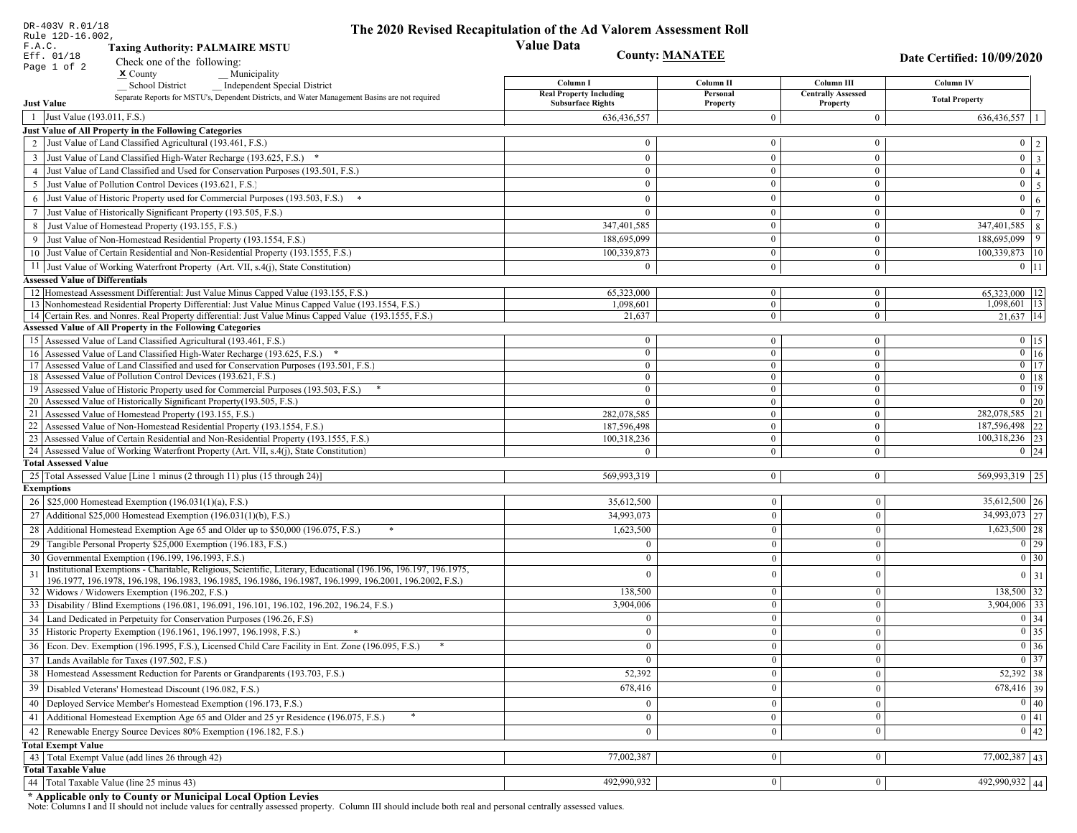| DR-403V R.01/18<br>Rule 12D-16.002,                                                                                                                             | The 2020 Revised Recapitulation of the Ad Valorem Assessment Roll |                                  |                                       |                                                                       |
|-----------------------------------------------------------------------------------------------------------------------------------------------------------------|-------------------------------------------------------------------|----------------------------------|---------------------------------------|-----------------------------------------------------------------------|
| F.A.C.<br><b>Taxing Authority: PALMAIRE MSTU</b>                                                                                                                | <b>Value Data</b>                                                 |                                  |                                       |                                                                       |
| Eff. 01/18<br>Check one of the following:                                                                                                                       |                                                                   | <b>County: MANATEE</b>           |                                       | Date Certified: 10/09/2020                                            |
| Page 1 of 2<br>$\boldsymbol{\mathsf{x}}$ County<br>Municipality                                                                                                 |                                                                   |                                  |                                       |                                                                       |
| <b>School District</b><br><b>Independent Special District</b>                                                                                                   | Column I                                                          | Column <sub>II</sub>             | Column III                            | Column IV                                                             |
| Separate Reports for MSTU's, Dependent Districts, and Water Management Basins are not required<br><b>Just Value</b>                                             | <b>Real Property Including</b><br><b>Subsurface Rights</b>        | Personal<br>Property             | <b>Centrally Assessed</b><br>Property | <b>Total Property</b>                                                 |
| 1 Just Value (193.011, F.S.)                                                                                                                                    | 636,436,557                                                       | $\Omega$                         | $\overline{0}$                        | 636,436,557                                                           |
| Just Value of All Property in the Following Categories                                                                                                          |                                                                   |                                  |                                       |                                                                       |
| 2 Just Value of Land Classified Agricultural (193.461, F.S.)                                                                                                    | $\bf{0}$                                                          | $\overline{0}$                   | $\bf{0}$                              | $0 \quad 2$                                                           |
| Just Value of Land Classified High-Water Recharge (193.625, F.S.) *<br>3                                                                                        | $\overline{0}$                                                    | $\theta$                         | $\boldsymbol{0}$                      | $\overline{3}$<br>$\overline{0}$                                      |
| 4 Just Value of Land Classified and Used for Conservation Purposes (193.501, F.S.)                                                                              | $\mathbf{0}$                                                      | $\boldsymbol{0}$                 | $\bf{0}$                              | $\overline{0}$<br>$\overline{4}$                                      |
| Just Value of Pollution Control Devices (193.621, F.S.)<br>5                                                                                                    | $\bf{0}$                                                          | $\boldsymbol{0}$                 | $\bf{0}$                              | $\overline{5}$<br>$\overline{0}$                                      |
| Just Value of Historic Property used for Commercial Purposes (193.503, F.S.) *<br>6                                                                             | $\overline{0}$                                                    | $\mathbf{0}$                     | $\boldsymbol{0}$                      | $\overline{0}$<br>$\sqrt{6}$                                          |
| Just Value of Historically Significant Property (193.505, F.S.)<br>7                                                                                            | $\overline{0}$                                                    | $\bf{0}$                         | $\bf{0}$                              | $\overline{7}$<br>$\mathbf{0}$                                        |
| Just Value of Homestead Property (193.155, F.S.)<br>8                                                                                                           | 347,401,585                                                       | $\mathbf{0}$                     | $\mathbf{0}$                          | 347,401,585<br>$\,8\,$                                                |
| Just Value of Non-Homestead Residential Property (193.1554, F.S.)                                                                                               | 188,695,099                                                       | $\Omega$                         | $\boldsymbol{0}$                      | 9<br>188,695,099                                                      |
| 10 Just Value of Certain Residential and Non-Residential Property (193.1555, F.S.)                                                                              | 100,339,873                                                       | $\boldsymbol{0}$                 | $\bf{0}$                              | 100,339,873 10                                                        |
| 11 Just Value of Working Waterfront Property (Art. VII, s.4(j), State Constitution)                                                                             | $\Omega$                                                          | $\overline{0}$                   | $\bf{0}$                              | $0$ 11                                                                |
| <b>Assessed Value of Differentials</b>                                                                                                                          |                                                                   |                                  |                                       |                                                                       |
| 12 Homestead Assessment Differential: Just Value Minus Capped Value (193.155, F.S.)                                                                             | 65,323,000                                                        | $\overline{0}$                   | $\bf{0}$                              | 65,323,000   12                                                       |
| 13 Nonhomestead Residential Property Differential: Just Value Minus Capped Value (193.1554, F.S.)                                                               | 1,098,601                                                         | $\overline{0}$                   | $\overline{0}$                        | 1,098,601 13                                                          |
| 14 Certain Res. and Nonres. Real Property differential: Just Value Minus Capped Value (193.1555, F.S.)                                                          | 21,637                                                            | $\overline{0}$                   | $\mathbf{0}$                          | $21,637$ 14                                                           |
| <b>Assessed Value of All Property in the Following Categories</b>                                                                                               |                                                                   |                                  |                                       |                                                                       |
| 15 Assessed Value of Land Classified Agricultural (193.461, F.S.)                                                                                               | $\bf{0}$                                                          | $\overline{0}$                   | $\bf{0}$                              | $0$   15                                                              |
| Assessed Value of Land Classified High-Water Recharge (193.625, F.S.) *<br>16                                                                                   | $\bf{0}$                                                          | $\overline{0}$                   | $\overline{0}$                        | $0$ 16<br>$\overline{0}$ 17                                           |
| Assessed Value of Land Classified and used for Conservation Purposes (193.501, F.S.)<br>17<br>Assessed Value of Pollution Control Devices (193.621, F.S.)<br>18 | $\bf{0}$<br>$\mathbf{0}$                                          | $\overline{0}$<br>$\overline{0}$ | $\bf{0}$<br>$\mathbf{0}$              | $0$   18                                                              |
| Assessed Value of Historic Property used for Commercial Purposes (193.503, F.S.)<br>19                                                                          | $\bf{0}$                                                          | $\boldsymbol{0}$                 | $\bf{0}$                              | $\boxed{0}$ 19                                                        |
| 20 Assessed Value of Historically Significant Property (193.505, F.S.)                                                                                          | $\theta$                                                          | $\mathbf{0}$                     | $\mathbf{0}$                          | $\boxed{0}$ 20                                                        |
| Assessed Value of Homestead Property (193.155, F.S.)<br>21                                                                                                      | 282,078,585                                                       | $\boldsymbol{0}$                 | $\bf{0}$                              | 282,078,585 21                                                        |
| Assessed Value of Non-Homestead Residential Property (193.1554, F.S.)<br>22                                                                                     | 187,596,498                                                       | $\boldsymbol{0}$                 | $\mathbf{0}$                          | 187,596,498 22                                                        |
| 23 Assessed Value of Certain Residential and Non-Residential Property (193.1555, F.S.)                                                                          | 100,318,236                                                       | $\overline{0}$                   | $\mathbf{0}$                          | 100,318,236 23                                                        |
| 24 Assessed Value of Working Waterfront Property (Art. VII, s.4(j), State Constitution)                                                                         | $\Omega$                                                          | $\theta$                         | $\overline{0}$                        | $0 \mid 24$                                                           |
| <b>Total Assessed Value</b>                                                                                                                                     |                                                                   |                                  |                                       |                                                                       |
| 25 Total Assessed Value [Line 1 minus (2 through 11) plus (15 through 24)]                                                                                      | 569,993,319                                                       | $\overline{0}$                   | $\mathbf{0}$                          | 569,993,319 25                                                        |
| <b>Exemptions</b>                                                                                                                                               |                                                                   |                                  |                                       |                                                                       |
| 26   \$25,000 Homestead Exemption (196.031(1)(a), F.S.)                                                                                                         | 35,612,500                                                        | $\bf{0}$                         | $\mathbf{0}$                          | $35,612,500$ 26                                                       |
| 27   Additional \$25,000 Homestead Exemption (196.031(1)(b), F.S.)                                                                                              | 34,993,073                                                        | $\overline{0}$                   | $\theta$                              | 34,993,073 27                                                         |
| 28 Additional Homestead Exemption Age 65 and Older up to \$50,000 (196.075, F.S.)                                                                               | 1,623,500                                                         | $\overline{0}$                   | $\theta$                              | $1,623,500$ 28                                                        |
| 29 Tangible Personal Property \$25,000 Exemption (196.183, F.S.)                                                                                                | $\Omega$                                                          | $\Omega$                         | $\theta$                              | $\boxed{0}$ 29                                                        |
| 30 Governmental Exemption (196.199, 196.1993, F.S.)                                                                                                             |                                                                   | $\theta$                         |                                       | $\boxed{0}$ 30                                                        |
| Institutional Exemptions - Charitable, Religious, Scientific, Literary, Educational (196.196, 196.197, 196.1975,<br>31                                          | 0                                                                 |                                  | $\theta$                              | $0 \mid 31$                                                           |
| 196.1977, 196.1978, 196.198, 196.1983, 196.1985, 196.1986, 196.1987, 196.1999, 196.2001, 196.2002, F.S.)<br>32   Widows / Widowers Exemption (196.202, F.S.)    | 138,500                                                           | $\bf{0}$                         | $\mathbf{0}$                          | $138,500$ 32                                                          |
| 33 Disability / Blind Exemptions (196.081, 196.091, 196.101, 196.102, 196.202, 196.24, F.S.)                                                                    | 3,904,006                                                         | $\Omega$                         | $\theta$                              | $3,904,006$ 33                                                        |
| 34 Land Dedicated in Perpetuity for Conservation Purposes (196.26, F.S)                                                                                         | $\Omega$                                                          | $\Omega$                         | $\theta$                              | $\boxed{0}$ 34                                                        |
| 35 Historic Property Exemption (196.1961, 196.1997, 196.1998, F.S.)                                                                                             | 0                                                                 | $\mathbf{U}$                     | $\mathbf{0}$                          |                                                                       |
| 36 Econ. Dev. Exemption (196.1995, F.S.), Licensed Child Care Facility in Ent. Zone (196.095, F.S.)                                                             | $\mathbf{0}$                                                      | $\Omega$                         | $\Omega$                              | $\begin{array}{ c c }\n\hline\n0 & 35 \\ \hline\n0 & 36\n\end{array}$ |
| 37 Lands Available for Taxes (197.502, F.S.)                                                                                                                    | $\bf{0}$                                                          | $\Omega$                         | $\theta$                              | $\overline{0}$ 37                                                     |
| 38   Homestead Assessment Reduction for Parents or Grandparents (193.703, F.S.)                                                                                 | 52,392                                                            | $\bf{0}$                         | $\mathbf{0}$                          | 52,392 38                                                             |
| Disabled Veterans' Homestead Discount (196.082, F.S.)<br>39                                                                                                     | 678,416                                                           | $\Omega$                         | $\mathbf{0}$                          | 678,416 39                                                            |
|                                                                                                                                                                 |                                                                   |                                  |                                       |                                                                       |
| Deployed Service Member's Homestead Exemption (196.173, F.S.)<br>40                                                                                             | $\mathbf{0}$                                                      | $\Omega$                         | $\theta$                              | $\boxed{0}$ 40                                                        |
| 41   Additional Homestead Exemption Age 65 and Older and 25 yr Residence (196.075, F.S.)                                                                        | $\overline{0}$                                                    | $\bf{0}$                         | $\mathbf{0}$                          | $\overline{0}$ 41                                                     |
| Renewable Energy Source Devices 80% Exemption (196.182, F.S.)<br>42                                                                                             | $\mathbf{0}$                                                      | $\mathbf{0}$                     | $\boldsymbol{0}$                      | $\overline{0}$ 42                                                     |
| <b>Total Exempt Value</b>                                                                                                                                       |                                                                   |                                  | $\mathbf{0}$                          |                                                                       |
| 43 Total Exempt Value (add lines 26 through 42)<br><b>Total Taxable Value</b>                                                                                   | 77,002,387                                                        | $\vert 0 \vert$                  |                                       | $77,002,387$ 43                                                       |
| 44 Total Taxable Value (line 25 minus 43)                                                                                                                       | 492,990,932                                                       | 0                                | $\boldsymbol{0}$                      | 492,990,932 44                                                        |
|                                                                                                                                                                 |                                                                   |                                  |                                       |                                                                       |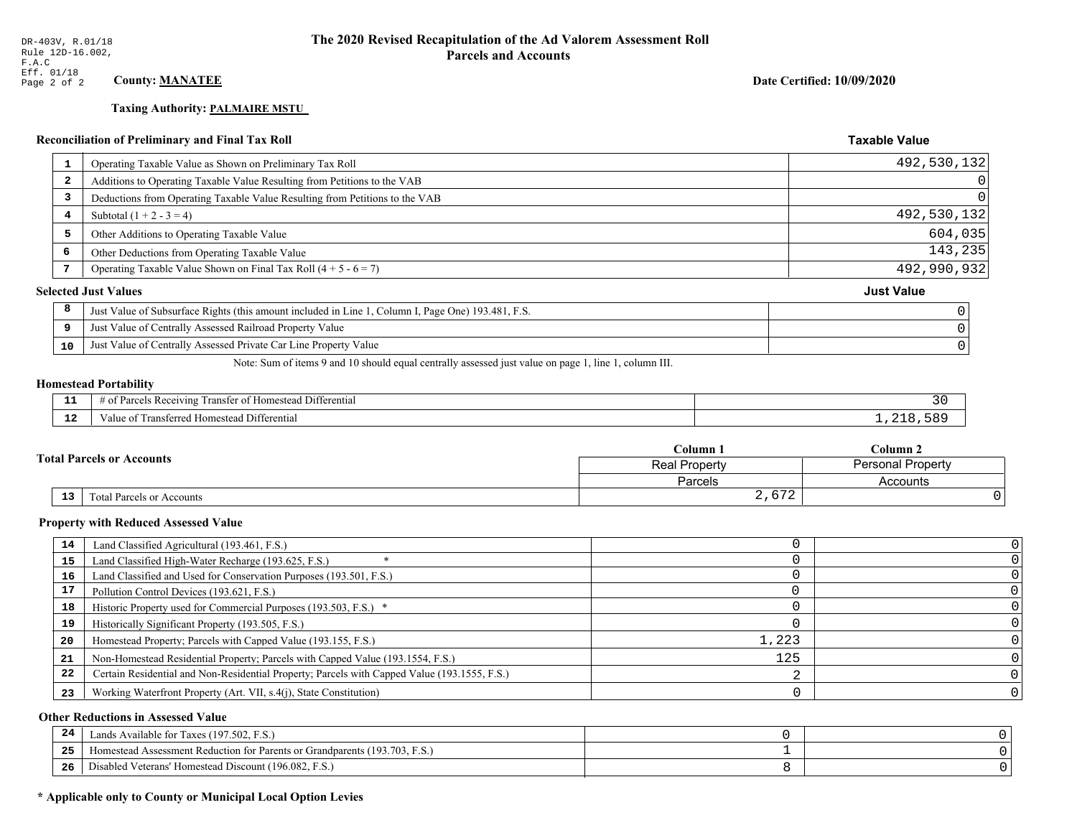# **Taxing Authority: PALMAIRE MSTU**

# Reconciliation of Preliminary and Final Tax Roll

| 1  | Operating Taxable Value as Shown on Preliminary Tax Roll                                           | 492,530,132       |
|----|----------------------------------------------------------------------------------------------------|-------------------|
| -2 | Additions to Operating Taxable Value Resulting from Petitions to the VAB                           |                   |
| 3  | Deductions from Operating Taxable Value Resulting from Petitions to the VAB                        |                   |
| 4  | Subtotal $(1 + 2 - 3 = 4)$                                                                         | 492,530,132       |
| 5  | Other Additions to Operating Taxable Value                                                         | 604,035           |
| 6  | Other Deductions from Operating Taxable Value                                                      | 143,235           |
| 7  | Operating Taxable Value Shown on Final Tax Roll $(4 + 5 - 6 = 7)$                                  | 492,990,932       |
|    | <b>Selected Just Values</b>                                                                        | <b>Just Value</b> |
| 8  | Just Value of Subsurface Rights (this amount included in Line 1, Column I, Page One) 193.481, F.S. |                   |
| 9  | Just Value of Centrally Assessed Railroad Property Value                                           |                   |
| 10 | Just Value of Centrally Assessed Private Car Line Property Value                                   |                   |
|    |                                                                                                    |                   |

Note: Sum of items 9 and 10 should equal centrally assessed just value on page 1, line 1, column III.

### **Homestead Portability**

| - -<br>. .  | $\sim$ $\sim$<br>Differential<br>ranster of<br>ceiving<br>Homestead<br>Parce.<br>-01<br>$\sim$<br>,,,,,, |  |
|-------------|----------------------------------------------------------------------------------------------------------|--|
| $\sim$<br>. | $\lambda_1 + \lambda_2$<br>Transferred Homestead Differential<br>alu                                     |  |

|  |                                  | Column <sub>1</sub> | $C$ olumn 2              |  |
|--|----------------------------------|---------------------|--------------------------|--|
|  | <b>Total Parcels or Accounts</b> | Real Property       | <b>Personal Property</b> |  |
|  |                                  | Parcels             | Accounts                 |  |
|  | 13<br>Total Parcels or Accounts  | 2,672               |                          |  |

### **Property with Reduced Assessed Value**

| 14 | Land Classified Agricultural (193.461, F.S.)                                                 |       |  |
|----|----------------------------------------------------------------------------------------------|-------|--|
| 15 | Land Classified High-Water Recharge (193.625, F.S.)                                          |       |  |
| 16 | Land Classified and Used for Conservation Purposes (193.501, F.S.)                           |       |  |
| 17 | Pollution Control Devices (193.621, F.S.)                                                    |       |  |
| 18 | Historic Property used for Commercial Purposes (193.503, F.S.) *                             |       |  |
| 19 | Historically Significant Property (193.505, F.S.)                                            |       |  |
| 20 | Homestead Property; Parcels with Capped Value (193.155, F.S.)                                | 1,223 |  |
| 21 | Non-Homestead Residential Property; Parcels with Capped Value (193.1554, F.S.)               | 125   |  |
| 22 | Certain Residential and Non-Residential Property; Parcels with Capped Value (193.1555, F.S.) |       |  |
| 23 | Working Waterfront Property (Art. VII, s.4(j), State Constitution)                           |       |  |

### **Other Reductions in Assessed Value**

| 24  | Lands Available for Taxes (197.502, F.S.)                                  |  |
|-----|----------------------------------------------------------------------------|--|
| 25  | Homestead Assessment Reduction for Parents or Grandparents (193.703, F.S.) |  |
| -26 | Disabled Veterans' Homestead Discount (196.082, F.S.)                      |  |

# \* Applicable only to County or Municipal Local Option Levies

Date Certified: 10/09/2020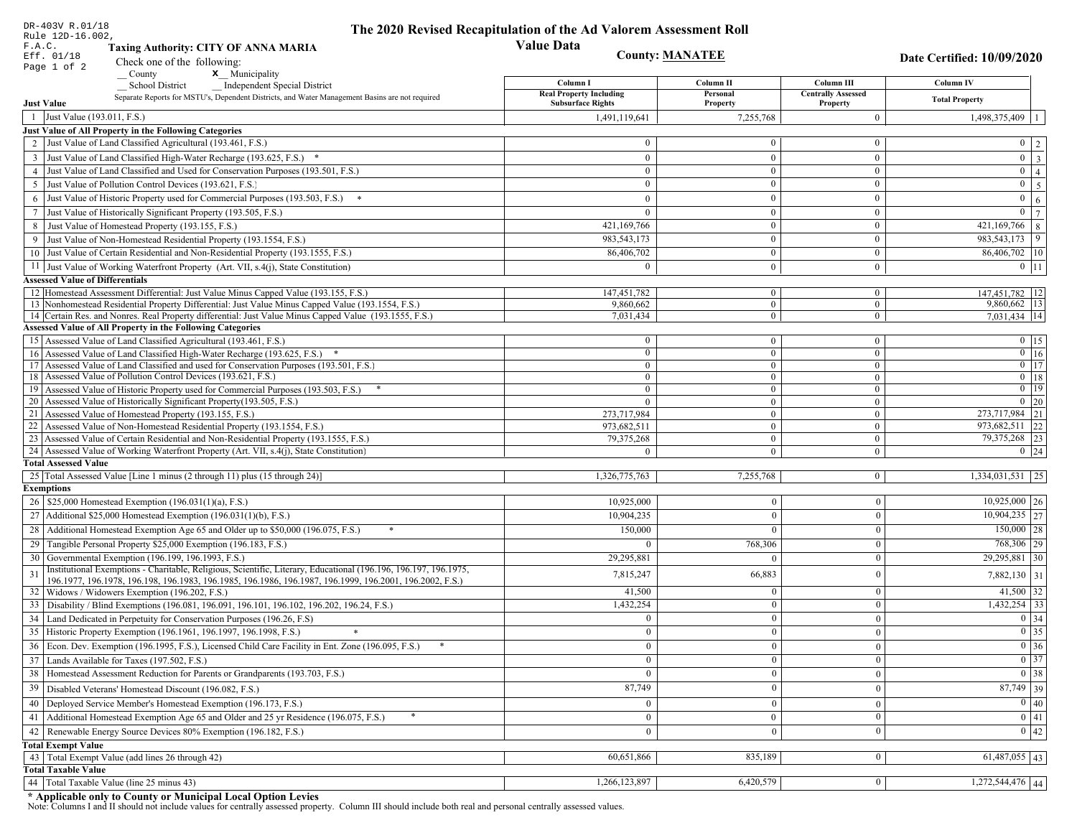|    | DR-403V R.01/18<br>Rule 12D-16.002,                                                                                                                                         | The 2020 Revised Recapitulation of the Ad Valorem Assessment Roll |                                  |                                       |                                                                                 |
|----|-----------------------------------------------------------------------------------------------------------------------------------------------------------------------------|-------------------------------------------------------------------|----------------------------------|---------------------------------------|---------------------------------------------------------------------------------|
|    | F.A.C.<br><b>Taxing Authority: CITY OF ANNA MARIA</b>                                                                                                                       | <b>Value Data</b>                                                 |                                  |                                       |                                                                                 |
|    | Eff. 01/18<br>Check one of the following:                                                                                                                                   |                                                                   | <b>County: MANATEE</b>           |                                       | Date Certified: 10/09/2020                                                      |
|    | Page 1 of 2<br>x Municipality<br>County                                                                                                                                     |                                                                   |                                  |                                       |                                                                                 |
|    | <b>School District</b><br><b>Independent Special District</b>                                                                                                               | Column I                                                          | Column <sub>II</sub>             | Column III                            | Column IV                                                                       |
|    | Separate Reports for MSTU's, Dependent Districts, and Water Management Basins are not required<br><b>Just Value</b>                                                         | <b>Real Property Including</b><br><b>Subsurface Rights</b>        | Personal<br>Property             | <b>Centrally Assessed</b><br>Property | <b>Total Property</b>                                                           |
|    | 1 Just Value (193.011, F.S.)                                                                                                                                                | 1,491,119,641                                                     | 7,255,768                        | $\overline{0}$                        | 1,498,375,409                                                                   |
|    | Just Value of All Property in the Following Categories                                                                                                                      |                                                                   |                                  |                                       |                                                                                 |
|    | 2 Just Value of Land Classified Agricultural (193.461, F.S.)                                                                                                                | $\Omega$                                                          | $\overline{0}$                   | $\mathbf{0}$                          | $0 \quad 2$                                                                     |
|    | 3 Just Value of Land Classified High-Water Recharge (193.625, F.S.) *                                                                                                       | $\theta$                                                          | $\theta$                         | $\mathbf{0}$                          | $\overline{\mathbf{3}}$<br>$\overline{0}$                                       |
|    | 4 Just Value of Land Classified and Used for Conservation Purposes (193.501, F.S.)                                                                                          | $\Omega$                                                          | $\boldsymbol{0}$                 | $\bf{0}$                              | $\overline{0}$<br>$\overline{4}$                                                |
|    | 5 Just Value of Pollution Control Devices (193.621, F.S.)                                                                                                                   | $\overline{0}$                                                    | $\overline{0}$                   | $\bf{0}$                              | $\overline{5}$<br>$\overline{0}$                                                |
| 6  | Just Value of Historic Property used for Commercial Purposes (193.503, F.S.)                                                                                                | $\theta$                                                          | $\theta$                         | $\mathbf{0}$                          | $\overline{0}$<br>$\sqrt{6}$                                                    |
| 7  | Just Value of Historically Significant Property (193.505, F.S.)                                                                                                             | $\overline{0}$                                                    | $\mathbf{0}$                     | $\mathbf{0}$                          | $\overline{7}$<br>$\mathbf{0}$                                                  |
|    | 8 Just Value of Homestead Property (193.155, F.S.)                                                                                                                          | 421,169,766                                                       | $\overline{0}$                   | $\mathbf{0}$                          | 421,169,766<br>$\,8\,$                                                          |
|    | Just Value of Non-Homestead Residential Property (193.1554, F.S.)                                                                                                           | 983,543,173                                                       | $\Omega$                         | $\mathbf{0}$                          | 9<br>983, 543, 173                                                              |
|    | 10 Just Value of Certain Residential and Non-Residential Property (193.1555, F.S.)                                                                                          | 86,406,702                                                        | $\overline{0}$                   | $\bf{0}$                              | 86,406,702 10                                                                   |
|    | 11 Just Value of Working Waterfront Property (Art. VII, s.4(j), State Constitution)                                                                                         | $\Omega$                                                          | $\overline{0}$                   | $\mathbf{0}$                          | $0$ 11                                                                          |
|    | <b>Assessed Value of Differentials</b>                                                                                                                                      |                                                                   |                                  |                                       |                                                                                 |
|    | 12 Homestead Assessment Differential: Just Value Minus Capped Value (193.155, F.S.)                                                                                         | 147, 451, 782                                                     | $\overline{0}$                   | $\bf{0}$                              | 147,451,782 12                                                                  |
|    | 13 Nonhomestead Residential Property Differential: Just Value Minus Capped Value (193.1554, F.S.)                                                                           | 9,860,662                                                         | $\overline{0}$<br>$\overline{0}$ | $\overline{0}$                        | 9,860,662   13<br>7.031.434 14                                                  |
|    | 14 Certain Res. and Nonres. Real Property differential: Just Value Minus Capped Value (193.1555, F.S.)<br><b>Assessed Value of All Property in the Following Categories</b> | 7,031,434                                                         |                                  | $\mathbf{0}$                          |                                                                                 |
|    | 15 Assessed Value of Land Classified Agricultural (193.461, F.S.)                                                                                                           | $\bf{0}$                                                          | $\overline{0}$                   | $\bf{0}$                              | $0$   15                                                                        |
|    | 16 Assessed Value of Land Classified High-Water Recharge (193.625, F.S.) *                                                                                                  | $\mathbf{0}$                                                      | $\overline{0}$                   | $\overline{0}$                        | $\boxed{0}$ 16                                                                  |
|    | 17 Assessed Value of Land Classified and used for Conservation Purposes (193.501, F.S.)                                                                                     | $\overline{0}$                                                    | $\overline{0}$                   | $\mathbf{0}$                          | $\overline{0}$ 17                                                               |
|    | 18 Assessed Value of Pollution Control Devices (193.621, F.S.)                                                                                                              | $\bf{0}$                                                          | $\overline{0}$                   | $\overline{0}$                        | $0$   18                                                                        |
|    | 19 Assessed Value of Historic Property used for Commercial Purposes (193.503, F.S.)                                                                                         | $\bf{0}$                                                          | $\overline{0}$                   | $\bf{0}$                              | $\overline{0}$ 19                                                               |
|    | 20 Assessed Value of Historically Significant Property (193.505, F.S.)                                                                                                      | $\theta$                                                          | $\mathbf{0}$                     | $\mathbf{0}$                          | $\boxed{0}$ 20                                                                  |
|    | 21 Assessed Value of Homestead Property (193.155, F.S.)<br>22 Assessed Value of Non-Homestead Residential Property (193.1554, F.S.)                                         | 273,717,984                                                       | $\overline{0}$<br>$\overline{0}$ | $\bf{0}$<br>$\mathbf{0}$              | 273,717,984 21<br>973,682,511 22                                                |
|    | 23 Assessed Value of Certain Residential and Non-Residential Property (193.1555, F.S.)                                                                                      | 973,682,511<br>79,375,268                                         | $\overline{0}$                   | $\mathbf{0}$                          | 79, 375, 268 23                                                                 |
|    | 24 Assessed Value of Working Waterfront Property (Art. VII, s.4(j), State Constitution)                                                                                     | $\theta$                                                          | $\Omega$                         | $\overline{0}$                        | $0 \quad 24$                                                                    |
|    | <b>Total Assessed Value</b>                                                                                                                                                 |                                                                   |                                  |                                       |                                                                                 |
|    | 25 Total Assessed Value [Line 1 minus (2 through 11) plus (15 through 24)]                                                                                                  | 1,326,775,763                                                     | 7,255,768                        | $\mathbf{0}$                          | 1,334,031,531 25                                                                |
|    | <b>Exemptions</b>                                                                                                                                                           |                                                                   |                                  |                                       |                                                                                 |
|    | 26   \$25,000 Homestead Exemption (196.031(1)(a), F.S.)                                                                                                                     | 10,925,000                                                        | $\bf{0}$                         | $\bf{0}$                              | $10,925,000$ 26                                                                 |
|    | 27   Additional \$25,000 Homestead Exemption $(196.031(1)(b), F.S.)$                                                                                                        | 10,904,235                                                        | $\Omega$                         | $\Omega$                              | $\overline{10,904,235}$ 27                                                      |
|    | 28 Additional Homestead Exemption Age 65 and Older up to \$50,000 (196.075, F.S.)                                                                                           | 150,000                                                           | $\Omega$                         | $\theta$                              | $150,000$ 28                                                                    |
|    | 29 Tangible Personal Property \$25,000 Exemption (196.183, F.S.)                                                                                                            |                                                                   | 768,306                          | $\mathbf{0}$                          | 768,306 29                                                                      |
|    | 30 Governmental Exemption (196.199, 196.1993, F.S.)                                                                                                                         | 29,295,881                                                        | $\theta$                         | $\boldsymbol{0}$                      | 29,295,881 30                                                                   |
| 31 | Institutional Exemptions - Charitable, Religious, Scientific, Literary, Educational (196.196, 196.197, 196.1975,                                                            | 7,815,247                                                         | 66,883                           | $\boldsymbol{0}$                      | 7,882,130 31                                                                    |
|    | 196.1977, 196.1978, 196.198, 196.1983, 196.1985, 196.1986, 196.1987, 196.1999, 196.2001, 196.2002, F.S.)<br>32   Widows / Widowers Exemption (196.202, F.S.)                | 41,500                                                            | $\bf{0}$                         | $\mathbf{0}$                          | 41,500 32                                                                       |
|    | 33 Disability / Blind Exemptions (196.081, 196.091, 196.101, 196.102, 196.202, 196.24, F.S.)                                                                                | 1,432,254                                                         | $\Omega$                         | $\Omega$                              | $1,432,254$ 33                                                                  |
|    | 34 Land Dedicated in Perpetuity for Conservation Purposes (196.26, F.S)                                                                                                     | $\Omega$                                                          | $\Omega$                         | $\theta$                              | $0 \mid 34$                                                                     |
|    | 35 Historic Property Exemption (196.1961, 196.1997, 196.1998, F.S.)                                                                                                         | $\cup$                                                            | $\mathbf{0}$                     |                                       |                                                                                 |
|    | 36 Econ. Dev. Exemption (196.1995, F.S.), Licensed Child Care Facility in Ent. Zone (196.095, F.S.)                                                                         | $\overline{0}$                                                    | $\Omega$                         | $\mathbf{0}$<br>$\theta$              | $\begin{array}{ c c }\n\hline\n0 & 35 \\ \hline\n0 & 36 \\ \hline\n\end{array}$ |
|    | 37 Lands Available for Taxes (197.502, F.S.)                                                                                                                                | $\overline{0}$                                                    | $\theta$                         | $\theta$                              | $\overline{0}$ 37                                                               |
|    | 38   Homestead Assessment Reduction for Parents or Grandparents (193.703, F.S.)                                                                                             | $\mathbf{0}$                                                      | $\bf{0}$                         | $\mathbf{0}$                          | $\boxed{0}$ 38                                                                  |
| 39 | Disabled Veterans' Homestead Discount (196.082, F.S.)                                                                                                                       | 87,749                                                            |                                  | $\boldsymbol{0}$                      | $87,749$ 39                                                                     |
|    | 40 Deployed Service Member's Homestead Exemption (196.173, F.S.)                                                                                                            |                                                                   |                                  |                                       | $\overline{0}$ 40                                                               |
|    |                                                                                                                                                                             | $\overline{0}$                                                    | $\Omega$                         | $\mathbf{0}$                          | $\overline{0}$ 41                                                               |
|    | 41 Additional Homestead Exemption Age 65 and Older and 25 yr Residence (196.075, F.S.)                                                                                      | $\mathbf{0}$                                                      | $\boldsymbol{0}$                 | $\bf{0}$                              | $\overline{0}$ 42                                                               |
| 42 | Renewable Energy Source Devices 80% Exemption (196.182, F.S.)                                                                                                               | $\overline{0}$                                                    | $\bf{0}$                         | $\boldsymbol{0}$                      |                                                                                 |
|    | <b>Total Exempt Value</b><br>43 Total Exempt Value (add lines 26 through 42)                                                                                                | 60,651,866                                                        | 835,189                          | $\mathbf{0}$                          | $61,487,055$ 43                                                                 |
|    | <b>Total Taxable Value</b>                                                                                                                                                  |                                                                   |                                  |                                       |                                                                                 |
| 44 | Total Taxable Value (line 25 minus 43)                                                                                                                                      | 1,266,123,897                                                     | 6,420,579                        | $\bf{0}$                              | 1,272,544,476 44                                                                |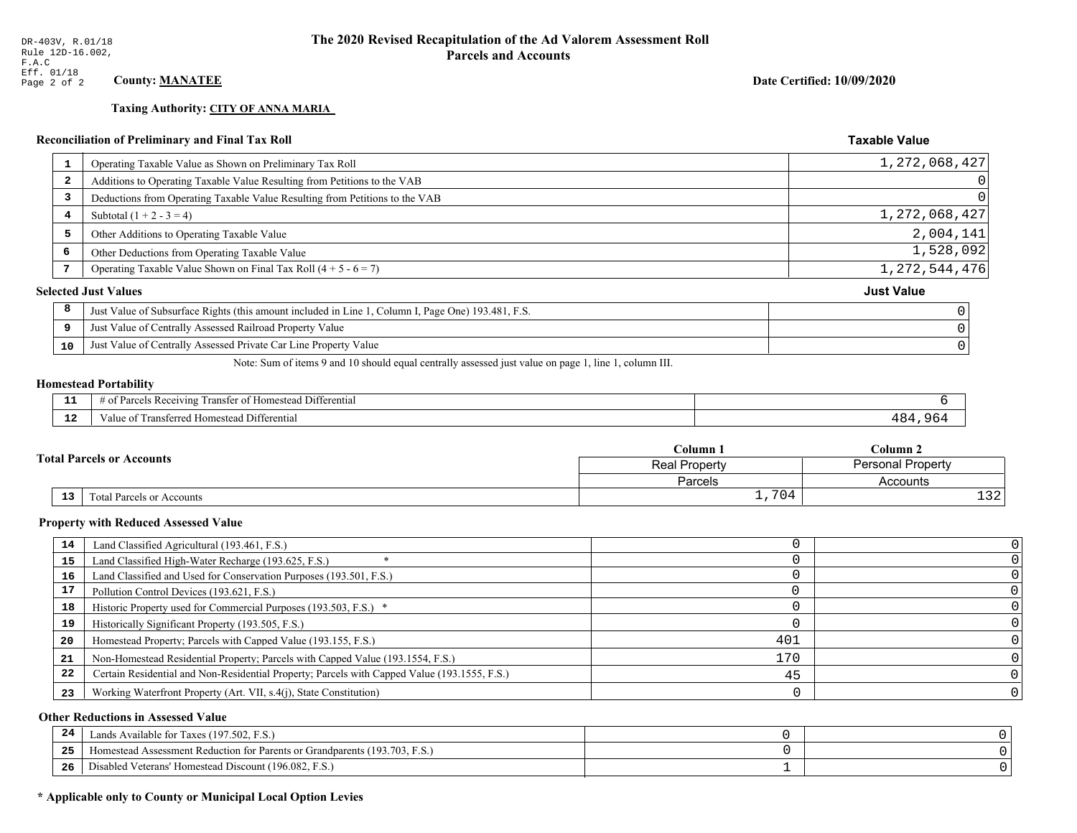**Taxing Authority: CITY OF ANNA MARIA** 

Date Certified: 10/09/2020

#### **Taxable Value Reconciliation of Preliminary and Final Tax Roll** Operating Taxable Value as Shown on Preliminary Tax Roll 1,272,068,427  $\mathbf{1}$  $\overline{a}$ Additions to Operating Taxable Value Resulting from Petitions to the VAB  $\overline{3}$ Deductions from Operating Taxable Value Resulting from Petitions to the VAB 1, 272, 068, 427  $\overline{\mathbf{4}}$ Subtotal  $(1 + 2 - 3 = 4)$ 2,004,141 5 Other Additions to Operating Taxable Value 1,528,092  $\epsilon$ Other Deductions from Operating Taxable Value  $\overline{7}$ Operating Taxable Value Shown on Final Tax Roll  $(4 + 5 - 6 = 7)$ 1, 272, 544, 476 **Selected Just Values Just Value** 8 Just Value of Subsurface Rights (this amount included in Line 1, Column I, Page One) 193.481, F.S.  $\overline{9}$ Just Value of Centrally Assessed Railroad Property Value Just Value of Centrally Assessed Private Car Line Property Value 10

Note: Sum of items 9 and 10 should equal centrally assessed just value on page 1, line 1, column III.

### **Homestead Portability**

| - -         | Differential<br>ranster<br>Reception<br>. arce<br>-01<br>n |                       |
|-------------|------------------------------------------------------------|-----------------------|
| $\sim$<br>. | l Differential<br>alue<br><b>Homestead</b><br>тан<br>менен | $\sqrt{2}$<br>$\cdot$ |

| <b>Fotal Parcels or Accounts</b> |    |                           | Column 1      | $\mathbb C$ olumn 2      |  |
|----------------------------------|----|---------------------------|---------------|--------------------------|--|
|                                  |    |                           | Real Property | <b>Personal Property</b> |  |
|                                  |    |                           | Parcels       | Accounts                 |  |
|                                  | 13 | Total Parcels or Accounts | 704<br>÷ 1    | $\cdot$ $\sim$<br>⊥ఎ∠    |  |

### **Property with Reduced Assessed Value**

| 14 | Land Classified Agricultural (193.461, F.S.)                                                 |     |  |
|----|----------------------------------------------------------------------------------------------|-----|--|
| 15 | Land Classified High-Water Recharge (193.625, F.S.)                                          |     |  |
| 16 | Land Classified and Used for Conservation Purposes (193.501, F.S.)                           |     |  |
| 17 | Pollution Control Devices (193.621, F.S.)                                                    |     |  |
| 18 | Historic Property used for Commercial Purposes (193.503, F.S.) *                             |     |  |
| 19 | Historically Significant Property (193.505, F.S.)                                            |     |  |
| 20 | Homestead Property; Parcels with Capped Value (193.155, F.S.)                                | 401 |  |
| 21 | Non-Homestead Residential Property; Parcels with Capped Value (193.1554, F.S.)               | 170 |  |
| 22 | Certain Residential and Non-Residential Property; Parcels with Capped Value (193.1555, F.S.) | 45  |  |
| 23 | Working Waterfront Property (Art. VII, s.4(j), State Constitution)                           |     |  |

### **Other Reductions in Assessed Value**

| -24 | Lands Available for Taxes (197.502, F.S.)                                          |  |
|-----|------------------------------------------------------------------------------------|--|
| .   | Homestead Assessment Reduction for Parents or Grandparents (193.7)<br>93.703, F.S. |  |
| -26 | I Veterans' Homestead Discount (196.082, F.S.)<br>Disabled                         |  |

### \* Applicable only to County or Municipal Local Option Levies

 $\Omega$ 

 $\mathbf 0$ 

0

 $\mathsf{O}$ 

 $\mathsf 0$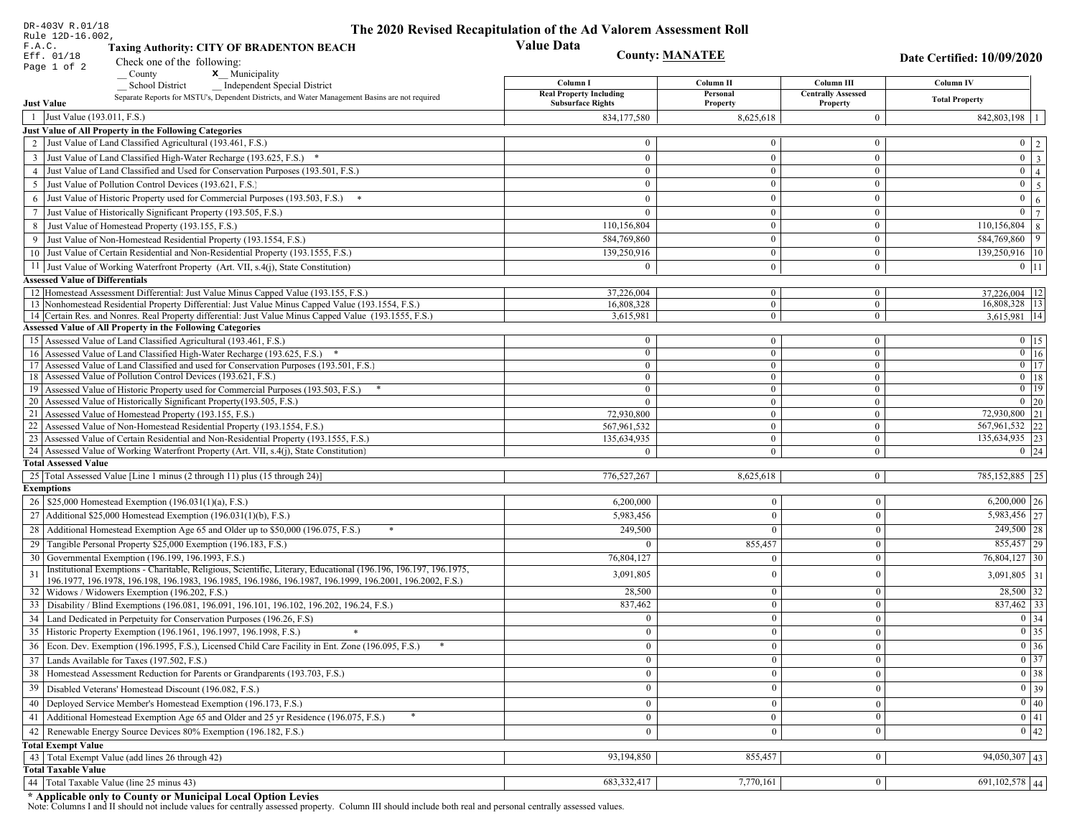| DR-403V R.01/18                        |                                                                                                                                                                                          | The 2020 Revised Recapitulation of the Ad Valorem Assessment Roll |                        |                           |                                                                       |
|----------------------------------------|------------------------------------------------------------------------------------------------------------------------------------------------------------------------------------------|-------------------------------------------------------------------|------------------------|---------------------------|-----------------------------------------------------------------------|
| Rule 12D-16.002,<br>F.A.C.             | <b>Taxing Authority: CITY OF BRADENTON BEACH</b>                                                                                                                                         | <b>Value Data</b>                                                 |                        |                           |                                                                       |
| Eff. 01/18                             |                                                                                                                                                                                          |                                                                   | <b>County: MANATEE</b> |                           | Date Certified: 10/09/2020                                            |
| Page 1 of 2                            | Check one of the following:                                                                                                                                                              |                                                                   |                        |                           |                                                                       |
|                                        | x Municipality<br>County<br><b>School District</b><br><b>Independent Special District</b>                                                                                                | Column I                                                          | Column II              | Column III                | <b>Column IV</b>                                                      |
|                                        | Separate Reports for MSTU's, Dependent Districts, and Water Management Basins are not required                                                                                           | <b>Real Property Including</b>                                    | Personal               | <b>Centrally Assessed</b> |                                                                       |
| <b>Just Value</b>                      |                                                                                                                                                                                          | <b>Subsurface Rights</b>                                          | Property               | Property                  | <b>Total Property</b>                                                 |
| 1 Just Value (193.011, F.S.)           |                                                                                                                                                                                          | 834,177,580                                                       | 8,625,618              | $\mathbf{0}$              | $842,803,198$   1                                                     |
|                                        | Just Value of All Property in the Following Categories                                                                                                                                   |                                                                   |                        |                           |                                                                       |
|                                        | 2 Just Value of Land Classified Agricultural (193.461, F.S.)                                                                                                                             | $\Omega$                                                          | $\Omega$               | $\bf{0}$                  | $0 \mid 2 \mid$                                                       |
|                                        | 3 Just Value of Land Classified High-Water Recharge (193.625, F.S.) *                                                                                                                    | $\mathbf{0}$                                                      | $\overline{0}$         | $\mathbf{0}$              | $\boxed{0}$ $\boxed{3}$                                               |
|                                        | 4 Just Value of Land Classified and Used for Conservation Purposes (193.501, F.S.)                                                                                                       | $\mathbf{0}$                                                      | $\overline{0}$         | $\overline{0}$            | $\overline{0}$   4                                                    |
| 5                                      | Just Value of Pollution Control Devices (193.621, F.S.)                                                                                                                                  | $\Omega$                                                          | $\Omega$               | $\mathbf{0}$              | $0 \mid 5 \mid$                                                       |
|                                        | 6 Just Value of Historic Property used for Commercial Purposes (193.503, F.S.) *                                                                                                         | $\Omega$                                                          | $\theta$               | $\mathbf{0}$              | $0 \mid 6 \mid$                                                       |
|                                        | 7 Just Value of Historically Significant Property (193.505, F.S.)                                                                                                                        | $\Omega$                                                          | $\overline{0}$         | $\mathbf{0}$              | $\overline{0}$<br>$\overline{7}$                                      |
|                                        | 8 Just Value of Homestead Property (193.155, F.S.)                                                                                                                                       | 110,156,804                                                       |                        | $\mathbf{0}$              | $110, 156, 804$ 8                                                     |
|                                        | 9 Just Value of Non-Homestead Residential Property (193.1554, F.S.)                                                                                                                      | 584,769,860                                                       | $\overline{0}$         | $\mathbf{0}$              | 584,769,860 9                                                         |
|                                        | 10 Just Value of Certain Residential and Non-Residential Property (193.1555, F.S.)                                                                                                       | 139,250,916                                                       | $\overline{0}$         | $\mathbf{0}$              | 139,250,916   10                                                      |
|                                        | 11 Just Value of Working Waterfront Property (Art. VII, s.4(j), State Constitution)                                                                                                      | 0                                                                 | $\overline{0}$         | $\mathbf{0}$              | $0 \mid 11 \mid$                                                      |
|                                        |                                                                                                                                                                                          |                                                                   |                        |                           |                                                                       |
| <b>Assessed Value of Differentials</b> |                                                                                                                                                                                          | 37.226.004                                                        | $\mathbf{0}$           | $\bf{0}$                  |                                                                       |
|                                        | 12 Homestead Assessment Differential: Just Value Minus Capped Value (193.155, F.S.)<br>13 Nonhomestead Residential Property Differential: Just Value Minus Capped Value (193.1554, F.S.) | 16,808,328                                                        | $\overline{0}$         | $\mathbf{0}$              | $37,226,004$   12<br>16,808,328 13                                    |
|                                        | 14 Certain Res. and Nonres. Real Property differential: Just Value Minus Capped Value (193.1555, F.S.)                                                                                   | 3,615,981                                                         | $\mathbf{0}$           | $\bf{0}$                  | 3,615,981 14                                                          |
|                                        | <b>Assessed Value of All Property in the Following Categories</b>                                                                                                                        |                                                                   |                        |                           |                                                                       |
|                                        | 15 Assessed Value of Land Classified Agricultural (193.461, F.S.)                                                                                                                        | $\mathbf{0}$                                                      | $\mathbf{0}$           | $\bf{0}$                  | $0 \t15$                                                              |
|                                        | 16 Assessed Value of Land Classified High-Water Recharge (193.625, F.S.) *                                                                                                               | $\Omega$                                                          | $\mathbf{0}$           | $\bf{0}$                  | $0$ 16                                                                |
|                                        | 17 Assessed Value of Land Classified and used for Conservation Purposes (193.501, F.S.)                                                                                                  | $\mathbf{0}$                                                      | $\mathbf{0}$           | $\bf{0}$                  | $0$ 17                                                                |
|                                        | 18 Assessed Value of Pollution Control Devices (193.621, F.S.)                                                                                                                           | $\mathbf{0}$                                                      | $\overline{0}$         | $\bf{0}$                  | $0$   18                                                              |
|                                        | 19 Assessed Value of Historic Property used for Commercial Purposes (193.503, F.S.)                                                                                                      | $\theta$                                                          | $\overline{0}$         | $\overline{0}$            | $0$ 19                                                                |
|                                        | 20 Assessed Value of Historically Significant Property (193.505, F.S.)                                                                                                                   | $\Omega$                                                          | $\theta$               | $\overline{0}$            | $0 \mid 20$                                                           |
|                                        | 21 Assessed Value of Homestead Property (193.155, F.S.)                                                                                                                                  | 72,930,800                                                        | $\overline{0}$         | $\bf{0}$                  | 72,930,800 21                                                         |
|                                        | 22 Assessed Value of Non-Homestead Residential Property (193.1554, F.S.)                                                                                                                 | 567,961,532                                                       | $\overline{0}$         | $\bf{0}$                  | 567,961,532 22                                                        |
|                                        | 23 Assessed Value of Certain Residential and Non-Residential Property (193.1555, F.S.)                                                                                                   | 135,634,935                                                       | $\mathbf{0}$           | $\bf{0}$                  | 135,634,935 23                                                        |
|                                        | 24 Assessed Value of Working Waterfront Property (Art. VII, s.4(j), State Constitution)                                                                                                  | $\Omega$                                                          | $\overline{0}$         | $\mathbf{0}$              | $0 \mid 24$                                                           |
| <b>Total Assessed Value</b>            |                                                                                                                                                                                          |                                                                   |                        |                           |                                                                       |
|                                        | 25 Total Assessed Value [Line 1 minus (2 through 11) plus (15 through 24)]                                                                                                               | 776,527,267                                                       | 8,625,618              | $\vert 0 \vert$           | 785, 152, 885   25                                                    |
| <b>Exemptions</b>                      |                                                                                                                                                                                          |                                                                   |                        |                           |                                                                       |
|                                        | 26   \$25,000 Homestead Exemption (196.031(1)(a), F.S.)                                                                                                                                  | 6,200,000                                                         | $\overline{0}$         | $\boldsymbol{0}$          | $6,200,000$ 26                                                        |
|                                        | 27   Additional \$25,000 Homestead Exemption (196.031(1)(b), F.S.)                                                                                                                       | 5,983,456                                                         | $\overline{0}$         | $\boldsymbol{0}$          | 5,983,456 27                                                          |
|                                        | 28 Additional Homestead Exemption Age 65 and Older up to \$50,000 (196.075, F.S.)                                                                                                        | 249,500                                                           | $\overline{0}$         | $\boldsymbol{0}$          | $249,500$ 28                                                          |
|                                        | 29 Tangible Personal Property \$25,000 Exemption (196.183, F.S.)                                                                                                                         | $\Omega$                                                          | 855,457                | $\boldsymbol{0}$          | $855,457$ 29                                                          |
|                                        | 30 Governmental Exemption (196.199, 196.1993, F.S.)                                                                                                                                      | 76,804,127                                                        | $\overline{0}$         | $\boldsymbol{0}$          | 76,804,127 30                                                         |
|                                        | Institutional Exemptions - Charitable, Religious, Scientific, Literary, Educational (196.196, 196.197, 196.1975,                                                                         |                                                                   |                        |                           |                                                                       |
| 31                                     | 196.1977, 196.1978, 196.198, 196.1983, 196.1985, 196.1986, 196.1987, 196.1999, 196.2001, 196.2002, F.S.)                                                                                 | 3,091,805                                                         | $\mathbf{0}$           | $\boldsymbol{0}$          | $3,091,805$ 31                                                        |
|                                        | 32   Widows / Widowers Exemption (196.202, F.S.)                                                                                                                                         | 28,500                                                            | $\mathbf{0}$           | $\boldsymbol{0}$          | $28,500$ 32                                                           |
|                                        | 33 Disability / Blind Exemptions (196.081, 196.091, 196.101, 196.102, 196.202, 196.24, F.S.)                                                                                             | 837,462                                                           | $\overline{0}$         | $\mathbf{0}$              | $837,462$ 33                                                          |
|                                        | 34 Land Dedicated in Perpetuity for Conservation Purposes (196.26, F.S)                                                                                                                  | $\overline{0}$                                                    | $\overline{0}$         | $\mathbf{0}$              | 0 34                                                                  |
|                                        | 35 Historic Property Exemption (196.1961, 196.1997, 196.1998, F.S.)                                                                                                                      | $\mathbf{0}$                                                      | $\overline{0}$         | $\overline{0}$            |                                                                       |
|                                        | 36 Econ. Dev. Exemption (196.1995, F.S.), Licensed Child Care Facility in Ent. Zone (196.095, F.S.)                                                                                      | $\overline{0}$                                                    | $\overline{0}$         | $\overline{0}$            | $\begin{array}{ c c }\n\hline\n0 & 35 \\ \hline\n0 & 36\n\end{array}$ |
|                                        | 37 Lands Available for Taxes (197.502, F.S.)                                                                                                                                             | $\mathbf{0}$                                                      | $\vert 0 \vert$        | $\mathbf{0}$              | $0 \overline{\smash)37}$                                              |
|                                        | 38   Homestead Assessment Reduction for Parents or Grandparents (193.703, F.S.)                                                                                                          | $\overline{0}$                                                    | $\bf{0}$               |                           | $\boxed{0}$ 38                                                        |
|                                        |                                                                                                                                                                                          |                                                                   | $\overline{0}$         | $\mathbf{0}$              |                                                                       |
|                                        | 39   Disabled Veterans' Homestead Discount (196.082, F.S.)                                                                                                                               | $\mathbf{0}$                                                      |                        | $\mathbf{0}$              | 0 39                                                                  |
|                                        | 40   Deployed Service Member's Homestead Exemption (196.173, F.S.)                                                                                                                       | $\overline{0}$                                                    | $\mathbf{0}$           | $\boldsymbol{0}$          | $\boxed{0}$ 40                                                        |
| 41                                     | Additional Homestead Exemption Age 65 and Older and 25 yr Residence (196.075, F.S.)                                                                                                      | $\overline{0}$                                                    | $\mathbf{0}$           | $\boldsymbol{0}$          | $\overline{0}$ 41                                                     |
|                                        | 42 Renewable Energy Source Devices 80% Exemption (196.182, F.S.)                                                                                                                         | $\mathbf{0}$                                                      | $\overline{0}$         | $\mathbf{0}$              | $0 \mid 42$                                                           |
| <b>Total Exempt Value</b>              |                                                                                                                                                                                          |                                                                   |                        |                           |                                                                       |
|                                        | 43 Total Exempt Value (add lines 26 through 42)                                                                                                                                          | 93,194,850                                                        | 855,457                | $\mathbf{0}$              | $94,050,307$ 43                                                       |
| <b>Total Taxable Value</b>             |                                                                                                                                                                                          |                                                                   |                        |                           |                                                                       |
|                                        | 44 Total Taxable Value (line 25 minus 43)                                                                                                                                                | 683,332,417                                                       | 7,770,161              | $\overline{0}$            | $\overline{691,102,578}$ 44                                           |

DR-403V R.01/18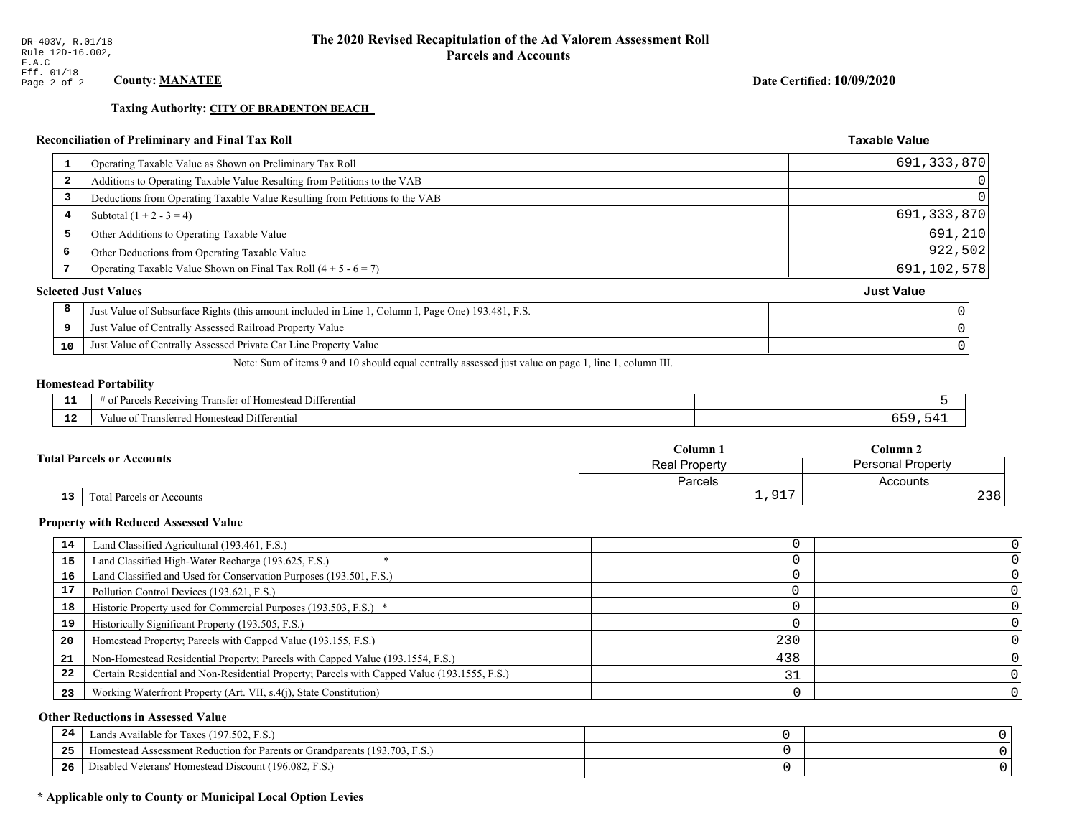**Taxing Authority: CITY OF BRADENTON BEACH** 

# Reconciliation of Preliminary and Final Tax Roll

| -1                      | Operating Taxable Value as Shown on Preliminary Tax Roll                                           | 691, 333, 870     |
|-------------------------|----------------------------------------------------------------------------------------------------|-------------------|
| $\overline{\mathbf{2}}$ | Additions to Operating Taxable Value Resulting from Petitions to the VAB                           | 0                 |
| 3                       | Deductions from Operating Taxable Value Resulting from Petitions to the VAB                        | $\Omega$          |
| 4                       | Subtotal $(1 + 2 - 3 = 4)$                                                                         | 691, 333, 870     |
| 5                       | Other Additions to Operating Taxable Value                                                         | 691,210           |
| 6                       | Other Deductions from Operating Taxable Value                                                      | 922,502           |
|                         | Operating Taxable Value Shown on Final Tax Roll $(4 + 5 - 6 = 7)$                                  | 691,102,578       |
|                         | <b>Selected Just Values</b>                                                                        | <b>Just Value</b> |
| 8                       | Just Value of Subsurface Rights (this amount included in Line 1, Column I, Page One) 193.481, F.S. |                   |
| 9                       | Just Value of Centrally Assessed Railroad Property Value                                           |                   |
| 10                      | Just Value of Centrally Assessed Private Car Line Property Value                                   |                   |
|                         |                                                                                                    |                   |

Note: Sum of items 9 and 10 should equal centrally assessed just value on page 1, line 1, column III.

### **Homestead Portability**

| - -<br>---  | --<br>. Differential<br>ranster<br>Receiving<br>∵omestean ∟.<br>$\sim$<br>arc.<br>вc<br>. |  |
|-------------|-------------------------------------------------------------------------------------------|--|
| $\sim$<br>. | i Differential<br>alue<br><b>Homestead</b><br>ausierieu –<br>тан                          |  |

| <b>Fotal Parcels or Accounts</b> |                           | C <b>olumn</b> 1   | Column 2                 |  |
|----------------------------------|---------------------------|--------------------|--------------------------|--|
|                                  |                           | Real Property      | <b>Personal Property</b> |  |
|                                  |                           | Parcels            | Accounts                 |  |
| 13 <sub>1</sub>                  | Total Parcels or Accounts | 017<br><b>エノンエ</b> | 238                      |  |

### **Property with Reduced Assessed Value**

| 14 | Land Classified Agricultural (193.461, F.S.)                                                 |     |  |
|----|----------------------------------------------------------------------------------------------|-----|--|
| 15 | Land Classified High-Water Recharge (193.625, F.S.)                                          |     |  |
| 16 | Land Classified and Used for Conservation Purposes (193.501, F.S.)                           |     |  |
| 17 | Pollution Control Devices (193.621, F.S.)                                                    |     |  |
| 18 | Historic Property used for Commercial Purposes (193.503, F.S.) *                             |     |  |
| 19 | Historically Significant Property (193.505, F.S.)                                            |     |  |
| 20 | Homestead Property; Parcels with Capped Value (193.155, F.S.)                                | 230 |  |
| 21 | Non-Homestead Residential Property; Parcels with Capped Value (193.1554, F.S.)               | 438 |  |
| 22 | Certain Residential and Non-Residential Property; Parcels with Capped Value (193.1555, F.S.) |     |  |
| 23 | Working Waterfront Property (Art. VII, s.4(j), State Constitution)                           |     |  |

### **Other Reductions in Assessed Value**

| -44 | Available for Taxes (197.502, F.S.)                                          |  |
|-----|------------------------------------------------------------------------------|--|
| 25  | 'omestead Assessment Reduction for Parents or Grandparents $(193.703, F.S.)$ |  |
| 26  | isabled Veterans' Homestead Discount (196.082, F.S.)                         |  |

# \* Applicable only to County or Municipal Local Option Levies

Date Certified: 10/09/2020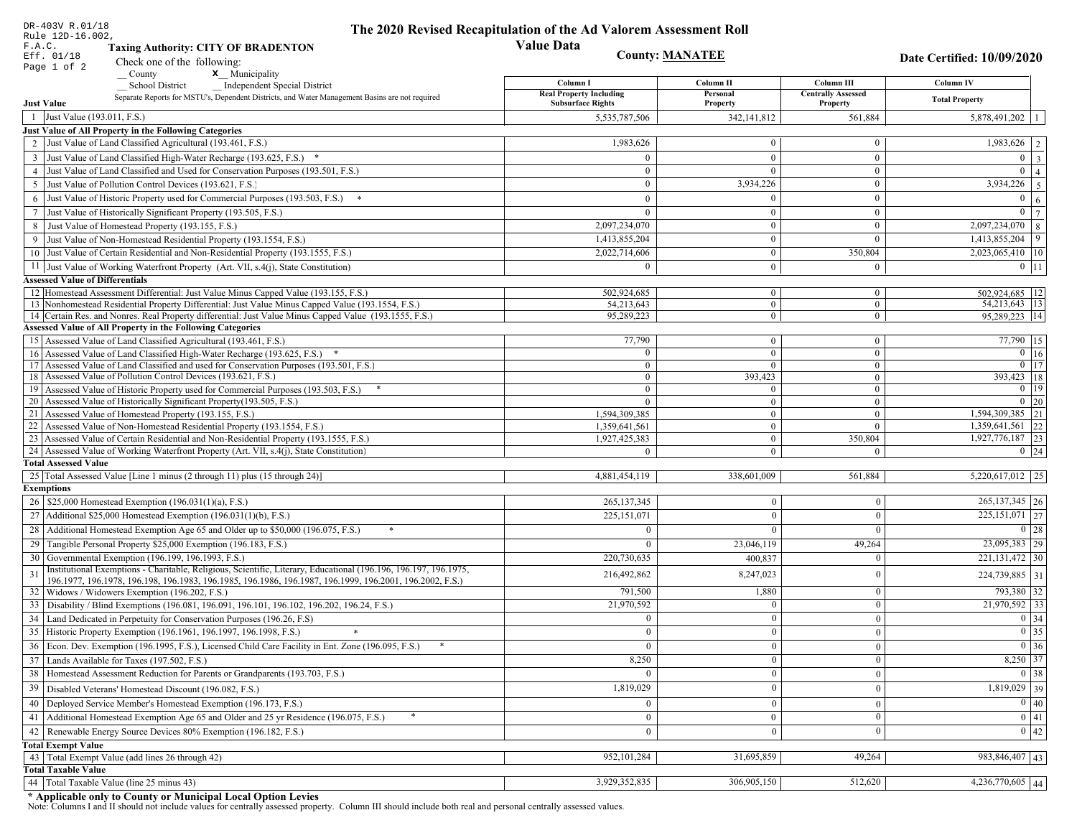|                   | DR-403V R.01/18<br>Rule 12D-16.002,                                                                                                                                                                                          | The 2020 Revised Recapitulation of the Ad Valorem Assessment Roll |                        |                                       |                            |
|-------------------|------------------------------------------------------------------------------------------------------------------------------------------------------------------------------------------------------------------------------|-------------------------------------------------------------------|------------------------|---------------------------------------|----------------------------|
| F.A.C.            | <b>Value Data</b><br><b>Taxing Authority: CITY OF BRADENTON</b>                                                                                                                                                              |                                                                   |                        |                                       |                            |
|                   | Eff. 01/18<br>Check one of the following:                                                                                                                                                                                    |                                                                   | <b>County: MANATEE</b> |                                       | Date Certified: 10/09/2020 |
|                   | Page 1 of 2<br>x Municipality<br>County                                                                                                                                                                                      |                                                                   |                        |                                       |                            |
|                   | <b>School District</b><br><b>Independent Special District</b>                                                                                                                                                                | Column I                                                          | Column II              | Column III                            | <b>Column IV</b>           |
| <b>Just Value</b> | Separate Reports for MSTU's, Dependent Districts, and Water Management Basins are not required                                                                                                                               | <b>Real Property Including</b><br><b>Subsurface Rights</b>        | Personal<br>Property   | <b>Centrally Assessed</b><br>Property | <b>Total Property</b>      |
|                   | 1 Just Value (193.011, F.S.)                                                                                                                                                                                                 | 5,535,787,506                                                     | 342, 141, 812          | 561,884                               | 5,878,491,202              |
|                   | Just Value of All Property in the Following Categories                                                                                                                                                                       |                                                                   |                        |                                       |                            |
|                   | 2 Just Value of Land Classified Agricultural (193.461, F.S.)                                                                                                                                                                 | 1,983,626                                                         | $\overline{0}$         | $\mathbf{0}$                          | $\overline{1,983,626}$   2 |
|                   | 3 Just Value of Land Classified High-Water Recharge (193.625, F.S.) *                                                                                                                                                        | $\Omega$                                                          | $\Omega$               | $\mathbf{0}$                          | $0 \mid 3$                 |
|                   | 4 Just Value of Land Classified and Used for Conservation Purposes (193.501, F.S.)                                                                                                                                           | $\mathbf{0}$                                                      |                        | $\mathbf{0}$                          | $\overline{0}$   4         |
|                   | 5 Just Value of Pollution Control Devices (193.621, F.S.)                                                                                                                                                                    | $\overline{0}$                                                    | 3,934,226              | $\mathbf{0}$                          | $3,934,226$ 5              |
| 6                 | Just Value of Historic Property used for Commercial Purposes (193.503, F.S.)                                                                                                                                                 | $\theta$                                                          |                        | $\mathbf{0}$                          | 0 <sup>1</sup><br>6        |
| $7\phantom{.0}$   | Just Value of Historically Significant Property (193.505, F.S.)                                                                                                                                                              | $\mathbf{0}$                                                      | $\mathbf{0}$           | $\overline{0}$                        | $0 \mid 7$                 |
|                   | 8 Just Value of Homestead Property (193.155, F.S.)                                                                                                                                                                           | 2,097,234,070                                                     | $\mathbf{0}$           | $\overline{0}$                        | $2,097,234,070$ 8          |
|                   | Just Value of Non-Homestead Residential Property (193.1554, F.S.)                                                                                                                                                            | 1,413,855,204                                                     | $\Omega$               | $\theta$                              | 1,413,855,204<br>9         |
|                   | 10 Just Value of Certain Residential and Non-Residential Property (193.1555, F.S.)                                                                                                                                           | 2,022,714,606                                                     | $\mathbf{0}$           | 350,804                               | 2,023,065,410 10           |
|                   | 11 Just Value of Working Waterfront Property (Art. VII, s.4(j), State Constitution)                                                                                                                                          | $\Omega$                                                          | $\mathbf{0}$           | $\mathbf{0}$                          | $0$   11                   |
|                   | <b>Assessed Value of Differentials</b>                                                                                                                                                                                       |                                                                   |                        |                                       |                            |
|                   | 12 Homestead Assessment Differential: Just Value Minus Capped Value (193.155, F.S.)                                                                                                                                          | 502,924,685                                                       | $\overline{0}$         | $\bf{0}$                              | 502,924,685   12           |
|                   | 13 Nonhomestead Residential Property Differential: Just Value Minus Capped Value (193.1554, F.S.)                                                                                                                            | 54.213.643                                                        | $\overline{0}$         | $\mathbf{0}$                          | 54, 213, 643   13          |
|                   | 14 Certain Res. and Nonres. Real Property differential: Just Value Minus Capped Value (193.1555, F.S.)                                                                                                                       | 95,289,223                                                        | $\mathbf{0}$           | $\mathbf{0}$                          | 95,289,223   14            |
|                   | <b>Assessed Value of All Property in the Following Categories</b>                                                                                                                                                            |                                                                   |                        |                                       |                            |
|                   | 15 Assessed Value of Land Classified Agricultural (193.461, F.S.)                                                                                                                                                            | 77,790                                                            | $\overline{0}$         | $\mathbf{0}$                          | $\overline{77,790}$ 15     |
|                   | 16 Assessed Value of Land Classified High-Water Recharge (193.625, F.S.) *                                                                                                                                                   | $\theta$                                                          | $\Omega$               | $\overline{0}$                        | $0$ 16                     |
|                   | 17 Assessed Value of Land Classified and used for Conservation Purposes (193.501, F.S.)                                                                                                                                      | $\overline{0}$                                                    |                        | $\mathbf{0}$                          | $0$ 17                     |
|                   | 18 Assessed Value of Pollution Control Devices (193.621, F.S.)                                                                                                                                                               | $\overline{0}$                                                    | 393,423                | $\overline{0}$                        | $393,423$ 18               |
|                   | 19 Assessed Value of Historic Property used for Commercial Purposes (193.503, F.S.)                                                                                                                                          | $\bf{0}$                                                          | $\theta$               | $\mathbf{0}$                          | $0$   19                   |
|                   | 20 Assessed Value of Historically Significant Property (193.505, F.S.)                                                                                                                                                       | $\theta$                                                          | $\mathbf{0}$           | $\overline{0}$                        | $0 \mid 20$                |
|                   | 21 Assessed Value of Homestead Property (193.155, F.S.)                                                                                                                                                                      | 1,594,309,385                                                     | $\overline{0}$         | $\mathbf{0}$                          | 1,594,309,385 21           |
|                   | 22 Assessed Value of Non-Homestead Residential Property (193.1554, F.S.)                                                                                                                                                     | 1,359,641,561                                                     | $\mathbf{0}$           | $\mathbf{0}$                          | $1,359,641,561$ 22         |
|                   | 23 Assessed Value of Certain Residential and Non-Residential Property (193.1555, F.S.)                                                                                                                                       | 1,927,425,383                                                     | $\mathbf{0}$           | 350,804                               | 1,927,776,187 23           |
|                   | 24 Assessed Value of Working Waterfront Property (Art. VII, s.4(j), State Constitution)<br><b>Total Assessed Value</b>                                                                                                       | $\Omega$                                                          | $\Omega$               | $\Omega$                              | $0 \mid 24$                |
|                   | 25 Total Assessed Value [Line 1 minus (2 through 11) plus (15 through 24)]                                                                                                                                                   | 4,881,454,119                                                     | 338,601,009            | 561,884                               | $5,220,617,012$ 25         |
| <b>Exemptions</b> |                                                                                                                                                                                                                              |                                                                   |                        |                                       |                            |
|                   | 26   \$25,000 Homestead Exemption (196.031(1)(a), F.S.)                                                                                                                                                                      | 265, 137, 345                                                     | $\bf{0}$               | $\mathbf{0}$                          | $265,137,345$ 26           |
|                   | 27   Additional \$25,000 Homestead Exemption $(196.031(1)(b), F.S.)$                                                                                                                                                         | 225, 151, 071                                                     | $\mathbf{0}$           | $\theta$                              | $225,151,071$ 27           |
|                   |                                                                                                                                                                                                                              |                                                                   |                        |                                       |                            |
|                   | 28 Additional Homestead Exemption Age 65 and Older up to \$50,000 (196.075, F.S.)                                                                                                                                            | $\Omega$                                                          | $\theta$               | $\Omega$                              | 0 28                       |
|                   | 29 Tangible Personal Property \$25,000 Exemption (196.183, F.S.)                                                                                                                                                             | $\Omega$                                                          | 23,046,119             | 49,264                                | 23,095,383 29              |
|                   | 30 Governmental Exemption (196.199, 196.1993, F.S.)                                                                                                                                                                          | 220,730,635                                                       | 400,837                | 0                                     | 221, 131, 472 30           |
| 31                | Institutional Exemptions - Charitable, Religious, Scientific, Literary, Educational (196.196, 196.197, 196.1975,<br>196.1977, 196.1978, 196.198, 196.1983, 196.1985, 196.1986, 196.1987, 196.1999, 196.2001, 196.2002, F.S.) | 216,492,862                                                       | 8,247,023              | $\theta$                              | 224,739,885 31             |
|                   | 32   Widows / Widowers Exemption (196.202, F.S.)                                                                                                                                                                             | 791,500                                                           | 1,880                  | $\mathbf{0}$                          | 793,380 32                 |
|                   | 33 Disability / Blind Exemptions (196.081, 196.091, 196.101, 196.102, 196.202, 196.24, F.S.)                                                                                                                                 | 21,970,592                                                        | $\Omega$               | $\mathbf{0}$                          | 21,970,592 33              |
|                   | 34 Land Dedicated in Perpetuity for Conservation Purposes (196.26, F.S)                                                                                                                                                      | $\Omega$                                                          | $\theta$               | $\Omega$                              | $0 \mid 34$                |
|                   | 35 Historic Property Exemption (196.1961, 196.1997, 196.1998, F.S.)                                                                                                                                                          | 0                                                                 | $\mathbf{U}$           | $\vert 0 \vert$                       | $\boxed{0}$ 35             |
|                   | 36 Econ. Dev. Exemption (196.1995, F.S.), Licensed Child Care Facility in Ent. Zone (196.095, F.S.)                                                                                                                          | $\overline{0}$                                                    | $\boldsymbol{0}$       | $\mathbf{0}$                          | $\overline{0}$ 36          |
|                   | 37 Lands Available for Taxes (197.502, F.S.)                                                                                                                                                                                 | 8,250                                                             | $\mathbf{0}$           | $\mathbf{0}$                          | 8,250 37                   |
|                   |                                                                                                                                                                                                                              |                                                                   |                        |                                       |                            |
|                   | 38   Homestead Assessment Reduction for Parents or Grandparents (193.703, F.S.)                                                                                                                                              | $\overline{0}$                                                    | $\bf{0}$               | $\bf{0}$                              | $0 \mid 38$                |
| 39                | Disabled Veterans' Homestead Discount (196.082, F.S.)                                                                                                                                                                        | 1,819,029                                                         | $\mathbf{0}$           | $\mathbf{0}$                          | $1,819,029$ 39             |
| 40                | Deployed Service Member's Homestead Exemption (196.173, F.S.)                                                                                                                                                                | $\overline{0}$                                                    | $\boldsymbol{0}$       | $\mathbf{0}$                          | $\boxed{0}$ 40             |
|                   | 41 Additional Homestead Exemption Age 65 and Older and 25 yr Residence (196.075, F.S.)                                                                                                                                       | $\mathbf{0}$                                                      | $\overline{0}$         | $\mathbf{0}$                          | $\overline{0}$ 41          |
| 42                | Renewable Energy Source Devices 80% Exemption (196.182, F.S.)                                                                                                                                                                | $\mathbf{0}$                                                      | $\mathbf{0}$           | $\mathbf{0}$                          | 0 42                       |
|                   | <b>Total Exempt Value</b>                                                                                                                                                                                                    |                                                                   |                        |                                       |                            |
|                   | 43 Total Exempt Value (add lines 26 through 42)                                                                                                                                                                              | 952,101,284                                                       | 31,695,859             | 49,264                                | 983,846,407 43             |
|                   | <b>Total Taxable Value</b>                                                                                                                                                                                                   |                                                                   |                        |                                       |                            |
| 44                | Total Taxable Value (line 25 minus 43)                                                                                                                                                                                       | 3,929,352,835                                                     | 306,905,150            | 512,620                               | 4,236,770,605 44           |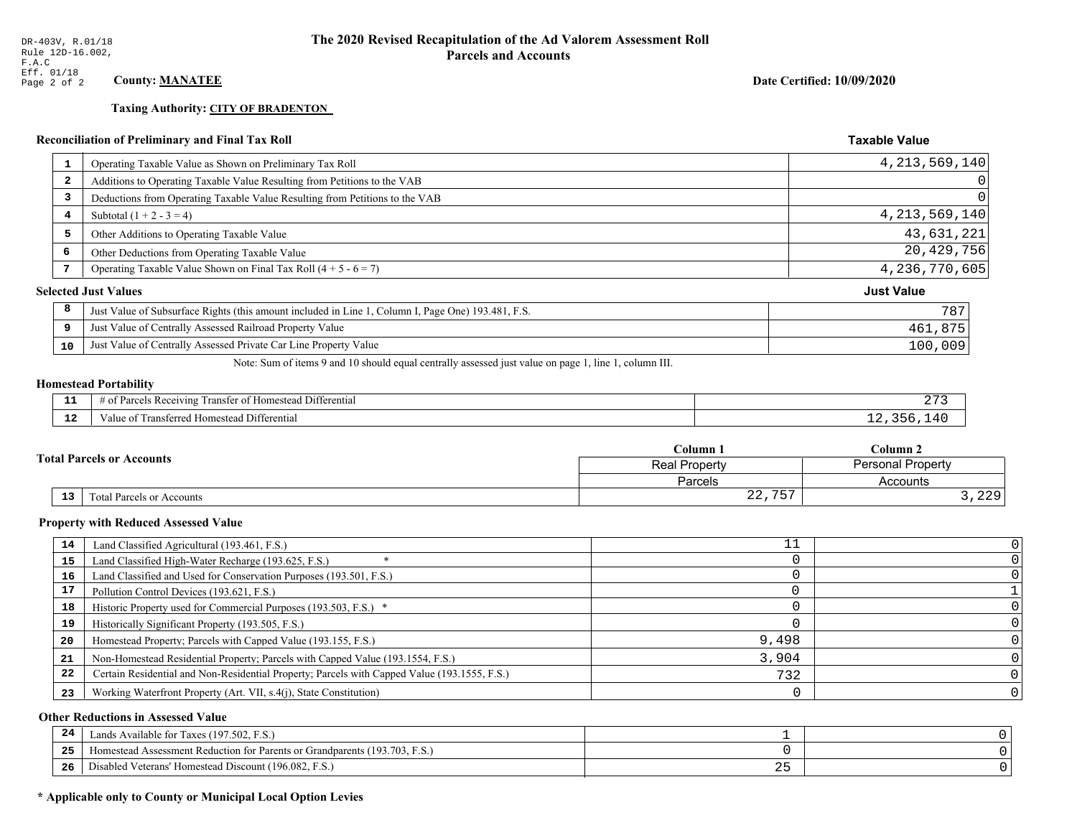# **Taxing Authority: CITY OF BRADENTON**

| 1  | Operating Taxable Value as Shown on Preliminary Tax Roll                                           | 4, 213, 569, 140  |
|----|----------------------------------------------------------------------------------------------------|-------------------|
| 2  | Additions to Operating Taxable Value Resulting from Petitions to the VAB                           |                   |
| 3  | Deductions from Operating Taxable Value Resulting from Petitions to the VAB                        |                   |
| 4  | Subtotal $(1 + 2 - 3 = 4)$                                                                         | 4, 213, 569, 140  |
| 5  | Other Additions to Operating Taxable Value                                                         | 43,631,221        |
| 6  | Other Deductions from Operating Taxable Value                                                      | 20,429,756        |
| 7  | Operating Taxable Value Shown on Final Tax Roll $(4 + 5 - 6 = 7)$                                  | 4,236,770,605     |
|    | <b>Selected Just Values</b>                                                                        | <b>Just Value</b> |
| 8  | Just Value of Subsurface Rights (this amount included in Line 1, Column I, Page One) 193.481, F.S. | 787               |
| 9  | Just Value of Centrally Assessed Railroad Property Value                                           | 461,875           |
| 10 | Just Value of Centrally Assessed Private Car Line Property Value                                   | 100,009           |
|    |                                                                                                    |                   |

Note: Sum of items 9 and 10 should equal centrally assessed just value on page 1, line 1, column III.

# **Homestead Portability**

| - 3           | .<br>$\sim$ Ty<br>. Differential<br>Uranster of Homestead.<br>Parcels.<br>s Receiving :<br>$#$ 01. | ∼                      |
|---------------|----------------------------------------------------------------------------------------------------|------------------------|
| $\sim$<br>--- | $\sim$<br>Fransferred Homestead Differential<br>alue                                               | $\prime$<br>. $\sim$ r |

|                                                     | $C$ olumn $\Box$     | Column 2          |  |
|-----------------------------------------------------|----------------------|-------------------|--|
| <b>Total Parcels or Accounts</b>                    | <b>Real Property</b> | Personal Property |  |
|                                                     | Parcels              | Accounts          |  |
| $\overline{13}$<br><b>Total Parcels or Accounts</b> | 757<br>$\cap$<br>44, | つつQ<br>ر دے دے    |  |

### **Property with Reduced Assessed Value**

| 14 | Land Classified Agricultural (193.461, F.S.)                                                 | TΤ    |                |
|----|----------------------------------------------------------------------------------------------|-------|----------------|
| 15 | Land Classified High-Water Recharge (193.625, F.S.)                                          |       |                |
| 16 | Land Classified and Used for Conservation Purposes (193.501, F.S.)                           |       |                |
| 17 | Pollution Control Devices (193.621, F.S.)                                                    |       |                |
| 18 | Historic Property used for Commercial Purposes (193.503, F.S.) *                             |       |                |
| 19 | Historically Significant Property (193.505, F.S.)                                            |       |                |
| 20 | Homestead Property; Parcels with Capped Value (193.155, F.S.)                                | 9,498 |                |
| 21 | Non-Homestead Residential Property; Parcels with Capped Value (193.1554, F.S.)               | 3.904 |                |
| 22 | Certain Residential and Non-Residential Property; Parcels with Capped Value (193.1555, F.S.) | 732   |                |
| 23 | Working Waterfront Property (Art. VII, s.4(j), State Constitution)                           |       | 0 <sup>1</sup> |

### **Other Reductions in Assessed Value**

| 24    | Lands Available for Taxes (197.502, F.S.)                                  |     |  |
|-------|----------------------------------------------------------------------------|-----|--|
| - - - | Homestead Assessment Reduction for Parents or Grandparents (193.703, F.S.) |     |  |
| -26   | Disabled Veterans' Homestead Discount (196.082, F.S.)                      | ∼ ~ |  |

# \* Applicable only to County or Municipal Local Option Levies

Date Certified: 10/09/2020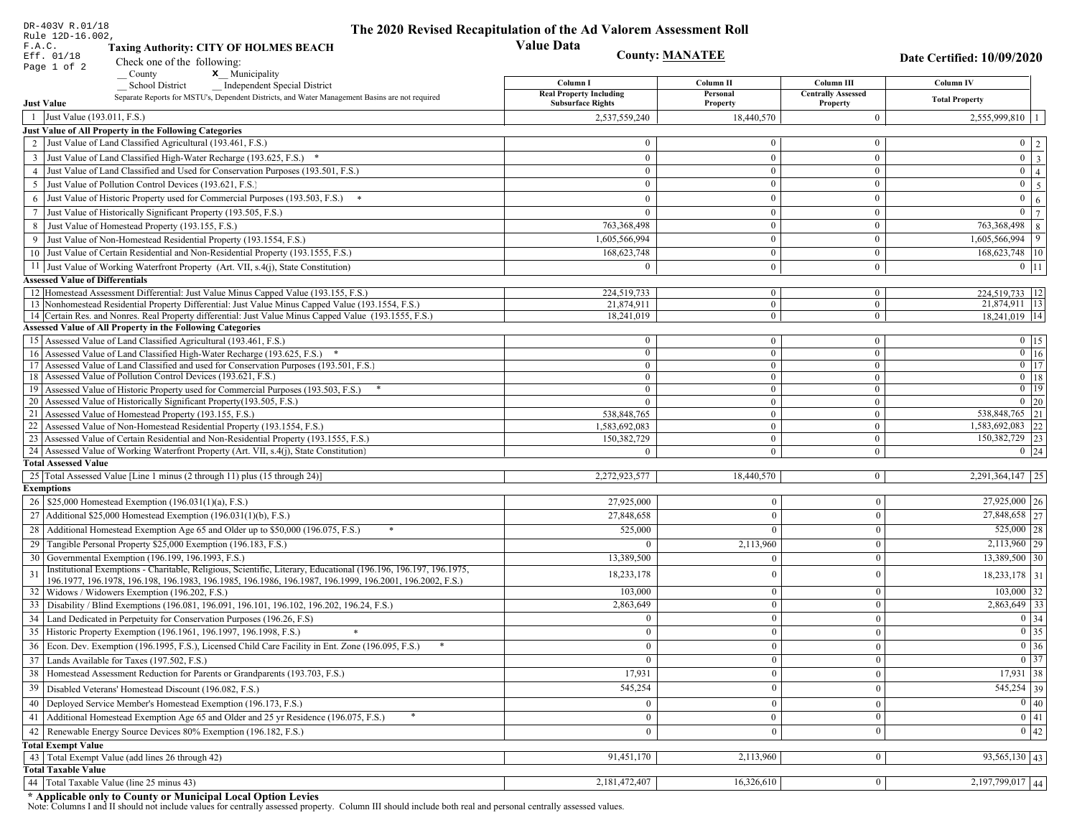| DR-403V R.01/18                        |                                                                                                                                                               | The 2020 Revised Recapitulation of the Ad Valorem Assessment Roll |                                  |                                       |                                                                       |
|----------------------------------------|---------------------------------------------------------------------------------------------------------------------------------------------------------------|-------------------------------------------------------------------|----------------------------------|---------------------------------------|-----------------------------------------------------------------------|
| Rule 12D-16.002,<br>F.A.C.             | <b>Taxing Authority: CITY OF HOLMES BEACH</b>                                                                                                                 | <b>Value Data</b>                                                 |                                  |                                       |                                                                       |
| Eff. 01/18                             | Check one of the following:                                                                                                                                   | <b>County: MANATEE</b>                                            |                                  | Date Certified: 10/09/2020            |                                                                       |
| Page 1 of 2                            | x Municipality<br>County                                                                                                                                      |                                                                   |                                  |                                       |                                                                       |
|                                        | <b>School District</b><br><b>Independent Special District</b>                                                                                                 | Column I                                                          | Column II                        | Column III                            | Column IV                                                             |
| <b>Just Value</b>                      | Separate Reports for MSTU's, Dependent Districts, and Water Management Basins are not required                                                                | <b>Real Property Including</b><br><b>Subsurface Rights</b>        | Personal<br>Property             | <b>Centrally Assessed</b><br>Property | <b>Total Property</b>                                                 |
| 1 Just Value (193.011, F.S.)           |                                                                                                                                                               | 2,537,559,240                                                     | 18,440,570                       | $\mathbf{0}$                          | $2,555,999,810$   1                                                   |
|                                        | Just Value of All Property in the Following Categories                                                                                                        |                                                                   |                                  |                                       |                                                                       |
|                                        | 2 Just Value of Land Classified Agricultural (193.461, F.S.)                                                                                                  | $\Omega$                                                          | $\Omega$                         | $\bf{0}$                              | $0 \mid 2 \mid$                                                       |
|                                        | 3 Just Value of Land Classified High-Water Recharge (193.625, F.S.) *                                                                                         | $\mathbf{0}$                                                      | $\overline{0}$                   | $\mathbf{0}$                          | $\boxed{0}$ $\boxed{3}$                                               |
|                                        | 4 Just Value of Land Classified and Used for Conservation Purposes (193.501, F.S.)                                                                            | $\mathbf{0}$                                                      | $\overline{0}$                   | $\overline{0}$                        | $\overline{0}$   4                                                    |
| 5                                      | Just Value of Pollution Control Devices (193.621, F.S.)                                                                                                       | $\Omega$                                                          | $\Omega$                         | $\mathbf{0}$                          | $0 \mid 5 \mid$                                                       |
|                                        | 6 Just Value of Historic Property used for Commercial Purposes (193.503, F.S.) *                                                                              | $\Omega$                                                          | $\theta$                         | $\mathbf{0}$                          | $0 \mid 6 \mid$                                                       |
|                                        | 7 Just Value of Historically Significant Property (193.505, F.S.)                                                                                             | $\Omega$                                                          | $\overline{0}$                   | $\mathbf{0}$                          | $\overline{0}$<br>$7\phantom{.0}$                                     |
|                                        | 8 Just Value of Homestead Property (193.155, F.S.)                                                                                                            | 763,368,498                                                       |                                  | $\mathbf{0}$                          | 763,368,498 8                                                         |
|                                        | 9 Just Value of Non-Homestead Residential Property (193.1554, F.S.)                                                                                           | 1,605,566,994                                                     | $\theta$                         | $\mathbf{0}$                          | $1,605,566,994$ 9                                                     |
|                                        | 10 Just Value of Certain Residential and Non-Residential Property (193.1555, F.S.)                                                                            | 168,623,748                                                       | $\overline{0}$                   | $\mathbf{0}$                          | 168,623,748   10                                                      |
|                                        | 11 Just Value of Working Waterfront Property (Art. VII, s.4(j), State Constitution)                                                                           | 0                                                                 | $\overline{0}$                   | $\mathbf{0}$                          | $0 \mid 11 \mid$                                                      |
| <b>Assessed Value of Differentials</b> |                                                                                                                                                               |                                                                   |                                  |                                       |                                                                       |
|                                        | 12 Homestead Assessment Differential: Just Value Minus Capped Value (193.155, F.S.)                                                                           | 224,519,733                                                       | $\mathbf{0}$                     | $\bf{0}$                              | 224,519,733   12                                                      |
|                                        | 13 Nonhomestead Residential Property Differential: Just Value Minus Capped Value (193.1554, F.S.)                                                             | 21,874,911                                                        | $\overline{0}$                   | $\mathbf{0}$                          | 21,874,911 13                                                         |
|                                        | 14 Certain Res. and Nonres. Real Property differential: Just Value Minus Capped Value (193.1555, F.S.)                                                        | 18,241,019                                                        | $\mathbf{0}$                     | $\bf{0}$                              | 18,241,019 14                                                         |
|                                        | <b>Assessed Value of All Property in the Following Categories</b>                                                                                             |                                                                   |                                  |                                       |                                                                       |
|                                        | 15 Assessed Value of Land Classified Agricultural (193.461, F.S.)                                                                                             | $\bf{0}$                                                          | $\mathbf{0}$                     | $\bf{0}$                              | $0 \t15$                                                              |
|                                        | 16 Assessed Value of Land Classified High-Water Recharge (193.625, F.S.) *                                                                                    | $\theta$                                                          | $\mathbf{0}$                     | $\bf{0}$                              | $0$ 16                                                                |
|                                        | 17 Assessed Value of Land Classified and used for Conservation Purposes (193.501, F.S.)                                                                       | $\mathbf{0}$                                                      | $\mathbf{0}$                     | $\bf{0}$                              | $0$ 17                                                                |
|                                        | 18 Assessed Value of Pollution Control Devices (193.621, F.S.)                                                                                                | $\mathbf{0}$                                                      | $\overline{0}$<br>$\overline{0}$ | $\bf{0}$                              | $0$   18<br>$0$ 19                                                    |
|                                        | 19 Assessed Value of Historic Property used for Commercial Purposes (193.503, F.S.)<br>20 Assessed Value of Historically Significant Property (193.505, F.S.) | $\theta$<br>$\Omega$                                              | $\theta$                         | $\overline{0}$<br>$\overline{0}$      | $0 \mid 20$                                                           |
|                                        | 21 Assessed Value of Homestead Property (193.155, F.S.)                                                                                                       | 538,848,765                                                       | $\overline{0}$                   | $\bf{0}$                              | 538,848,765 21                                                        |
|                                        | 22 Assessed Value of Non-Homestead Residential Property (193.1554, F.S.)                                                                                      | 1,583,692,083                                                     | $\overline{0}$                   | $\bf{0}$                              | 1,583,692,083 22                                                      |
|                                        | 23 Assessed Value of Certain Residential and Non-Residential Property (193.1555, F.S.)                                                                        | 150,382,729                                                       | $\mathbf{0}$                     | $\bf{0}$                              | 150,382,729 23                                                        |
|                                        | 24 Assessed Value of Working Waterfront Property (Art. VII, s.4(j), State Constitution)                                                                       | $\Omega$                                                          | $\overline{0}$                   | $\mathbf{0}$                          | $0 \quad 24$                                                          |
| <b>Total Assessed Value</b>            |                                                                                                                                                               |                                                                   |                                  |                                       |                                                                       |
|                                        | 25 Total Assessed Value [Line 1 minus (2 through 11) plus (15 through 24)]                                                                                    | 2,272,923,577                                                     | 18,440,570                       | $\vert 0 \vert$                       | $2,291,364,147$   25                                                  |
| <b>Exemptions</b>                      |                                                                                                                                                               |                                                                   |                                  |                                       |                                                                       |
|                                        | 26   \$25,000 Homestead Exemption (196.031(1)(a), F.S.)                                                                                                       | 27,925,000                                                        | $\overline{0}$                   | $\boldsymbol{0}$                      | $27,925,000$ 26                                                       |
|                                        | 27   Additional \$25,000 Homestead Exemption (196.031(1)(b), F.S.)                                                                                            | 27,848,658                                                        | $\overline{0}$                   | $\mathbf{0}$                          | $\overline{27,848,658}$ 27                                            |
|                                        | 28 Additional Homestead Exemption Age 65 and Older up to \$50,000 (196.075, F.S.)                                                                             | 525,000                                                           | $\overline{0}$                   | $\boldsymbol{0}$                      | $525,000$   28                                                        |
|                                        | 29 Tangible Personal Property \$25,000 Exemption (196.183, F.S.)                                                                                              | $\Omega$                                                          | 2,113,960                        | $\boldsymbol{0}$                      | $2,113,960$ 29                                                        |
|                                        | 30 Governmental Exemption (196.199, 196.1993, F.S.)                                                                                                           | 13.389.500                                                        | $\overline{0}$                   | $\boldsymbol{0}$                      | 13,389,500 30                                                         |
| 31                                     | Institutional Exemptions - Charitable, Religious, Scientific, Literary, Educational (196.196, 196.197, 196.1975,                                              | 18,233,178                                                        | $\mathbf{0}$                     | $\boldsymbol{0}$                      | 18,233,178 31                                                         |
|                                        | 196.1977, 196.1978, 196.198, 196.1983, 196.1985, 196.1986, 196.1987, 196.1999, 196.2001, 196.2002, F.S.)                                                      |                                                                   | $\mathbf{0}$                     | $\boldsymbol{0}$                      | $103,000$ 32                                                          |
|                                        | 32   Widows / Widowers Exemption (196.202, F.S.)                                                                                                              | 103,000                                                           | $\overline{0}$                   | $\mathbf{0}$                          | 2,863,649 33                                                          |
|                                        | 33 Disability / Blind Exemptions (196.081, 196.091, 196.101, 196.102, 196.202, 196.24, F.S.)                                                                  | 2,863,649                                                         | $\overline{0}$                   |                                       |                                                                       |
|                                        | 34 Land Dedicated in Perpetuity for Conservation Purposes (196.26, F.S)<br>35 Historic Property Exemption (196.1961, 196.1997, 196.1998, F.S.)                | $\overline{0}$                                                    |                                  | $\mathbf{0}$                          | 0 34                                                                  |
|                                        |                                                                                                                                                               | $\mathbf{0}$                                                      | $\mathbf{0}$                     | $\bf{0}$                              | $\begin{array}{ c c }\n\hline\n0 & 35 \\ \hline\n0 & 36\n\end{array}$ |
|                                        | 36 Econ. Dev. Exemption (196.1995, F.S.), Licensed Child Care Facility in Ent. Zone (196.095, F.S.)                                                           | $\overline{0}$                                                    | $\overline{0}$                   | $\overline{0}$                        | $\boxed{0}$ 37                                                        |
|                                        | 37 Lands Available for Taxes (197.502, F.S.)                                                                                                                  | $\mathbf{0}$                                                      | $\vert 0 \vert$                  | $\mathbf{0}$                          |                                                                       |
|                                        | 38   Homestead Assessment Reduction for Parents or Grandparents (193.703, F.S.)                                                                               | 17,931                                                            | $\bf{0}$                         | $\mathbf{0}$                          | $17,931$ 38                                                           |
|                                        | 39   Disabled Veterans' Homestead Discount (196.082, F.S.)                                                                                                    | 545,254                                                           | $\overline{0}$                   | $\mathbf{0}$                          | 545,254 39                                                            |
|                                        | 40   Deployed Service Member's Homestead Exemption (196.173, F.S.)                                                                                            | $\overline{0}$                                                    | $\mathbf{0}$                     | $\boldsymbol{0}$                      | 0 40                                                                  |
| 41                                     | Additional Homestead Exemption Age 65 and Older and 25 yr Residence (196.075, F.S.)                                                                           | $\mathbf{0}$                                                      | $\mathbf{0}$                     | $\boldsymbol{0}$                      | 0 41                                                                  |
|                                        | 42 Renewable Energy Source Devices 80% Exemption (196.182, F.S.)                                                                                              | $\mathbf{0}$                                                      | $\overline{0}$                   | $\mathbf{0}$                          | $0 \mid 42$                                                           |
| <b>Total Exempt Value</b>              |                                                                                                                                                               |                                                                   |                                  |                                       |                                                                       |
|                                        | 43 Total Exempt Value (add lines 26 through 42)                                                                                                               | 91,451,170                                                        | 2,113,960                        | $\mathbf{0}$                          | $93,565,130$ 43                                                       |
| <b>Total Taxable Value</b>             |                                                                                                                                                               |                                                                   |                                  |                                       |                                                                       |
|                                        | 44   Total Taxable Value (line 25 minus 43)                                                                                                                   | 2,181,472,407                                                     | 16,326,610                       | $\bf{0}$                              | $2,197,799,017$ 44                                                    |

DR-403V R.01/18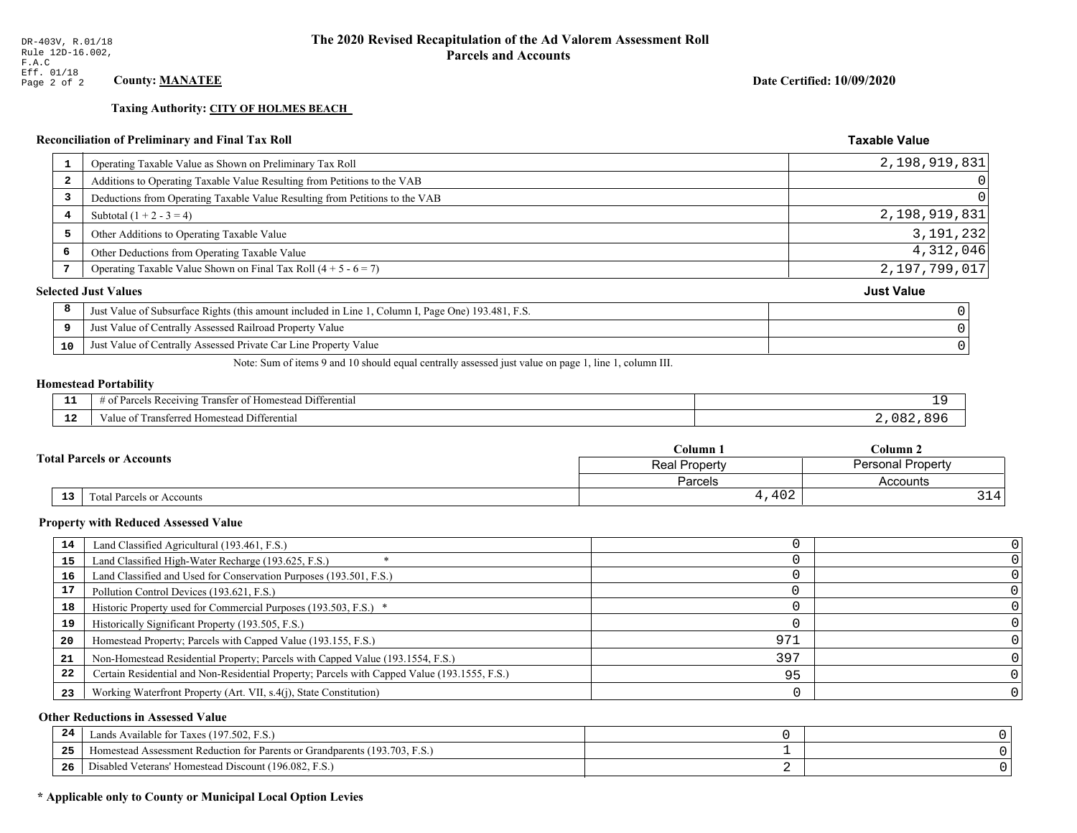**Taxing Authority: CITY OF HOLMES BEACH** 

# Reconciliation of Preliminary and Final Tax Roll

| 1                       | Operating Taxable Value as Shown on Preliminary Tax Roll                                           | 2,198,919,831     |
|-------------------------|----------------------------------------------------------------------------------------------------|-------------------|
| $\overline{\mathbf{2}}$ | Additions to Operating Taxable Value Resulting from Petitions to the VAB                           | 0                 |
| 3                       | Deductions from Operating Taxable Value Resulting from Petitions to the VAB                        | 0                 |
| 4                       | Subtotal $(1 + 2 - 3 = 4)$                                                                         | 2,198,919,831     |
| 5                       | Other Additions to Operating Taxable Value                                                         | 3, 191, 232       |
| 6                       | Other Deductions from Operating Taxable Value                                                      | 4,312,046         |
|                         | Operating Taxable Value Shown on Final Tax Roll $(4 + 5 - 6 = 7)$                                  | 2,197,799,017     |
|                         | <b>Selected Just Values</b>                                                                        | <b>Just Value</b> |
| 8                       | Just Value of Subsurface Rights (this amount included in Line 1, Column I, Page One) 193.481, F.S. |                   |
| 9                       | Just Value of Centrally Assessed Railroad Property Value                                           |                   |
| 10                      | Just Value of Centrally Assessed Private Car Line Property Value                                   |                   |
|                         |                                                                                                    |                   |

Note: Sum of items 9 and 10 should equal centrally assessed just value on page 1, line 1, column III.

### **Homestead Portability**

| - -         | --<br>ranster<br>Differential<br><i>Pacawing</i><br>lomeste:<br>. arce:<br>-01<br>n<br>,,,,,, |           |
|-------------|-----------------------------------------------------------------------------------------------|-----------|
| $\sim$<br>. | l Differential<br>alue<br><b>Homestead</b><br>ausierieu –<br>тан.                             | nΩ<br>o o |

|  |                                                   |                           | C <b>olumn</b> 1         | $_{\rm Column~2}$ |  |  |
|--|---------------------------------------------------|---------------------------|--------------------------|-------------------|--|--|
|  | <b>Fotal Parcels or Accounts</b><br>Real Property |                           | <b>Personal Property</b> |                   |  |  |
|  |                                                   |                           | <b>Parcels</b>           | Accounts          |  |  |
|  | 13                                                | Total Parcels or Accounts | 4,402                    | 314'              |  |  |

### **Property with Reduced Assessed Value**

| 14 | Land Classified Agricultural (193.461, F.S.)                                                 |     |  |
|----|----------------------------------------------------------------------------------------------|-----|--|
| 15 | Land Classified High-Water Recharge (193.625, F.S.)                                          |     |  |
| 16 | Land Classified and Used for Conservation Purposes (193.501, F.S.)                           |     |  |
| 17 | Pollution Control Devices (193.621, F.S.)                                                    |     |  |
| 18 | Historic Property used for Commercial Purposes (193.503, F.S.) *                             |     |  |
| 19 | Historically Significant Property (193.505, F.S.)                                            |     |  |
| 20 | Homestead Property; Parcels with Capped Value (193.155, F.S.)                                | 971 |  |
| 21 | Non-Homestead Residential Property; Parcels with Capped Value (193.1554, F.S.)               | 397 |  |
| 22 | Certain Residential and Non-Residential Property; Parcels with Capped Value (193.1555, F.S.) | 95  |  |
| 23 | Working Waterfront Property (Art. VII, s.4(j), State Constitution)                           |     |  |

### **Other Reductions in Assessed Value**

| 24    | Lands Available for Taxes (197.502, F.S.)                                  |  |
|-------|----------------------------------------------------------------------------|--|
| - - - | Iomestead Assessment Reduction for Parents or Grandparents (193.703, F.S.) |  |
| -26   | Disabled Veterans' Homestead Discount (196.082, F.S.)                      |  |

# \* Applicable only to County or Municipal Local Option Levies

Date Certified: 10/09/2020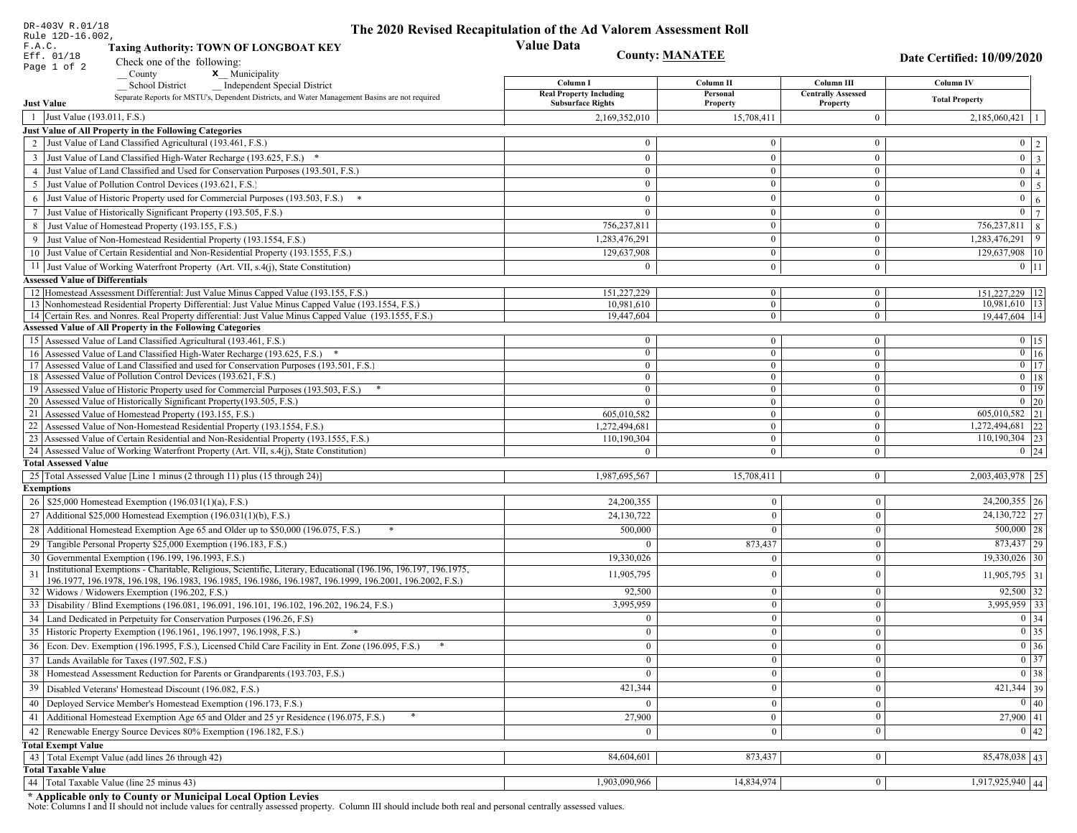| DR-403V R.01/18                        |                                                                                                                                                             | The 2020 Revised Recapitulation of the Ad Valorem Assessment Roll |                                |                                  |                                     |
|----------------------------------------|-------------------------------------------------------------------------------------------------------------------------------------------------------------|-------------------------------------------------------------------|--------------------------------|----------------------------------|-------------------------------------|
| Rule 12D-16.002,<br>F.A.C.             | <b>Taxing Authority: TOWN OF LONGBOAT KEY</b>                                                                                                               | <b>Value Data</b>                                                 |                                |                                  |                                     |
| Eff. 01/18                             |                                                                                                                                                             | <b>County: MANATEE</b>                                            |                                |                                  | Date Certified: 10/09/2020          |
| Page 1 of 2                            | Check one of the following:<br>x Municipality<br>County                                                                                                     |                                                                   |                                |                                  |                                     |
|                                        | <b>School District</b><br><b>Independent Special District</b>                                                                                               | Column I                                                          | Column II                      | Column III                       | Column IV                           |
|                                        | Separate Reports for MSTU's, Dependent Districts, and Water Management Basins are not required                                                              | <b>Real Property Including</b>                                    | Personal                       | <b>Centrally Assessed</b>        | <b>Total Property</b>               |
| <b>Just Value</b>                      |                                                                                                                                                             | <b>Subsurface Rights</b>                                          | Property                       | Property                         |                                     |
| 1 Just Value (193.011, F.S.)           |                                                                                                                                                             | 2,169,352,010                                                     | 15,708,411                     | $\mathbf{0}$                     | 2,185,060,421                       |
|                                        | Just Value of All Property in the Following Categories<br>2 Just Value of Land Classified Agricultural (193.461, F.S.)                                      | $\theta$                                                          | $\theta$                       | $\mathbf{0}$                     |                                     |
|                                        |                                                                                                                                                             |                                                                   |                                |                                  | $0 \mid 2$                          |
|                                        | 3 Just Value of Land Classified High-Water Recharge (193.625, F.S.) *<br>4 Just Value of Land Classified and Used for Conservation Purposes (193.501, F.S.) | $\theta$<br>$\Omega$                                              | $\mathbf{0}$<br>$\mathbf{0}$   | $\overline{0}$<br>$\mathbf{0}$   | $0 \overline{3}$<br>$\overline{0}$  |
|                                        | Just Value of Pollution Control Devices (193.621, F.S.)                                                                                                     | $\theta$                                                          | $\theta$                       | $\boldsymbol{0}$                 | $\vert 4 \vert$<br>$\mathbf{0}$     |
| 5                                      |                                                                                                                                                             |                                                                   |                                |                                  | $5\overline{5}$                     |
|                                        | 6 Just Value of Historic Property used for Commercial Purposes (193.503, F.S.) *                                                                            | $\Omega$                                                          | $\mathbf{0}$                   | $\overline{0}$                   | $\mathbf{0}$<br>6<br>$\overline{0}$ |
|                                        | 7 Just Value of Historically Significant Property (193.505, F.S.)                                                                                           | $\Omega$                                                          | $\overline{0}$<br>$\theta$     | $\mathbf{0}$<br>$\bf{0}$         | 7<br>$756,237,811$ 8                |
|                                        | 8 Just Value of Homestead Property (193.155, F.S.)                                                                                                          | 756,237,811                                                       | $\overline{0}$                 |                                  | $1,283,476,291$ 9                   |
|                                        | 9 Just Value of Non-Homestead Residential Property (193.1554, F.S.)<br>10 Just Value of Certain Residential and Non-Residential Property (193.1555, F.S.)   | 1,283,476,291                                                     | $\mathbf{0}$                   | $\mathbf{0}$                     |                                     |
|                                        |                                                                                                                                                             | 129,637,908                                                       |                                | $\mathbf{0}$                     | 129,637,908 10                      |
|                                        | 11 Just Value of Working Waterfront Property (Art. VII, s.4(j), State Constitution)                                                                         | $\theta$                                                          | $\overline{0}$                 | $\mathbf{0}$                     | $0$   11                            |
| <b>Assessed Value of Differentials</b> | 12 Homestead Assessment Differential: Just Value Minus Capped Value (193.155, F.S.)                                                                         | 151,227,229                                                       | $\bf{0}$                       | $\mathbf{0}$                     |                                     |
|                                        | 13 Nonhomestead Residential Property Differential: Just Value Minus Capped Value (193.1554, F.S.)                                                           | 10.981.610                                                        | $\mathbf{0}$                   | $\overline{0}$                   | 151,227,229   12<br>10,981,610   13 |
|                                        | 14 Certain Res. and Nonres. Real Property differential: Just Value Minus Capped Value (193.1555, F.S.)                                                      | 19,447,604                                                        | $\overline{0}$                 | $\overline{0}$                   | 19,447,604 14                       |
|                                        | <b>Assessed Value of All Property in the Following Categories</b>                                                                                           |                                                                   |                                |                                  |                                     |
|                                        | 15 Assessed Value of Land Classified Agricultural (193.461, F.S.)                                                                                           | $\mathbf{0}$                                                      | $\overline{0}$                 | $\mathbf{0}$                     | $0$ 15                              |
|                                        | 16 Assessed Value of Land Classified High-Water Recharge (193.625, F.S.) *                                                                                  | $\overline{0}$                                                    | $\overline{0}$                 | $\mathbf{0}$                     | $\boxed{0}$ $\boxed{16}$            |
|                                        | 17 Assessed Value of Land Classified and used for Conservation Purposes (193.501, F.S.)                                                                     | $\overline{0}$                                                    | $\overline{0}$                 | $\mathbf{0}$                     | $\overline{0}$ $\overline{17}$      |
|                                        | 18 Assessed Value of Pollution Control Devices (193.621, F.S.)                                                                                              | $\overline{0}$                                                    | $\overline{0}$                 | $\overline{0}$                   | $0$ 18                              |
|                                        | 19 Assessed Value of Historic Property used for Commercial Purposes (193.503, F.S.)                                                                         | $\mathbf{0}$                                                      | $\overline{0}$                 | $\boldsymbol{0}$                 | $0$   19                            |
|                                        | 20 Assessed Value of Historically Significant Property (193.505, F.S.)<br>21 Assessed Value of Homestead Property (193.155, F.S.)                           | $\Omega$<br>605,010,582                                           | $\overline{0}$<br>$\mathbf{0}$ | $\mathbf{0}$<br>$\boldsymbol{0}$ | $0$ 20<br>$605,010,582$ 21          |
|                                        | 22 Assessed Value of Non-Homestead Residential Property (193.1554, F.S.)                                                                                    | 1,272,494,681                                                     | $\mathbf{0}$                   | $\boldsymbol{0}$                 | 1,272,494,681 22                    |
|                                        | 23 Assessed Value of Certain Residential and Non-Residential Property (193.1555, F.S.)                                                                      | 110,190,304                                                       | $\overline{0}$                 | $\mathbf{0}$                     | $110,190,304$ 23                    |
|                                        | 24 Assessed Value of Working Waterfront Property (Art. VII, s.4(j), State Constitution)                                                                     | $\Omega$                                                          | $\overline{0}$                 | $\overline{0}$                   | $0 \mid 24$                         |
| <b>Total Assessed Value</b>            |                                                                                                                                                             |                                                                   |                                |                                  |                                     |
|                                        | 25 Total Assessed Value [Line 1 minus (2 through 11) plus (15 through 24)]                                                                                  | 1,987,695,567                                                     | 15,708,411                     | $\mathbf{0}$                     | 2,003,403,978 25                    |
| <b>Exemptions</b>                      |                                                                                                                                                             |                                                                   |                                |                                  |                                     |
|                                        | 26   \$25,000 Homestead Exemption (196.031(1)(a), F.S.)                                                                                                     | 24,200,355                                                        | $\Omega$                       | $\mathbf{0}$                     | $24,200,355$ 26                     |
|                                        | 27   Additional \$25,000 Homestead Exemption (196.031(1)(b), F.S.)                                                                                          | 24,130,722                                                        | $\Omega$                       | $\Omega$                         | $24,130,722$ 27                     |
|                                        | 28 Additional Homestead Exemption Age 65 and Older up to \$50,000 (196.075, F.S.)                                                                           | 500,000                                                           |                                | $\mathbf{0}$                     | $500,000$ 28                        |
|                                        | 29 Tangible Personal Property \$25,000 Exemption (196.183, F.S.)                                                                                            |                                                                   | 873,437                        | $\mathbf{0}$                     | $873,437$ 29                        |
|                                        | 30 Governmental Exemption (196.199, 196.1993, F.S.)                                                                                                         | 19,330,026                                                        | $\Omega$                       | $\mathbf{0}$                     | $19,330,026$ 30                     |
| 31                                     | Institutional Exemptions - Charitable, Religious, Scientific, Literary, Educational (196.196, 196.197, 196.1975,                                            | 11,905,795                                                        | $\Omega$                       | $\mathbf{0}$                     | $11,905,795$ 31                     |
|                                        | 196.1977, 196.1978, 196.198, 196.1983, 196.1985, 196.1986, 196.1987, 196.1999, 196.2001, 196.2002, F.S.)                                                    |                                                                   |                                |                                  |                                     |
|                                        | 32   Widows / Widowers Exemption (196.202, F.S.)                                                                                                            | 92,500                                                            | $\theta$                       | $\mathbf{0}$                     | $92,500$ 32                         |
|                                        | 33 Disability / Blind Exemptions (196.081, 196.091, 196.101, 196.102, 196.202, 196.24, F.S.)                                                                | 3,995,959                                                         | $\theta$                       | $\mathbf{0}$                     | $3,995,959$ 33                      |
|                                        | 34   Land Dedicated in Perpetuity for Conservation Purposes (196.26, F.S)                                                                                   | $\Omega$                                                          | $\mathbf{0}$                   | $\mathbf{0}$                     | $0 \mid 34$                         |
|                                        | 35 Historic Property Exemption (196.1961, 196.1997, 196.1998, F.S.)                                                                                         | $\theta$                                                          | $\bf{0}$                       | $\boldsymbol{0}$                 | $\boxed{0}$ 35                      |
|                                        | 36 Econ. Dev. Exemption (196.1995, F.S.), Licensed Child Care Facility in Ent. Zone (196.095, F.S.)                                                         | $\mathbf{0}$                                                      | $\mathbf{0}$                   | $\Omega$                         | $\boxed{0}$ 36                      |
|                                        | 37 Lands Available for Taxes (197.502, F.S.)                                                                                                                | $\mathbf{0}$                                                      | $\mathbf{0}$                   | $\boldsymbol{0}$                 | $\boxed{0}$ 37                      |
|                                        | 38   Homestead Assessment Reduction for Parents or Grandparents (193.703, F.S.)                                                                             | $\theta$                                                          |                                | $\mathbf{0}$                     | $\boxed{0}$ 38                      |
|                                        | 39   Disabled Veterans' Homestead Discount (196.082, F.S.)                                                                                                  | 421,344                                                           | $\overline{0}$                 | $\mathbf{0}$                     | $421,344$ 39                        |
|                                        | 40   Deployed Service Member's Homestead Exemption (196.173, F.S.)                                                                                          | $\theta$                                                          | $\overline{0}$                 | $\mathbf{0}$                     | 0 40                                |
| 41                                     | Additional Homestead Exemption Age 65 and Older and 25 yr Residence (196.075, F.S.)                                                                         | 27,900                                                            | $\mathbf{0}$                   | $\mathbf{0}$                     | $27,900$ 41                         |
|                                        | 42 Renewable Energy Source Devices 80% Exemption (196.182, F.S.)                                                                                            |                                                                   |                                | $\mathbf{0}$                     | 0 42                                |
| <b>Total Exempt Value</b>              |                                                                                                                                                             |                                                                   |                                |                                  |                                     |
|                                        | 43 Total Exempt Value (add lines 26 through 42)                                                                                                             | 84,604,601                                                        | 873,437                        | $\mathbf{0}$                     | 85,478,038   43                     |
| <b>Total Taxable Value</b>             |                                                                                                                                                             |                                                                   |                                |                                  |                                     |
|                                        | 44   Total Taxable Value (line 25 minus 43)                                                                                                                 | 1,903,090,966                                                     | 14,834,974                     | $\overline{0}$                   | $1,917,925,940$ 44                  |

DR-403V R.01/18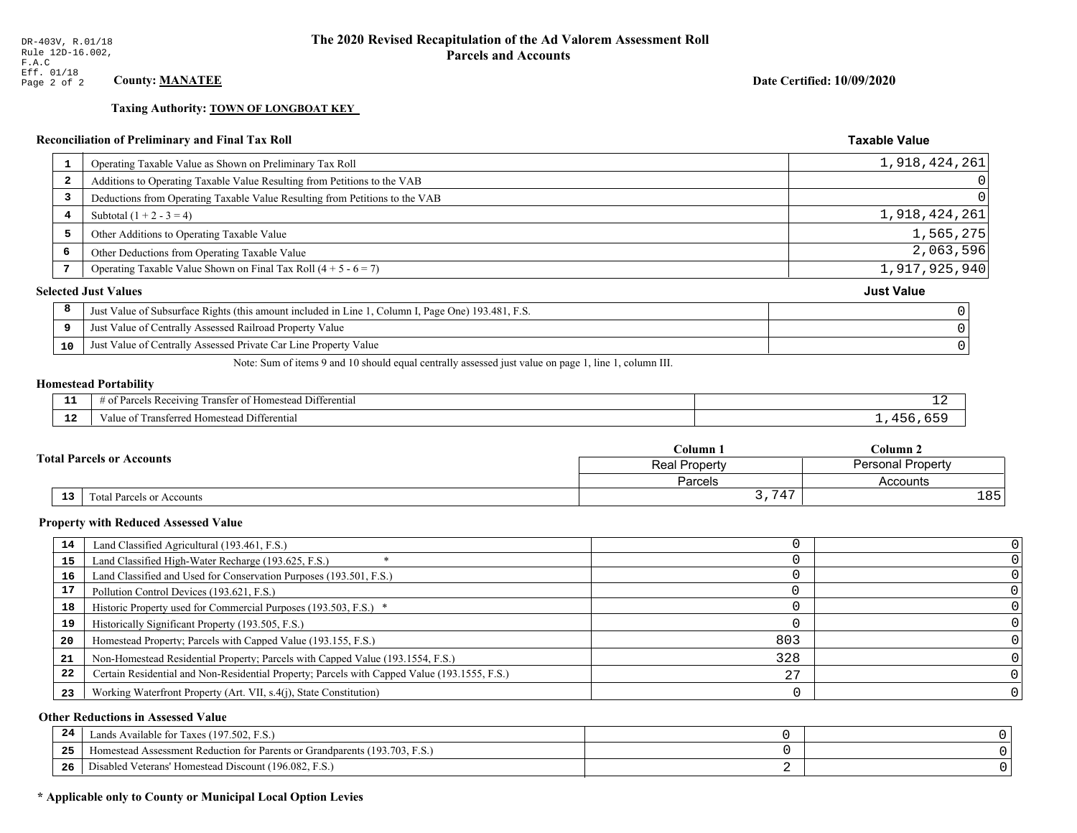**Taxing Authority: TOWN OF LONGBOAT KEY** 

# Reconciliation of Preliminary and Final Tax Roll

| 1                       | Operating Taxable Value as Shown on Preliminary Tax Roll                                           | 1,918,424,261     |
|-------------------------|----------------------------------------------------------------------------------------------------|-------------------|
| $\overline{\mathbf{2}}$ | Additions to Operating Taxable Value Resulting from Petitions to the VAB                           | $\Omega$          |
| 3                       | Deductions from Operating Taxable Value Resulting from Petitions to the VAB                        | 0                 |
| 4                       | Subtotal $(1 + 2 - 3 = 4)$                                                                         | 1,918,424,261     |
| 5                       | Other Additions to Operating Taxable Value                                                         | 1,565,275         |
| 6                       | Other Deductions from Operating Taxable Value                                                      | 2,063,596         |
|                         | Operating Taxable Value Shown on Final Tax Roll $(4 + 5 - 6 = 7)$                                  | 1,917,925,940     |
|                         | <b>Selected Just Values</b>                                                                        | <b>Just Value</b> |
| 8                       | Just Value of Subsurface Rights (this amount included in Line 1, Column I, Page One) 193.481, F.S. |                   |
| 9                       | Just Value of Centrally Assessed Railroad Property Value                                           |                   |
| 10                      | Just Value of Centrally Assessed Private Car Line Property Value                                   |                   |
|                         |                                                                                                    |                   |

Note: Sum of items 9 and 10 should equal centrally assessed just value on page 1, line 1, column III.

### **Homestead Portability**

ł,

| .<br>---    | . Differential<br>ranster<br>Receiving<br><b>Homestead</b><br>'яrс.<br>-01<br>,,,,,,,,,,,, | -- |
|-------------|--------------------------------------------------------------------------------------------|----|
| $\sim$<br>. | i Differential<br>alue<br><b>Homestead</b><br>ransterred.                                  |    |

|                                  | Column 1      | $_{\rm Column\,2}$       |  |
|----------------------------------|---------------|--------------------------|--|
| <b>Total Parcels or Accounts</b> | Real Property | <b>Personal Property</b> |  |
|                                  | Parcels       | Accounts                 |  |
| 13<br>Total Parcels or Accounts  | ,747          | 185                      |  |

### **Property with Reduced Assessed Value**

| 14 | Land Classified Agricultural (193.461, F.S.)                                                 |     |  |
|----|----------------------------------------------------------------------------------------------|-----|--|
| 15 | Land Classified High-Water Recharge (193.625, F.S.)                                          |     |  |
|    |                                                                                              |     |  |
| 16 | Land Classified and Used for Conservation Purposes (193.501, F.S.)                           |     |  |
| 17 | Pollution Control Devices (193.621, F.S.)                                                    |     |  |
| 18 | Historic Property used for Commercial Purposes (193.503, F.S.) *                             |     |  |
| 19 | Historically Significant Property (193.505, F.S.)                                            |     |  |
| 20 | Homestead Property; Parcels with Capped Value (193.155, F.S.)                                | 803 |  |
| 21 | Non-Homestead Residential Property; Parcels with Capped Value (193.1554, F.S.)               | 328 |  |
| 22 | Certain Residential and Non-Residential Property; Parcels with Capped Value (193.1555, F.S.) | 27  |  |
| 23 | Working Waterfront Property (Art. VII, s.4(j), State Constitution)                           |     |  |

### **Other Reductions in Assessed Value**

| -44 | Available for Taxes (197.502, F.S.)                                          |  |
|-----|------------------------------------------------------------------------------|--|
| 25  | 'omestead Assessment Reduction for Parents or Grandparents $(193.703, F.S.)$ |  |
| 26  | isabled Veterans' Homestead Discount (196.082, F.S.)                         |  |

# \* Applicable only to County or Municipal Local Option Levies

Date Certified: 10/09/2020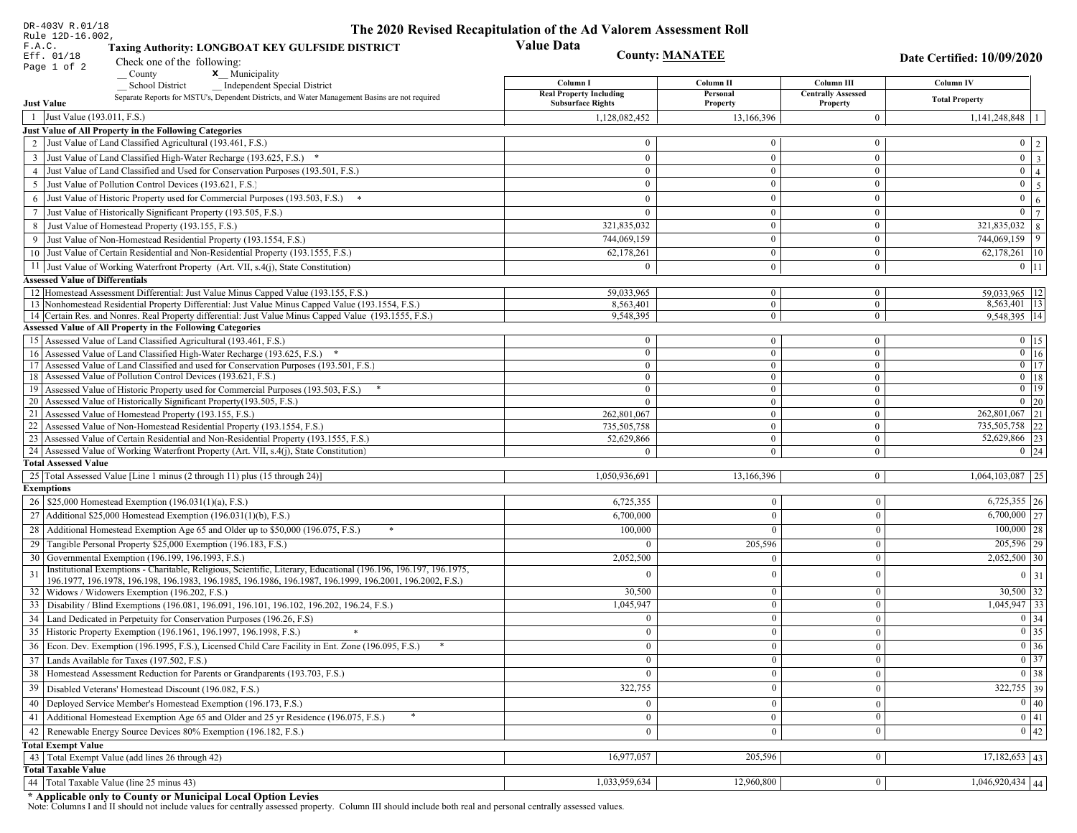| DR-403V R.01/18<br>Rule 12D-16.002,                                                                                                                                                      | The 2020 Revised Recapitulation of the Ad Valorem Assessment Roll |                                  |                                         |                                            |
|------------------------------------------------------------------------------------------------------------------------------------------------------------------------------------------|-------------------------------------------------------------------|----------------------------------|-----------------------------------------|--------------------------------------------|
| F.A.C.<br>Taxing Authority: LONGBOAT KEY GULFSIDE DISTRICT<br>Eff. 01/18<br>Check one of the following:                                                                                  | <b>Value Data</b><br><b>County: MANATEE</b>                       |                                  |                                         | <b>Date Certified: 10/09/2020</b>          |
| Page 1 of 2<br>County<br>$\mathbf{x}$ <sub>_</sub> Municipality                                                                                                                          |                                                                   |                                  |                                         |                                            |
| School District<br><b>Independent Special District</b><br>Separate Reports for MSTU's, Dependent Districts, and Water Management Basins are not required                                 | Column I<br><b>Real Property Including</b>                        | Column II<br>Personal            | Column III<br><b>Centrally Assessed</b> | Column IV<br><b>Total Property</b>         |
| <b>Just Value</b><br>$\overline{1}$                                                                                                                                                      | <b>Subsurface Rights</b>                                          | Property                         | Property                                |                                            |
| Just Value (193.011, F.S.)<br><b>Just Value of All Property in the Following Categories</b>                                                                                              | 1,128,082,452                                                     | 13,166,396                       | $\bf{0}$                                | $1,141,248,848$   1                        |
| 2 Just Value of Land Classified Agricultural (193.461, F.S.)                                                                                                                             | $\theta$                                                          | $\theta$                         | $\bf{0}$                                |                                            |
|                                                                                                                                                                                          |                                                                   |                                  |                                         | $0 \mid 2 \mid$<br>$\boxed{0}$ $\boxed{3}$ |
| 3 Just Value of Land Classified High-Water Recharge (193.625, F.S.) *<br>4 Just Value of Land Classified and Used for Conservation Purposes (193.501, F.S.)                              | $\overline{0}$<br>$\overline{0}$                                  | $\mathbf{0}$<br>$\overline{0}$   | $\mathbf{0}$<br>$\mathbf{0}$            | $\overline{0}$                             |
| 5 Just Value of Pollution Control Devices (193.621, F.S.)                                                                                                                                | $\overline{0}$                                                    | $\overline{0}$                   | $\bf{0}$                                | $\overline{4}$<br>$\overline{0}$           |
|                                                                                                                                                                                          | $\theta$                                                          | $\overline{0}$                   | $\mathbf{0}$                            | $\overline{5}$<br>$\mathbf{0}$             |
| 6 Just Value of Historic Property used for Commercial Purposes (193.503, F.S.) *                                                                                                         | $\theta$                                                          |                                  |                                         | 6<br>$\overline{0}$                        |
| 7 Just Value of Historically Significant Property (193.505, F.S.)                                                                                                                        |                                                                   | $\overline{0}$<br>$\overline{0}$ | $\mathbf{0}$<br>$\bf{0}$                | $\overline{7}$<br>321,835,032              |
| 8 Just Value of Homestead Property (193.155, F.S.)<br>9 Just Value of Non-Homestead Residential Property (193.1554, F.S.)                                                                | 321,835,032                                                       | $\overline{0}$                   | $\mathbf{0}$                            | 8 <sup>1</sup><br>$744,069,159$ 9          |
| 10 Just Value of Certain Residential and Non-Residential Property (193.1555, F.S.)                                                                                                       | 744,069,159<br>62,178,261                                         | $\overline{0}$                   | $\mathbf{0}$                            |                                            |
|                                                                                                                                                                                          |                                                                   |                                  |                                         | 62,178,261 10                              |
| 11 Just Value of Working Waterfront Property (Art. VII, s.4(j), State Constitution)                                                                                                      | $\Omega$                                                          | $\overline{0}$                   | $\bf{0}$                                | $0 \mid 11 \mid$                           |
| <b>Assessed Value of Differentials</b>                                                                                                                                                   |                                                                   |                                  |                                         |                                            |
| 12 Homestead Assessment Differential: Just Value Minus Capped Value (193.155, F.S.)<br>13 Nonhomestead Residential Property Differential: Just Value Minus Capped Value (193.1554, F.S.) | 59,033,965<br>8,563,401                                           | $\bf{0}$<br>$\mathbf{0}$         | $\bf{0}$<br>$\bf{0}$                    | 59.033.965   12<br>8,563,401 13            |
| 14 Certain Res. and Nonres. Real Property differential: Just Value Minus Capped Value (193.1555, F.S.)                                                                                   | 9,548,395                                                         | $\overline{0}$                   | $\bf{0}$                                | 9,548,395 14                               |
| <b>Assessed Value of All Property in the Following Categories</b>                                                                                                                        |                                                                   |                                  |                                         |                                            |
| 15 Assessed Value of Land Classified Agricultural (193.461, F.S.)                                                                                                                        | $\mathbf{0}$                                                      | $\mathbf{0}$                     | $\bf{0}$                                | $0$   15                                   |
| 16 Assessed Value of Land Classified High-Water Recharge (193.625, F.S.) *                                                                                                               | $\overline{0}$                                                    | $\overline{0}$                   | $\bf{0}$                                | $\boxed{0}$ 16                             |
| 17 Assessed Value of Land Classified and used for Conservation Purposes (193.501, F.S.)                                                                                                  | $\overline{0}$                                                    | $\overline{0}$                   | $\bf{0}$                                | $0$ 17                                     |
| 18 Assessed Value of Pollution Control Devices (193.621, F.S.)                                                                                                                           | $\overline{0}$                                                    | $\mathbf{0}$                     | $\bf{0}$                                | $0$ 18                                     |
| 19 Assessed Value of Historic Property used for Commercial Purposes (193.503, F.S.)                                                                                                      | $\overline{0}$                                                    | $\mathbf{0}$                     | $\boldsymbol{0}$                        | $0$ 19                                     |
| 20 Assessed Value of Historically Significant Property (193.505, F.S.)                                                                                                                   | $\Omega$                                                          | $\mathbf{0}$                     | $\mathbf{0}$                            | $0 \mid 20$                                |
| 21 Assessed Value of Homestead Property (193.155, F.S.)                                                                                                                                  | 262,801,067                                                       | $\mathbf{0}$                     | $\bf{0}$                                | 262,801,067 21                             |
| 22 Assessed Value of Non-Homestead Residential Property (193.1554, F.S.)                                                                                                                 | 735,505,758                                                       | $\mathbf{0}$                     | $\bf{0}$                                | 735,505,758 22                             |
| 23 Assessed Value of Certain Residential and Non-Residential Property (193.1555, F.S.)                                                                                                   | 52,629,866                                                        | $\overline{0}$                   | $\mathbf{0}$                            | 52,629,866 23                              |
| 24 Assessed Value of Working Waterfront Property (Art. VII, s.4(j), State Constitution                                                                                                   | $\theta$                                                          | $\overline{0}$                   | $\mathbf{0}$                            | $0 \quad 24$                               |
| <b>Total Assessed Value</b>                                                                                                                                                              |                                                                   |                                  |                                         |                                            |
| 25 Total Assessed Value [Line 1 minus (2 through 11) plus (15 through 24)]                                                                                                               | 1,050,936,691                                                     | 13,166,396                       | $\bf{0}$                                | $1,064,103,087$ 25                         |
| <b>Exemptions</b>                                                                                                                                                                        |                                                                   |                                  |                                         |                                            |
| 26   \$25,000 Homestead Exemption (196.031(1)(a), F.S.)                                                                                                                                  | 6,725,355                                                         | $\mathbf{0}$                     | $\boldsymbol{0}$                        | $6,725,355$   26                           |
| 27   Additional \$25,000 Homestead Exemption $(196.031(1)(b), F.S.)$                                                                                                                     | 6,700,000                                                         | $\overline{0}$                   | $\mathbf{0}$                            | 6,700,000   27                             |
| 28 Additional Homestead Exemption Age 65 and Older up to \$50,000 (196.075, F.S.)<br>$\ast$                                                                                              | 100,000                                                           |                                  | $\mathbf{0}$                            | $100,000$ 28                               |
| 29 Tangible Personal Property \$25,000 Exemption (196.183, F.S.)                                                                                                                         |                                                                   | 205,596                          | $\boldsymbol{0}$                        | $\overline{205,596}$ 29                    |
| 30 Governmental Exemption (196.199, 196.1993, F.S.)                                                                                                                                      | 2,052,500                                                         | $\Omega$                         | $\mathbf{0}$                            | $2,052,500$ 30                             |
| Institutional Exemptions - Charitable, Religious, Scientific, Literary, Educational (196.196, 196.197, 196.1975,<br>31                                                                   | $\Omega$                                                          | $\theta$                         | $\mathbf{0}$                            | $0 \mid 31$                                |
| 196.1977, 196.1978, 196.198, 196.1983, 196.1985, 196.1986, 196.1987, 196.1999, 196.2001, 196.2002, F.S.)<br>32<br>Widows / Widowers Exemption (196.202, F.S.)                            | 30,500                                                            | $\Omega$                         | $\mathbf{0}$                            | $30,500$ 32                                |
| 33   Disability / Blind Exemptions (196.081, 196.091, 196.101, 196.102, 196.202, 196.24, F.S.)                                                                                           | 1,045,947                                                         | $\Omega$                         | $\theta$                                | $1,045,947$ 33                             |
| 34   Land Dedicated in Perpetuity for Conservation Purposes (196.26, F.S)                                                                                                                | $\Omega$                                                          | $\overline{0}$                   | $\theta$                                | 0 34                                       |
| 35   Historic Property Exemption (196.1961, 196.1997, 196.1998, F.S.)                                                                                                                    | $\mathbf{0}$                                                      | $\bf{0}$                         | $\boldsymbol{0}$                        |                                            |
|                                                                                                                                                                                          |                                                                   |                                  |                                         | $0 \mid 35 \mid$<br>$\boxed{0}$ 36         |
| 36 Econ. Dev. Exemption (196.1995, F.S.), Licensed Child Care Facility in Ent. Zone (196.095, F.S.)<br>37 Lands Available for Taxes (197.502, F.S.)                                      | $\bf{0}$<br>$\mathbf{0}$                                          | $\mathbf{0}$<br>$\overline{0}$   | $\boldsymbol{0}$<br>$\mathbf{0}$        | $\overline{0}$ 37                          |
|                                                                                                                                                                                          |                                                                   |                                  |                                         |                                            |
| 38   Homestead Assessment Reduction for Parents or Grandparents (193.703, F.S.)                                                                                                          | $\mathbf{0}$                                                      | $\mathbf{0}$                     | $\boldsymbol{0}$                        | $\boxed{0}$ 38                             |
| Disabled Veterans' Homestead Discount (196.082, F.S.)<br>39                                                                                                                              | 322,755                                                           | $\mathbf{0}$                     | $\boldsymbol{0}$                        | 322,755 39                                 |
| Deployed Service Member's Homestead Exemption (196.173, F.S.)<br>40                                                                                                                      | $\mathbf{0}$                                                      | $\mathbf{0}$                     | $\boldsymbol{0}$                        | $\boxed{0}$ 40                             |
| 41 Additional Homestead Exemption Age 65 and Older and 25 yr Residence (196.075, F.S.)                                                                                                   | $\mathbf{0}$                                                      | $\overline{0}$                   | $\mathbf{0}$                            | $\overline{0}$ 41                          |
| 42 Renewable Energy Source Devices 80% Exemption (196.182, F.S.)                                                                                                                         | $\mathbf{0}$                                                      | $\Omega$                         | $\mathbf{0}$                            | $0 \mid 42$                                |
| <b>Total Exempt Value</b>                                                                                                                                                                |                                                                   |                                  |                                         |                                            |
| 43 Total Exempt Value (add lines 26 through 42)                                                                                                                                          | 16,977,057                                                        | 205,596                          | $\mathbf{0}$                            | $17,182,653$ 43                            |
| <b>Total Taxable Value</b>                                                                                                                                                               |                                                                   |                                  |                                         |                                            |
| 44 Total Taxable Value (line 25 minus 43)                                                                                                                                                | 1,033,959,634                                                     | 12,960,800                       | $\boldsymbol{0}$                        | $1,046,920,434$ 44                         |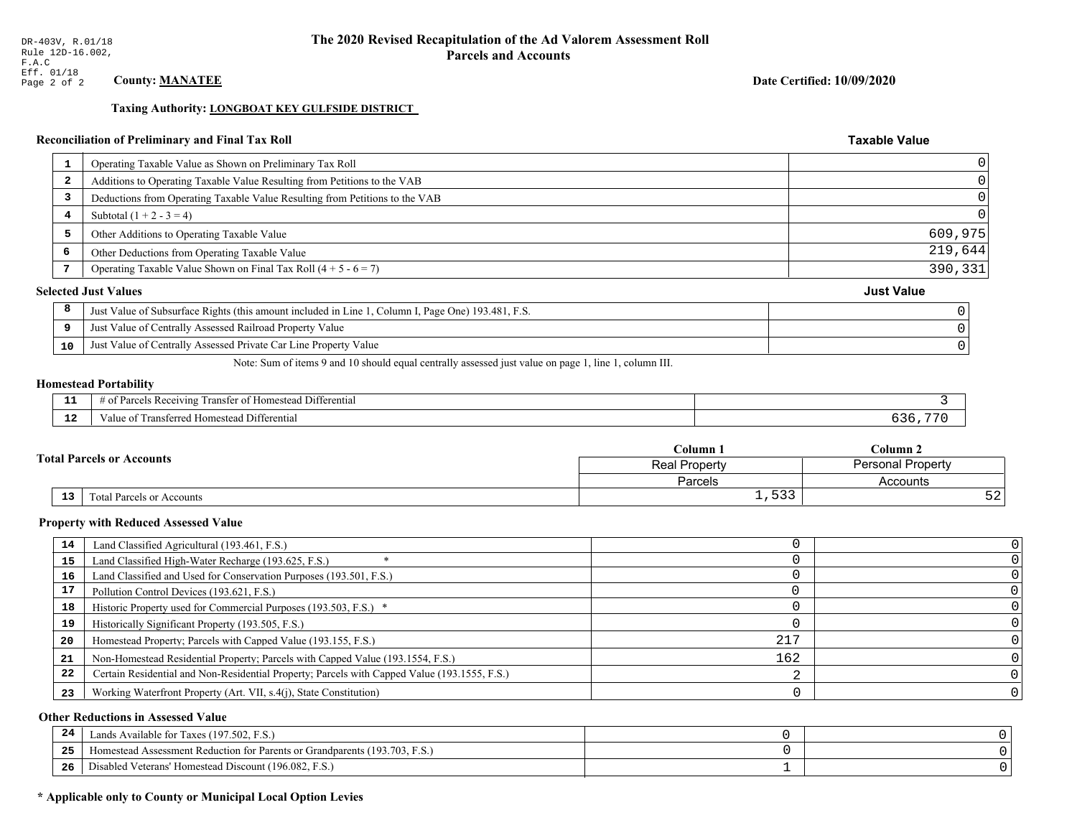# **Taxing Authority: LONGBOAT KEY GULFSIDE DISTRICT**

# Reconciliation of Preliminary and Final Tax Roll

Just Value of Centrally Assessed Private Car Line Property Value

| 1  | Operating Taxable Value as Shown on Preliminary Tax Roll                                           |                   |
|----|----------------------------------------------------------------------------------------------------|-------------------|
| 2  | Additions to Operating Taxable Value Resulting from Petitions to the VAB                           |                   |
| 3  | Deductions from Operating Taxable Value Resulting from Petitions to the VAB                        |                   |
| 4  | Subtotal $(1 + 2 - 3 = 4)$                                                                         |                   |
| 5  | Other Additions to Operating Taxable Value                                                         | 609,975           |
| 6  | Other Deductions from Operating Taxable Value                                                      | 219,644           |
|    | Operating Taxable Value Shown on Final Tax Roll $(4 + 5 - 6 = 7)$                                  | 390,331           |
|    | <b>Selected Just Values</b>                                                                        | <b>Just Value</b> |
| 8  | Just Value of Subsurface Rights (this amount included in Line 1, Column I, Page One) 193.481, F.S. |                   |
| -S | Just Value of Centrally Assessed Railroad Property Value                                           |                   |
|    |                                                                                                    |                   |

Note: Sum of items 9 and 10 should equal centrally assessed just value on page 1, line 1, column III.

### **Homestead Portability**

10

|               | $\sim$ $\sim$ $\sim$<br>l Differential<br>s Receiving<br>r of Homestead<br>ranster<br>'arce |  |
|---------------|---------------------------------------------------------------------------------------------|--|
| $\sim$<br>. . | Transferred Homestead Differential<br>Value of                                              |  |

|    |                                  | Column <sub>1</sub><br>Column <sub>2</sub><br><b>Personal Property</b><br>Real Property |                 |
|----|----------------------------------|-----------------------------------------------------------------------------------------|-----------------|
|    | <b>Fotal Parcels or Accounts</b> |                                                                                         |                 |
|    |                                  | Parcels                                                                                 | Accounts        |
| 13 | Total Parcels or Accounts        | $\Gamma$ 2.2<br>ر ر ر ⊥                                                                 | $ \sim$<br>34 C |

### **Property with Reduced Assessed Value**

| 14 | Land Classified Agricultural (193.461, F.S.)                                                 |     |  |
|----|----------------------------------------------------------------------------------------------|-----|--|
| 15 | Land Classified High-Water Recharge (193.625, F.S.)                                          |     |  |
| 16 | Land Classified and Used for Conservation Purposes (193.501, F.S.)                           |     |  |
| 17 | Pollution Control Devices (193.621, F.S.)                                                    |     |  |
| 18 | Historic Property used for Commercial Purposes (193.503, F.S.) *                             |     |  |
| 19 | Historically Significant Property (193.505, F.S.)                                            |     |  |
| 20 | Homestead Property; Parcels with Capped Value (193.155, F.S.)                                | 217 |  |
| 21 | Non-Homestead Residential Property; Parcels with Capped Value (193.1554, F.S.)               | 162 |  |
| 22 | Certain Residential and Non-Residential Property; Parcels with Capped Value (193.1555, F.S.) |     |  |
| 23 | Working Waterfront Property (Art. VII, s.4(j), State Constitution)                           |     |  |

### **Other Reductions in Assessed Value**

| -44 | Available for Taxes (197.502, F.S.)                                           |  |
|-----|-------------------------------------------------------------------------------|--|
| 25  | (193.703, F.S.<br>estead Assessment Reduction for Parents or Grandparents (1' |  |
| 26  | isabled Veterans' Homestead Discount (196.082, F.S.)                          |  |

# \* Applicable only to County or Municipal Local Option Levies

Date Certified: 10/09/2020

**Taxable Value** 

 $\hbox{O}$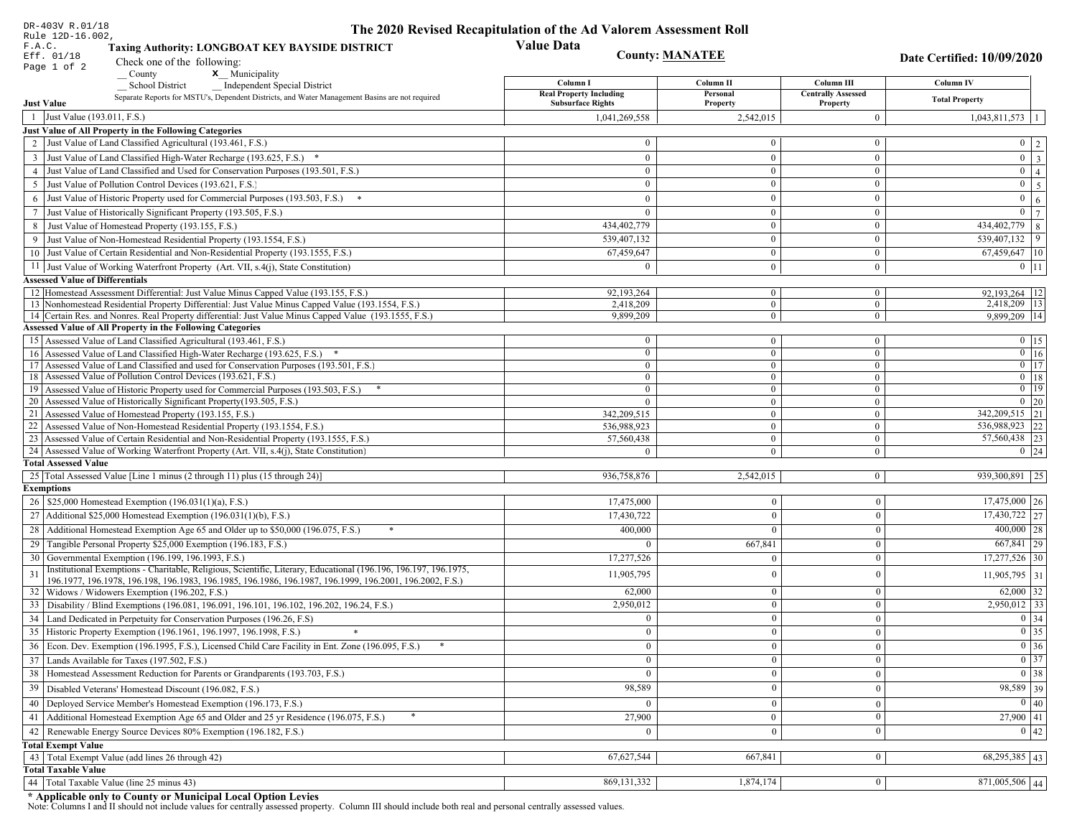| DR-403V R.01/18<br>Rule 12D-16.002                                                                                                                                          | The 2020 Revised Recapitulation of the Ad Valorem Assessment Roll |                              |                                       |                                   |
|-----------------------------------------------------------------------------------------------------------------------------------------------------------------------------|-------------------------------------------------------------------|------------------------------|---------------------------------------|-----------------------------------|
| <b>Value Data</b><br>F.A.C.<br><b>Taxing Authority: LONGBOAT KEY BAYSIDE DISTRICT</b><br><b>County: MANATEE</b><br>Eff. 01/18<br>Check one of the following:<br>Page 1 of 2 |                                                                   |                              |                                       | Date Certified: 10/09/2020        |
| County<br>$\mathbf{x}$ <sub>_</sub> Municipality<br><b>Independent Special District</b><br><b>School District</b>                                                           | Column I                                                          | Column II                    | Column III                            | Column IV                         |
| Separate Reports for MSTU's, Dependent Districts, and Water Management Basins are not required<br><b>Just Value</b>                                                         | <b>Real Property Including</b><br><b>Subsurface Rights</b>        | Personal<br>Property         | <b>Centrally Assessed</b><br>Property | <b>Total Property</b>             |
| 1 Just Value (193.011, F.S.)                                                                                                                                                | 1,041,269,558                                                     | 2.542.015                    | $\mathbf{0}$                          | 1,043,811,573<br>1                |
| <b>Just Value of All Property in the Following Categories</b>                                                                                                               |                                                                   |                              |                                       |                                   |
| 2 Just Value of Land Classified Agricultural (193.461, F.S.)                                                                                                                | $\Omega$                                                          | $\overline{0}$               | $\theta$                              | $0 \mid 2$                        |
| 3 Just Value of Land Classified High-Water Recharge (193.625, F.S.) *                                                                                                       | $\mathbf{0}$                                                      | $\mathbf{0}$                 | $\mathbf{0}$                          | $\overline{0}$ $\overline{3}$     |
| Just Value of Land Classified and Used for Conservation Purposes (193.501, F.S.)                                                                                            | $\Omega$                                                          | $\overline{0}$               | $\mathbf{0}$                          | $\overline{0}$<br>$\vert 4 \vert$ |
| Just Value of Pollution Control Devices (193.621, F.S.)<br>5                                                                                                                | $\Omega$                                                          | $\mathbf{0}$                 | $\mathbf{0}$                          | $\mathbf{0}$<br>$5\overline{)}$   |
| Just Value of Historic Property used for Commercial Purposes (193.503, F.S.) *<br>6                                                                                         | $\mathbf{0}$                                                      | $\overline{0}$               | $\mathbf{0}$                          | $\mathbf{0}$<br>$\sqrt{6}$        |
| Just Value of Historically Significant Property (193.505, F.S.)                                                                                                             | $\theta$                                                          | $\Omega$                     | $\mathbf{0}$                          | $\overline{0}$<br> 7              |
| Just Value of Homestead Property (193.155, F.S.)<br>8                                                                                                                       | 434,402,779                                                       | $\overline{0}$               | $\mathbf{0}$                          | $\frac{1}{434,402,779}$ 8         |
| Just Value of Non-Homestead Residential Property (193.1554, F.S.)<br>9                                                                                                      | 539,407,132                                                       | $\overline{0}$               | $\mathbf{0}$                          | 539,407,132 9                     |
| 10 Just Value of Certain Residential and Non-Residential Property (193.1555, F.S.)                                                                                          | 67,459,647                                                        | $\mathbf{0}$                 | $\mathbf{0}$                          | 67,459,647 10                     |
| 11 Just Value of Working Waterfront Property (Art. VII, s.4(j), State Constitution)                                                                                         | $\Omega$                                                          | $\mathbf{0}$                 | $\overline{0}$                        | $0$   11                          |
| <b>Assessed Value of Differentials</b>                                                                                                                                      |                                                                   |                              |                                       |                                   |
| 12 Homestead Assessment Differential: Just Value Minus Capped Value (193.155, F.S.)                                                                                         | 92,193,264                                                        | $\bf{0}$                     | $\mathbf{0}$                          | 92,193,264   12                   |
| 13 Nonhomestead Residential Property Differential: Just Value Minus Capped Value (193.1554, F.S.)                                                                           | 2,418,209                                                         | $\mathbf{0}$                 | $\mathbf{0}$                          | 2,418,209   13                    |
| 14 Certain Res. and Nonres. Real Property differential: Just Value Minus Capped Value (193.1555, F.S.)                                                                      | 9,899,209                                                         | $\mathbf{0}$                 | $\overline{0}$                        | 9.899.209 14                      |
| <b>Assessed Value of All Property in the Following Categories</b>                                                                                                           |                                                                   |                              |                                       |                                   |
| 15 Assessed Value of Land Classified Agricultural (193.461, F.S.)                                                                                                           | $\bf{0}$                                                          | $\mathbf{0}$                 | $\bf{0}$                              | $0 \mid 15$                       |
| 16 Assessed Value of Land Classified High-Water Recharge (193.625, F.S.) *                                                                                                  | $\mathbf{0}$                                                      | $\mathbf{0}$                 | $\mathbf{0}$                          | $\boxed{0}$ $\boxed{16}$          |
| Assessed Value of Land Classified and used for Conservation Purposes (193.501, F.S.)<br>17<br>Assessed Value of Pollution Control Devices (193.621, F.S.)<br>18             | $\overline{0}$<br>$\mathbf{0}$                                    | $\mathbf{0}$<br>$\mathbf{0}$ | $\mathbf{0}$                          | $0$ 17<br>$\boxed{0}$ 18          |
| Assessed Value of Historic Property used for Commercial Purposes (193.503, F.S.)<br>19                                                                                      | $\mathbf{0}$                                                      | $\mathbf{0}$                 | $\bf{0}$<br>$\overline{0}$            | $0$ 19                            |
| Assessed Value of Historically Significant Property (193.505, F.S.)<br>20                                                                                                   | $\Omega$                                                          | $\mathbf{0}$                 | $\boldsymbol{0}$                      | $0 \mid 20$                       |
| Assessed Value of Homestead Property (193.155, F.S.)<br>21                                                                                                                  | 342,209,515                                                       | $\mathbf{0}$                 | $\overline{0}$                        | 342,209,515 21                    |
| Assessed Value of Non-Homestead Residential Property (193.1554, F.S.)<br>22                                                                                                 | 536,988,923                                                       | $\overline{0}$               | $\overline{0}$                        | 536,988,923 22                    |
| Assessed Value of Certain Residential and Non-Residential Property (193.1555, F.S.)<br>23                                                                                   | 57,560,438                                                        | $\mathbf{0}$                 | $\theta$                              | 57,560,438 23                     |
| 24 Assessed Value of Working Waterfront Property (Art. VII, s.4(j), State Constitution)                                                                                     | $\theta$                                                          | $\mathbf{0}$                 | $\overline{0}$                        | $0 \mid 24$                       |
| <b>Total Assessed Value</b>                                                                                                                                                 |                                                                   |                              |                                       |                                   |
| 25 Total Assessed Value [Line 1 minus (2 through 11) plus (15 through 24)]                                                                                                  | 936,758,876                                                       | 2,542,015                    | $\overline{0}$                        | 939,300,891 25                    |
| <b>Exemptions</b>                                                                                                                                                           |                                                                   |                              |                                       |                                   |
| 26   \$25,000 Homestead Exemption (196.031(1)(a), F.S.)                                                                                                                     | 17,475,000                                                        |                              | $\mathbf{0}$                          | $17,475,000$ 26                   |
| 27 Additional \$25,000 Homestead Exemption (196.031(1)(b), F.S.)                                                                                                            | 17,430,722                                                        | $\theta$                     | $\mathbf{0}$                          | $17,430,722$ 27                   |
| 28 Additional Homestead Exemption Age 65 and Older up to \$50,000 (196.075, F.S.)                                                                                           | 400,000                                                           |                              | $\mathbf{0}$                          | $400,000$ 28                      |
| 29 Tangible Personal Property \$25,000 Exemption (196.183, F.S.)                                                                                                            |                                                                   | 667,841                      | $\mathbf{0}$                          | $667,841$ 29                      |
| 30 Governmental Exemption (196.199, 196.1993, F.S.)                                                                                                                         | 17,277,526                                                        |                              | $\mathbf{0}$                          | $17,277,526$ 30                   |
| Institutional Exemptions - Charitable, Religious, Scientific, Literary, Educational (196.196, 196.197, 196.1975,<br>31                                                      | 11,905,795                                                        |                              | $\Omega$                              | $11,905,795$ 31                   |
| 196.1977, 196.1978, 196.198, 196.1983, 196.1985, 196.1986, 196.1987, 196.1999, 196.2001, 196.2002, F.S.)<br>32   Widows / Widowers Exemption (196.202, F.S.)                | 62,000                                                            |                              | $\Omega$                              | $62,000$ 32                       |
| 33 Disability / Blind Exemptions (196.081, 196.091, 196.101, 196.102, 196.202, 196.24, F.S.)                                                                                | 2,950,012                                                         | 0                            | $\mathbf{0}$                          | $2,950,012$ 33                    |
| 34   Land Dedicated in Perpetuity for Conservation Purposes (196.26, F.S)                                                                                                   | $\Omega$                                                          | $\overline{0}$               | $\mathbf{0}$                          | $0 \mid 34$                       |
| 35 Historic Property Exemption (196.1961, 196.1997, 196.1998, F.S.)                                                                                                         | $\mathbf{0}$                                                      | $\bf{0}$                     | $\bf{0}$                              | $0 \mid 35$                       |
|                                                                                                                                                                             | $\mathbf{0}$                                                      |                              |                                       | $\boxed{0}$ 36                    |
| 36 Econ. Dev. Exemption (196.1995, F.S.), Licensed Child Care Facility in Ent. Zone (196.095, F.S.)<br>37 Lands Available for Taxes (197.502, F.S.)                         | $\Omega$                                                          | $\overline{0}$<br>$\Omega$   | $\mathbf{0}$<br>$\mathbf{0}$          | $\boxed{0}$ 37                    |
|                                                                                                                                                                             |                                                                   | $\Omega$                     |                                       |                                   |
| 38   Homestead Assessment Reduction for Parents or Grandparents (193.703, F.S.)                                                                                             | $\Omega$                                                          |                              | $\bf{0}$                              | $0 \overline{)38}$                |
| 39<br>Disabled Veterans' Homestead Discount (196.082, F.S.)                                                                                                                 | 98,589                                                            | $\theta$                     | $\overline{0}$                        | 98,589 39                         |
| 40 Deployed Service Member's Homestead Exemption (196.173, F.S.)                                                                                                            | $\bf{0}$                                                          | $\mathbf{0}$                 | $\mathbf{0}$                          | $\boxed{0}$ 40                    |
| Additional Homestead Exemption Age 65 and Older and 25 yr Residence (196.075, F.S.)<br>41                                                                                   | 27,900                                                            | $\mathbf{0}$                 | $\mathbf{0}$                          | $27,900$ 41                       |
| 42   Renewable Energy Source Devices 80% Exemption (196.182, F.S.)                                                                                                          | $\Omega$                                                          | $\theta$                     | $\mathbf{0}$                          | 0 42                              |
| <b>Total Exempt Value</b>                                                                                                                                                   |                                                                   |                              |                                       |                                   |
| 43 Total Exempt Value (add lines 26 through 42)                                                                                                                             | 67,627,544                                                        | 667,841                      | $\boldsymbol{0}$                      | $68,295,385$ 43                   |
| <b>Total Taxable Value</b>                                                                                                                                                  |                                                                   |                              |                                       |                                   |
| 44 Total Taxable Value (line 25 minus 43)                                                                                                                                   | 869, 131, 332                                                     | 1,874,174                    | $\overline{0}$                        | 871,005,506 44                    |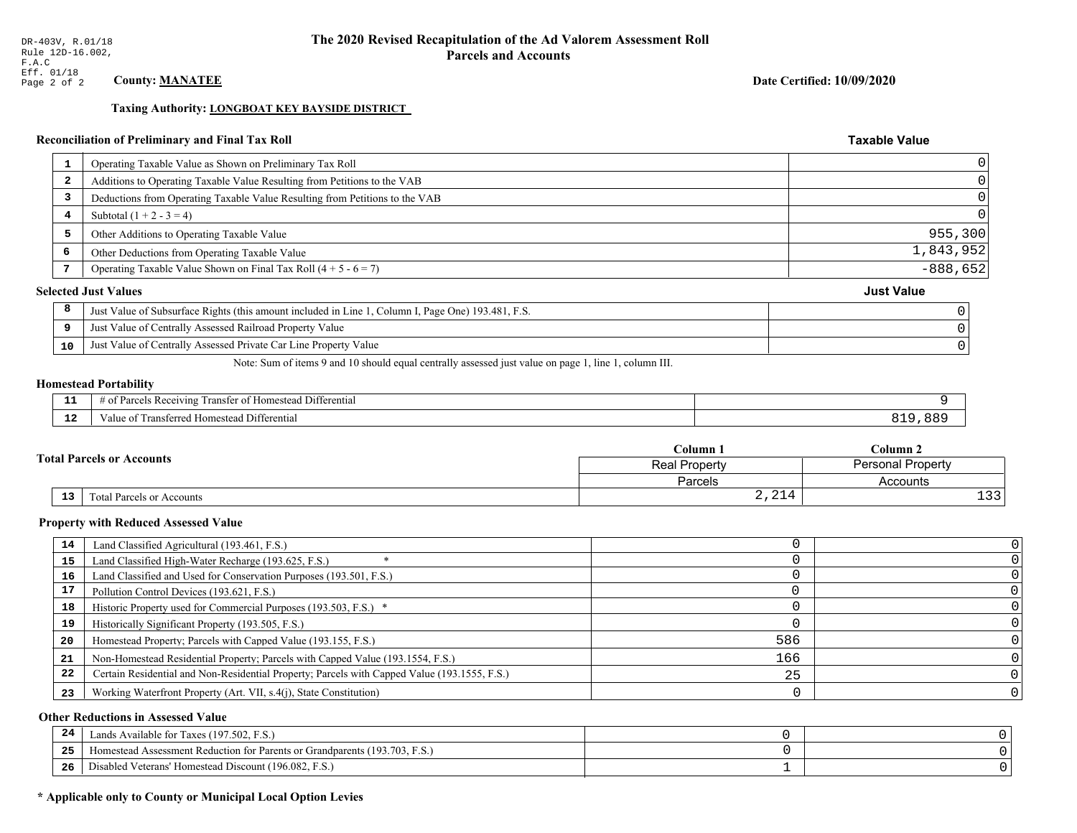### Date Certified: 10/09/2020

**Taxable Value** 

### **Taxing Authority: LONGBOAT KEY BAYSIDE DISTRICT**

# Reconciliation of Preliminary and Final Tax Roll

| Operating Taxable Value as Shown on Preliminary Tax Roll                                           |                             |
|----------------------------------------------------------------------------------------------------|-----------------------------|
| Additions to Operating Taxable Value Resulting from Petitions to the VAB                           |                             |
| Deductions from Operating Taxable Value Resulting from Petitions to the VAB                        |                             |
| Subtotal $(1 + 2 - 3 = 4)$                                                                         |                             |
| Other Additions to Operating Taxable Value                                                         | 955, 300                    |
| Other Deductions from Operating Taxable Value                                                      | 1,843,952                   |
| Operating Taxable Value Shown on Final Tax Roll $(4 + 5 - 6 = 7)$                                  | $-888,652$                  |
|                                                                                                    | <b>Just Value</b>           |
| Just Value of Subsurface Rights (this amount included in Line 1, Column I, Page One) 193.481, F.S. |                             |
| Just Value of Centrally Assessed Railroad Property Value                                           |                             |
| Just Value of Centrally Assessed Private Car Line Property Value                                   |                             |
|                                                                                                    | <b>Selected Just Values</b> |

Note: Sum of items 9 and 10 should equal centrally assessed just value on page 1, line 1, column III.

### **Homestead Portability**

| п.          | l Differential<br>els Receiving<br>ranster<br>ΩŤ<br>i Homestead<br>. arcel-<br>-01<br>. . |     |
|-------------|-------------------------------------------------------------------------------------------|-----|
| $\sim$<br>. | Fransferred Homestead Differential<br>alue                                                | ר כ |

| <b>Total Parcels or Accounts</b> |    |                           | Column 1                                         | Column 2                    |  |
|----------------------------------|----|---------------------------|--------------------------------------------------|-----------------------------|--|
|                                  |    |                           | <b>Personal Property</b><br><b>Real Property</b> |                             |  |
|                                  |    |                           | Parcels                                          | Accounts                    |  |
|                                  | 13 | Fotal Parcels or Accounts | $\bigcap$<br>2,21                                | $\sim$ $\sim$<br><b>سـد</b> |  |

### **Property with Reduced Assessed Value**

| 14 | Land Classified Agricultural (193.461, F.S.)                                                 |     |  |
|----|----------------------------------------------------------------------------------------------|-----|--|
| 15 | Land Classified High-Water Recharge (193.625, F.S.)                                          |     |  |
| 16 | Land Classified and Used for Conservation Purposes (193.501, F.S.)                           |     |  |
| 17 | Pollution Control Devices (193.621, F.S.)                                                    |     |  |
| 18 | Historic Property used for Commercial Purposes (193.503, F.S.) *                             |     |  |
| 19 | Historically Significant Property (193.505, F.S.)                                            |     |  |
| 20 | Homestead Property; Parcels with Capped Value (193.155, F.S.)                                | 586 |  |
| 21 | Non-Homestead Residential Property; Parcels with Capped Value (193.1554, F.S.)               | 166 |  |
| 22 | Certain Residential and Non-Residential Property; Parcels with Capped Value (193.1555, F.S.) | 25  |  |
| 23 | Working Waterfront Property (Art. VII, s.4(j), State Constitution)                           |     |  |

### **Other Reductions in Assessed Value**

| 24    | Lands Available for Taxes (197.502, F.S.)                                  |  |
|-------|----------------------------------------------------------------------------|--|
| - - - | Iomestead Assessment Reduction for Parents or Grandparents (193.703, F.S.) |  |
| -26   | Disabled Veterans' Homestead Discount (196.082, F.S.)                      |  |

# \* Applicable only to County or Municipal Local Option Levies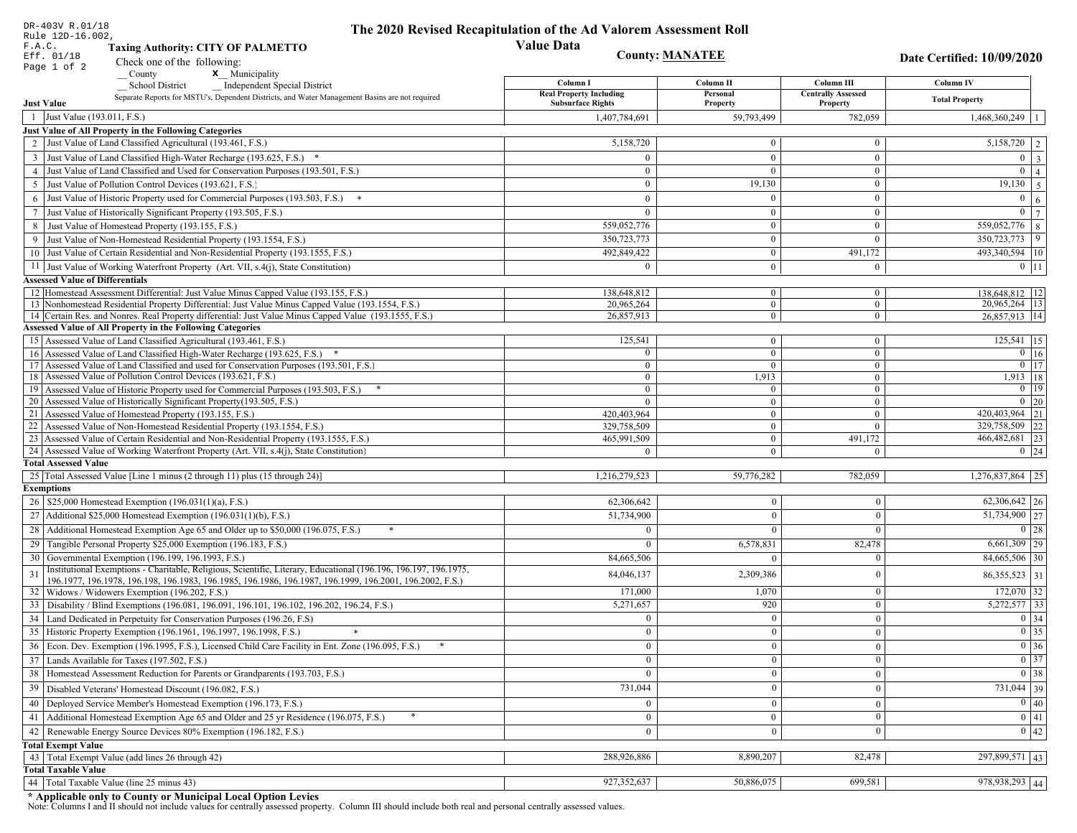|    | DR-403V R.01/18<br>Rule 12D-16.002,                                                                                                                                         | The 2020 Revised Recapitulation of the Ad Valorem Assessment Roll |                                  |                                       |                                                                                                   |
|----|-----------------------------------------------------------------------------------------------------------------------------------------------------------------------------|-------------------------------------------------------------------|----------------------------------|---------------------------------------|---------------------------------------------------------------------------------------------------|
|    | F.A.C.<br><b>Taxing Authority: CITY OF PALMETTO</b>                                                                                                                         | <b>Value Data</b>                                                 |                                  |                                       |                                                                                                   |
|    | Eff. 01/18<br>Check one of the following:                                                                                                                                   | <b>County: MANATEE</b>                                            |                                  |                                       | Date Certified: 10/09/2020                                                                        |
|    | Page 1 of 2<br>x Municipality<br>County                                                                                                                                     |                                                                   |                                  |                                       |                                                                                                   |
|    | <b>School District</b><br><b>Independent Special District</b>                                                                                                               | Column I                                                          | Column <sub>II</sub>             | Column III                            | Column IV                                                                                         |
|    | Separate Reports for MSTU's, Dependent Districts, and Water Management Basins are not required<br><b>Just Value</b>                                                         | <b>Real Property Including</b><br><b>Subsurface Rights</b>        | Personal<br>Property             | <b>Centrally Assessed</b><br>Property | <b>Total Property</b>                                                                             |
|    | 1 Just Value (193.011, F.S.)                                                                                                                                                | 1,407,784,691                                                     | 59,793,499                       | 782,059                               | 1,468,360,249                                                                                     |
|    | Just Value of All Property in the Following Categories                                                                                                                      |                                                                   |                                  |                                       |                                                                                                   |
|    | 2 Just Value of Land Classified Agricultural (193.461, F.S.)                                                                                                                | 5,158,720                                                         | $\overline{0}$                   | $\bf{0}$                              | 5,158,720<br>2                                                                                    |
|    | 3 Just Value of Land Classified High-Water Recharge (193.625, F.S.) *                                                                                                       | $\theta$                                                          | $\theta$                         | $\overline{0}$                        | $\overline{0}$<br>$\overline{\mathbf{3}}$                                                         |
|    | 4 Just Value of Land Classified and Used for Conservation Purposes (193.501, F.S.)                                                                                          | $\Omega$                                                          | $\Omega$                         | $\bf{0}$                              | $\overline{0}$<br>$\overline{4}$                                                                  |
|    | 5 Just Value of Pollution Control Devices (193.621, F.S.)                                                                                                                   | $\overline{0}$                                                    | 19,130                           | $\bf{0}$                              | 19,130<br>5                                                                                       |
| 6  | Just Value of Historic Property used for Commercial Purposes (193.503, F.S.)                                                                                                | $\theta$                                                          | $\Omega$                         | $\mathbf{0}$                          | $\overline{0}$<br>6                                                                               |
| 7  | Just Value of Historically Significant Property (193.505, F.S.)                                                                                                             | $\overline{0}$                                                    | $\overline{0}$                   | $\bf{0}$                              | $\overline{0}$<br>$\overline{7}$                                                                  |
|    | 8 Just Value of Homestead Property (193.155, F.S.)                                                                                                                          | 559,052,776                                                       | $\mathbf{0}$                     | $\bf{0}$                              | 559,052,776<br>8                                                                                  |
|    | Just Value of Non-Homestead Residential Property (193.1554, F.S.)                                                                                                           | 350,723,773                                                       | $\overline{0}$                   | $\theta$                              | 350,723,773<br>9                                                                                  |
|    | 10 Just Value of Certain Residential and Non-Residential Property (193.1555, F.S.)                                                                                          | 492,849,422                                                       | $\overline{0}$                   | 491,172                               | 493,340,594 10                                                                                    |
|    | 11 Just Value of Working Waterfront Property (Art. VII, s.4(j), State Constitution)                                                                                         | $\Omega$                                                          | $\overline{0}$                   | $\mathbf{0}$                          | $0$ 11                                                                                            |
|    | <b>Assessed Value of Differentials</b>                                                                                                                                      |                                                                   |                                  |                                       |                                                                                                   |
|    | 12 Homestead Assessment Differential: Just Value Minus Capped Value (193.155, F.S.)                                                                                         | 138,648,812                                                       | $\overline{0}$                   | $\bf{0}$                              | 138,648,812 12                                                                                    |
|    | 13 Nonhomestead Residential Property Differential: Just Value Minus Capped Value (193.1554, F.S.)                                                                           | 20.965.264                                                        | $\overline{0}$<br>$\overline{0}$ | $\overline{0}$                        | 20,965,264   13                                                                                   |
|    | 14 Certain Res. and Nonres. Real Property differential: Just Value Minus Capped Value (193.1555, F.S.)<br><b>Assessed Value of All Property in the Following Categories</b> | 26,857,913                                                        |                                  | $\mathbf{0}$                          | 26.857.913 14                                                                                     |
|    | 15 Assessed Value of Land Classified Agricultural (193.461, F.S.)                                                                                                           | 125,541                                                           | $\overline{0}$                   | $\bf{0}$                              | $125,541$ 15                                                                                      |
|    | 16 Assessed Value of Land Classified High-Water Recharge (193.625, F.S.) *                                                                                                  | $\overline{0}$                                                    | $\overline{0}$                   | $\overline{0}$                        | $0 \mid 16$                                                                                       |
|    | 17 Assessed Value of Land Classified and used for Conservation Purposes (193.501, F.S.)                                                                                     | $\overline{0}$                                                    | $\overline{0}$                   | $\bf{0}$                              | $\boxed{0}$ $\boxed{17}$                                                                          |
|    | 18 Assessed Value of Pollution Control Devices (193.621, F.S.)                                                                                                              | $\mathbf{0}$                                                      | 1,913                            | $\overline{0}$                        | 1,913   18                                                                                        |
|    | 19 Assessed Value of Historic Property used for Commercial Purposes (193.503, F.S.)                                                                                         | $\bf{0}$                                                          | $\bf{0}$                         | $\bf{0}$                              | $0$   19                                                                                          |
|    | 20 Assessed Value of Historically Significant Property (193.505, F.S.)                                                                                                      | $\theta$                                                          | $\mathbf{0}$                     | $\mathbf{0}$                          | $0$   20                                                                                          |
|    | 21 Assessed Value of Homestead Property (193.155, F.S.)                                                                                                                     | 420,403,964                                                       | $\overline{0}$<br>$\overline{0}$ | $\mathbf{0}$<br>$\overline{0}$        | 420,403,964 21<br>22<br>329,758,509                                                               |
|    | 22 Assessed Value of Non-Homestead Residential Property (193.1554, F.S.)<br>23 Assessed Value of Certain Residential and Non-Residential Property (193.1555, F.S.)          | 329,758,509<br>465,991,509                                        | $\overline{0}$                   | 491,172                               | 466, 482, 681 23                                                                                  |
|    | 24 Assessed Value of Working Waterfront Property (Art. VII, s.4(j), State Constitution)                                                                                     | $\Omega$                                                          | $\theta$                         | $\Omega$                              | $0 \quad 24$                                                                                      |
|    | <b>Total Assessed Value</b>                                                                                                                                                 |                                                                   |                                  |                                       |                                                                                                   |
|    | 25 Total Assessed Value [Line 1 minus (2 through 11) plus (15 through 24)]                                                                                                  | 1,216,279,523                                                     | 59,776,282                       | 782,059                               | $1,276,837,864$ 25                                                                                |
|    | <b>Exemptions</b>                                                                                                                                                           |                                                                   |                                  |                                       |                                                                                                   |
|    | 26   \$25,000 Homestead Exemption (196.031(1)(a), F.S.)                                                                                                                     | 62,306,642                                                        | $\bf{0}$                         | $\mathbf{0}$                          | $62,306,642$   26                                                                                 |
|    | 27   Additional \$25,000 Homestead Exemption $(196.031(1)(b), F.S.)$                                                                                                        | 51,734,900                                                        | $\Omega$                         | $\theta$                              | 51,734,900 27                                                                                     |
|    | 28 Additional Homestead Exemption Age 65 and Older up to \$50,000 (196.075, F.S.)                                                                                           | $\Omega$                                                          | $\Omega$                         | $\Omega$                              | 0 28                                                                                              |
|    | 29 Tangible Personal Property \$25,000 Exemption (196.183, F.S.)                                                                                                            | $\Omega$                                                          | 6,578,831                        | 82,478                                | $6,661,309$ 29                                                                                    |
|    | 30 Governmental Exemption (196.199, 196.1993, F.S.)                                                                                                                         | 84,665,506                                                        | $\theta$                         |                                       | 84,665,506 30                                                                                     |
| 31 | Institutional Exemptions - Charitable, Religious, Scientific, Literary, Educational (196.196, 196.197, 196.1975,                                                            | 84,046,137                                                        | 2,309,386                        | 0                                     | 86, 355, 523 31                                                                                   |
|    | 196.1977, 196.1978, 196.198, 196.1983, 196.1985, 196.1986, 196.1987, 196.1999, 196.2001, 196.2002, F.S.)<br>32   Widows / Widowers Exemption (196.202, F.S.)                | 171,000                                                           | 1,070                            | $\mathbf{0}$                          | $172,070$ 32                                                                                      |
|    | 33 Disability / Blind Exemptions (196.081, 196.091, 196.101, 196.102, 196.202, 196.24, F.S.)                                                                                | 5,271,657                                                         | 920                              | $\Omega$                              | $5,272,577$ 33                                                                                    |
|    | 34 Land Dedicated in Perpetuity for Conservation Purposes (196.26, F.S)                                                                                                     | $\Omega$                                                          | $\Omega$                         | $\theta$                              | $\boxed{0}$ 34                                                                                    |
|    | 35 Historic Property Exemption (196.1961, 196.1997, 196.1998, F.S.)                                                                                                         | $\cup$                                                            | $\mathbf{0}$                     |                                       |                                                                                                   |
|    | 36 Econ. Dev. Exemption (196.1995, F.S.), Licensed Child Care Facility in Ent. Zone (196.095, F.S.)                                                                         | $\overline{0}$                                                    | $\Omega$                         | $\mathbf{0}$<br>$\theta$              | $\begin{array}{ c c }\n\hline\n0 & 35 \\ \hline\n0 & 36 \\ \hline\n0 & 37 \\ \hline\n\end{array}$ |
|    | 37 Lands Available for Taxes (197.502, F.S.)                                                                                                                                | $\overline{0}$                                                    | $\theta$                         | $\theta$                              |                                                                                                   |
|    | 38   Homestead Assessment Reduction for Parents or Grandparents (193.703, F.S.)                                                                                             | $\mathbf{0}$                                                      | $\bf{0}$                         | $\mathbf{0}$                          | $\boxed{0}$ 38                                                                                    |
| 39 | Disabled Veterans' Homestead Discount (196.082, F.S.)                                                                                                                       | 731,044                                                           |                                  | $\mathbf{0}$                          | 731,044 39                                                                                        |
|    | 40 Deployed Service Member's Homestead Exemption (196.173, F.S.)                                                                                                            |                                                                   |                                  |                                       | $\overline{0}$ 40                                                                                 |
|    |                                                                                                                                                                             | $\overline{0}$                                                    | $\Omega$                         | $\theta$<br>$\mathbf{0}$              | $\overline{0}$ 41                                                                                 |
|    | 41 Additional Homestead Exemption Age 65 and Older and 25 yr Residence (196.075, F.S.)                                                                                      | $\mathbf{0}$                                                      | $\boldsymbol{0}$                 |                                       | $\overline{0}$ 42                                                                                 |
| 42 | Renewable Energy Source Devices 80% Exemption (196.182, F.S.)                                                                                                               | $\overline{0}$                                                    | $\bf{0}$                         | $\boldsymbol{0}$                      |                                                                                                   |
|    | <b>Total Exempt Value</b><br>43 Total Exempt Value (add lines 26 through 42)                                                                                                | 288,926,886                                                       | 8,890,207                        | 82,478                                | 297,899,571 43                                                                                    |
|    | <b>Total Taxable Value</b>                                                                                                                                                  |                                                                   |                                  |                                       |                                                                                                   |
| 44 | Total Taxable Value (line 25 minus 43)                                                                                                                                      | 927,352,637                                                       | 50,886,075                       | 699,581                               | 978,938,293 44                                                                                    |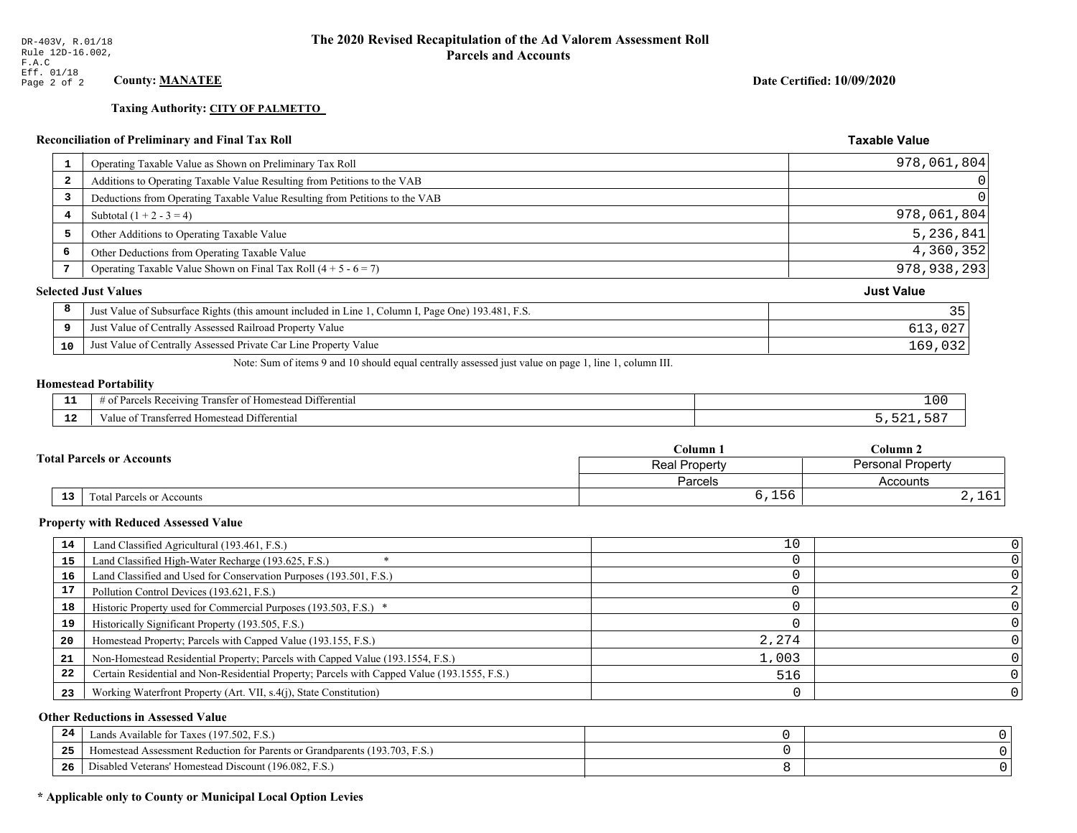# **Taxing Authority: CITY OF PALMETTO**

|    | <b>Reconciliation of Preliminary and Final Tax Roll</b>                                                                                                                                                                                                                                          | <b>Taxable Value</b> |
|----|--------------------------------------------------------------------------------------------------------------------------------------------------------------------------------------------------------------------------------------------------------------------------------------------------|----------------------|
| 1  | Operating Taxable Value as Shown on Preliminary Tax Roll                                                                                                                                                                                                                                         | 978,061,804          |
| -2 | Additions to Operating Taxable Value Resulting from Petitions to the VAB                                                                                                                                                                                                                         |                      |
| 3  | Deductions from Operating Taxable Value Resulting from Petitions to the VAB                                                                                                                                                                                                                      |                      |
| 4  | Subtotal $(1 + 2 - 3 = 4)$                                                                                                                                                                                                                                                                       | 978,061,804          |
| 5  | Other Additions to Operating Taxable Value                                                                                                                                                                                                                                                       | 5,236,841            |
| 6  | Other Deductions from Operating Taxable Value                                                                                                                                                                                                                                                    | 4,360,352            |
| 7  | Operating Taxable Value Shown on Final Tax Roll $(4 + 5 - 6 = 7)$                                                                                                                                                                                                                                | 978, 938, 293        |
|    | <b>Selected Just Values</b>                                                                                                                                                                                                                                                                      | <b>Just Value</b>    |
| 8  | Just Value of Subsurface Rights (this amount included in Line 1, Column I, Page One) 193.481, F.S.                                                                                                                                                                                               | 35                   |
| 9  | Just Value of Centrally Assessed Railroad Property Value                                                                                                                                                                                                                                         | 613,027              |
| 10 | Just Value of Centrally Assessed Private Car Line Property Value                                                                                                                                                                                                                                 | 169,032              |
|    | $\mathbf{M}$ and $\mathbf{M}$ and $\mathbf{M}$ and $\mathbf{M}$ and $\mathbf{M}$ and $\mathbf{M}$ and $\mathbf{M}$ and $\mathbf{M}$ and $\mathbf{M}$ and $\mathbf{M}$ and $\mathbf{M}$ and $\mathbf{M}$ and $\mathbf{M}$ and $\mathbf{M}$ and $\mathbf{M}$ and $\mathbf{M}$ and $\mathbf{M}$ and |                      |

Note: Sum of items 9 and 10 should equal centrally assessed just value on page 1, line 1, column III.

# **Homestead Portability**

| - -<br>---    | $\sim$<br>$\sim$<br>.<br>Iomestead Differential<br>$\n  1$ Ving.<br>ranster<br>as recei<br> | 100  |
|---------------|---------------------------------------------------------------------------------------------|------|
| $\sim$<br>. . | sterred Homestead Differential<br>' rans.<br>ie ot                                          | E O' |

|                                                     | $C$ olumn $\Box$     | Column 2          |  |
|-----------------------------------------------------|----------------------|-------------------|--|
| <b>Total Parcels or Accounts</b>                    | <b>Real Property</b> | Personal Property |  |
|                                                     | Parcels              | Accounts          |  |
| $\overline{13}$<br><b>Total Parcels or Accounts</b> | 6,156                | $\sim$<br>2,101   |  |

### **Property with Reduced Assessed Value**

| 14 | Land Classified Agricultural (193.461, F.S.)                                                 | 10    |  |
|----|----------------------------------------------------------------------------------------------|-------|--|
| 15 | Land Classified High-Water Recharge (193.625, F.S.)                                          |       |  |
| 16 | Land Classified and Used for Conservation Purposes (193.501, F.S.)                           |       |  |
| 17 | Pollution Control Devices (193.621, F.S.)                                                    |       |  |
| 18 | Historic Property used for Commercial Purposes (193.503, F.S.) *                             |       |  |
| 19 | Historically Significant Property (193.505, F.S.)                                            |       |  |
| 20 | Homestead Property; Parcels with Capped Value (193.155, F.S.)                                | 2,274 |  |
| 21 | Non-Homestead Residential Property; Parcels with Capped Value (193.1554, F.S.)               | 1,003 |  |
| 22 | Certain Residential and Non-Residential Property; Parcels with Capped Value (193.1555, F.S.) | 516   |  |
| 23 | Working Waterfront Property (Art. VII, s.4(j), State Constitution)                           |       |  |

### **Other Reductions in Assessed Value**

| 24    | Lands Available for Taxes (197.502, F.S.)                                        |  |
|-------|----------------------------------------------------------------------------------|--|
| - - - | (193.703, F.S.<br>Aomestead Assessment Reduction for Parents or Grandparents (1) |  |
| -26   | d Veterans' Homestead Discount (196.082, F.S.)<br>Disabled                       |  |

# \* Applicable only to County or Municipal Local Option Levies

Date Certified: 10/09/2020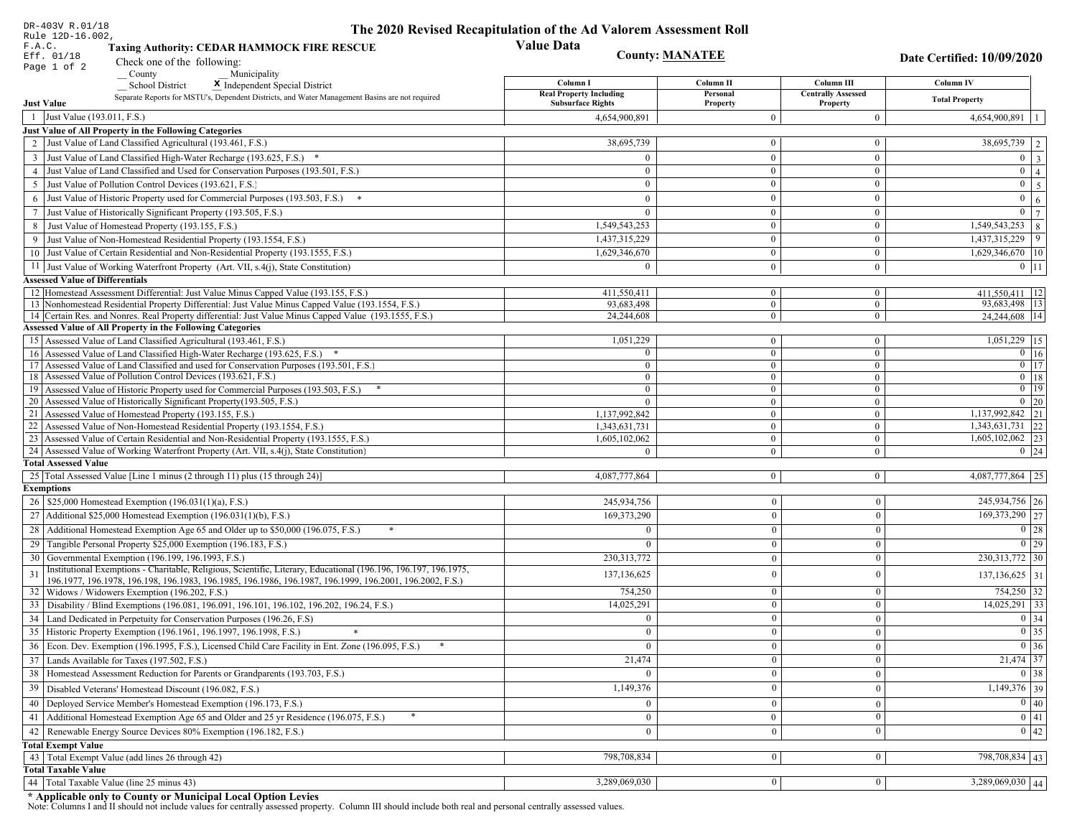| DR-403V R.01/18                                                                                                                                                                                                              | The 2020 Revised Recapitulation of the Ad Valorem Assessment Roll |                                  |                                         |                                   |
|------------------------------------------------------------------------------------------------------------------------------------------------------------------------------------------------------------------------------|-------------------------------------------------------------------|----------------------------------|-----------------------------------------|-----------------------------------|
| Rule 12D-16.002,<br>F.A.C.<br><b>Taxing Authority: CEDAR HAMMOCK FIRE RESCUE</b>                                                                                                                                             | <b>Value Data</b>                                                 |                                  |                                         |                                   |
| Eff. 01/18<br>Check one of the following:                                                                                                                                                                                    | <b>County: MANATEE</b>                                            |                                  |                                         | Date Certified: 10/09/2020        |
| Page 1 of 2<br>County<br>Municipality                                                                                                                                                                                        |                                                                   |                                  |                                         |                                   |
| <b>School District</b><br>X Independent Special District                                                                                                                                                                     | Column I<br><b>Real Property Including</b>                        | Column II<br>Personal            | Column III<br><b>Centrally Assessed</b> | Column IV                         |
| Separate Reports for MSTU's, Dependent Districts, and Water Management Basins are not required<br><b>Just Value</b>                                                                                                          | <b>Subsurface Rights</b>                                          | Property                         | Property                                | <b>Total Property</b>             |
| 1 Just Value (193.011, F.S.)                                                                                                                                                                                                 | 4,654,900,891                                                     | $\overline{0}$                   | $\boldsymbol{0}$                        | 4,654,900,891                     |
| Just Value of All Property in the Following Categories                                                                                                                                                                       |                                                                   |                                  |                                         |                                   |
| 2 Just Value of Land Classified Agricultural (193.461, F.S.)                                                                                                                                                                 | 38,695,739                                                        | $\mathbf{0}$                     | $\bf{0}$                                | 38,695,739 2                      |
| 3 Just Value of Land Classified High-Water Recharge (193.625, F.S.) *                                                                                                                                                        | $\Omega$                                                          | $\mathbf{0}$                     | $\bf{0}$                                | $0 \mid 3 \mid$                   |
| 4 Just Value of Land Classified and Used for Conservation Purposes (193.501, F.S.)                                                                                                                                           | $\Omega$                                                          | $\overline{0}$                   | $\bf{0}$                                | $0 \mid 4 \mid$                   |
| 5 Just Value of Pollution Control Devices (193.621, F.S.)                                                                                                                                                                    | $\bf{0}$                                                          | $\overline{0}$                   | $\bf{0}$                                | $0 \quad 5$                       |
| 6 Just Value of Historic Property used for Commercial Purposes (193.503, F.S.) *                                                                                                                                             | $\theta$                                                          | $\theta$                         | $\bf{0}$                                | $\mathbf{0}$<br>6 <sup>1</sup>    |
| 7 Just Value of Historically Significant Property (193.505, F.S.)                                                                                                                                                            | $\overline{0}$                                                    | $\overline{0}$                   | $\bf{0}$                                | $0 \mid 7 \mid$                   |
| 8 Just Value of Homestead Property (193.155, F.S.)                                                                                                                                                                           | 1,549,543,253                                                     | $\overline{0}$                   | $\overline{0}$                          | $\overline{1,549,543,253}$ 8      |
| 9 Just Value of Non-Homestead Residential Property (193.1554, F.S.)                                                                                                                                                          | 1,437,315,229                                                     | $\overline{0}$                   | $\bf{0}$                                | 1,437,315,229<br>9                |
| 10 Just Value of Certain Residential and Non-Residential Property (193.1555, F.S.)                                                                                                                                           | 1,629,346,670                                                     | $\mathbf{0}$                     | $\bf{0}$                                | $1,629,346,670$ 10                |
| 11 Just Value of Working Waterfront Property (Art. VII, s.4(j), State Constitution)                                                                                                                                          | $\Omega$                                                          | $\mathbf{0}$                     | $\bf{0}$                                | $0 \mid 11$                       |
| <b>Assessed Value of Differentials</b>                                                                                                                                                                                       |                                                                   |                                  |                                         |                                   |
| 12 Homestead Assessment Differential: Just Value Minus Capped Value (193.155, F.S.)<br>13 Nonhomestead Residential Property Differential: Just Value Minus Capped Value (193.1554, F.S.)                                     | 411.550.411                                                       | $\bf{0}$                         | $\bf{0}$                                | 411,550,411   12<br>93,683,498 13 |
| 14 Certain Res. and Nonres. Real Property differential: Just Value Minus Capped Value (193.1555, F.S.)                                                                                                                       | 93,683,498<br>24,244,608                                          | $\overline{0}$<br>$\overline{0}$ | $\overline{0}$<br>$\mathbf{0}$          | 24,244,608 14                     |
| Assessed Value of All Property in the Following Categories                                                                                                                                                                   |                                                                   |                                  |                                         |                                   |
| 15 Assessed Value of Land Classified Agricultural (193.461, F.S.)                                                                                                                                                            | 1,051,229                                                         | $\bf{0}$                         | $\bf{0}$                                | 1,051,229 15                      |
| 16 Assessed Value of Land Classified High-Water Recharge (193.625, F.S.) *                                                                                                                                                   | $\Omega$                                                          | $\overline{0}$                   | $\boldsymbol{0}$                        | $0 \mid 16$                       |
| Assessed Value of Land Classified and used for Conservation Purposes (193.501, F.S.)<br>17                                                                                                                                   | $\Omega$                                                          | $\mathbf{0}$                     | $\mathbf{0}$                            | $\boxed{0}$ $\boxed{17}$          |
| 18 Assessed Value of Pollution Control Devices (193.621, F.S.)                                                                                                                                                               | $\Omega$                                                          | $\mathbf{0}$                     | $\mathbf{0}$                            | $0$ 18                            |
| 19 Assessed Value of Historic Property used for Commercial Purposes (193.503, F.S.)                                                                                                                                          | $\bf{0}$                                                          | $\overline{0}$                   | $\overline{0}$                          | $0$   19                          |
| 20 Assessed Value of Historically Significant Property (193.505, F.S.)<br>21 Assessed Value of Homestead Property (193.155, F.S.)                                                                                            | $\theta$<br>1,137,992,842                                         | $\overline{0}$<br>$\overline{0}$ | $\overline{0}$<br>$\bf{0}$              | $0 \mid 20$<br>1,137,992,842 21   |
| 22 Assessed Value of Non-Homestead Residential Property (193.1554, F.S.)                                                                                                                                                     | 1,343,631,731                                                     | $\overline{0}$                   | $\mathbf{0}$                            | $1,343,631,731$ 22                |
| 23 Assessed Value of Certain Residential and Non-Residential Property (193.1555, F.S.)                                                                                                                                       | 1,605,102,062                                                     | $\overline{0}$                   | $\bf{0}$                                | $1,605,102,062$ 23                |
| 24 Assessed Value of Working Waterfront Property (Art. VII, s.4(j), State Constitution)                                                                                                                                      |                                                                   | $\overline{0}$                   | $\boldsymbol{0}$                        | $0 \mid 24$                       |
| <b>Total Assessed Value</b>                                                                                                                                                                                                  |                                                                   |                                  |                                         |                                   |
| 25 Total Assessed Value [Line 1 minus (2 through 11) plus (15 through 24)]                                                                                                                                                   | 4,087,777,864                                                     | $\overline{0}$                   | $\overline{0}$                          | 4,087,777,864 25                  |
| <b>Exemptions</b>                                                                                                                                                                                                            |                                                                   |                                  |                                         |                                   |
| 26   \$25,000 Homestead Exemption (196.031(1)(a), F.S.)                                                                                                                                                                      | 245,934,756                                                       | $\mathbf{0}$                     | $\boldsymbol{0}$                        | 245,934,756 26                    |
| 27   Additional \$25,000 Homestead Exemption (196.031(1)(b), F.S.)                                                                                                                                                           | 169,373,290                                                       | $\Omega$                         | $\mathbf{0}$                            | 169, 373, 290 27                  |
| 28 Additional Homestead Exemption Age 65 and Older up to \$50,000 (196.075, F.S.)                                                                                                                                            | $\Omega$                                                          | $\overline{0}$                   | $\mathbf{0}$                            | $\boxed{0}$ 28                    |
| 29 Tangible Personal Property \$25,000 Exemption (196.183, F.S.)                                                                                                                                                             |                                                                   | $\Omega$                         | $\mathbf{0}$                            | $0$   29                          |
| 30 Governmental Exemption (196.199, 196.1993, F.S.)                                                                                                                                                                          | 230, 313, 772                                                     | $\mathbf{0}$                     | $\mathbf{0}$                            | 230, 313, 772 30                  |
| Institutional Exemptions - Charitable, Religious, Scientific, Literary, Educational (196.196, 196.197, 196.1975,<br>196.1977, 196.1978, 196.198, 196.1983, 196.1985, 196.1986, 196.1987, 196.1999, 196.2001, 196.2002, F.S.) | 137,136,625                                                       | $\theta$                         | $\mathbf{0}$                            | $137, 136, 625$ 31                |
| 32 Widows / Widowers Exemption (196.202, F.S.)                                                                                                                                                                               | 754,250                                                           | $\mathbf{0}$                     | $\mathbf{0}$                            | 754,250 32                        |
| 33 Disability / Blind Exemptions (196.081, 196.091, 196.101, 196.102, 196.202, 196.24, F.S.)                                                                                                                                 | 14,025,291                                                        | $\overline{0}$                   | $\mathbf{0}$                            | 14,025,291 33                     |
| 34 Land Dedicated in Perpetuity for Conservation Purposes (196.26, F.S)                                                                                                                                                      |                                                                   | $\Omega$                         | $\Omega$                                | 0 34                              |
| 35 Historic Property Exemption (196.1961, 196.1997, 196.1998, F.S.)                                                                                                                                                          | 0                                                                 | $\mathbf{U}$                     | $\mathbf{0}$                            | $\boxed{0}$ 35                    |
| 36 Econ. Dev. Exemption (196.1995, F.S.), Licensed Child Care Facility in Ent. Zone (196.095, F.S.)                                                                                                                          |                                                                   | $\Omega$                         | $\Omega$                                | $\boxed{0}$ 36                    |
| 37 Lands Available for Taxes (197.502, F.S.)                                                                                                                                                                                 | 21,474                                                            | $\Omega$                         | $\mathbf{0}$                            | $21,474$ 37                       |
| 38   Homestead Assessment Reduction for Parents or Grandparents (193.703, F.S.)                                                                                                                                              |                                                                   | $\bf{0}$                         | $\boldsymbol{0}$                        | $0 \mid 38$                       |
| 39   Disabled Veterans' Homestead Discount (196.082, F.S.)                                                                                                                                                                   | 1,149,376                                                         |                                  | $\mathbf{0}$                            | $1,149,376$ 39                    |
| 40 Deployed Service Member's Homestead Exemption (196.173, F.S.)                                                                                                                                                             |                                                                   | $\theta$                         | $\mathbf{0}$                            | $\boxed{0}$ 40                    |
| 41   Additional Homestead Exemption Age 65 and Older and 25 yr Residence (196.075, F.S.)                                                                                                                                     | $\overline{0}$                                                    | $\mathbf{0}$                     | $\mathbf{0}$                            | $\overline{0}$ 41                 |
| 42   Renewable Energy Source Devices 80% Exemption (196.182, F.S.)                                                                                                                                                           | $\bf{0}$                                                          | $\mathbf{0}$                     | $\mathbf{0}$                            | $0 \mid 42$                       |
| <b>Total Exempt Value</b>                                                                                                                                                                                                    |                                                                   |                                  |                                         |                                   |
| 43 Total Exempt Value (add lines 26 through 42)                                                                                                                                                                              | 798,708,834                                                       | $\Omega$                         | $\mathbf{0}$                            | 798,708,834 43                    |
| <b>Total Taxable Value</b>                                                                                                                                                                                                   |                                                                   |                                  |                                         |                                   |
| 44   Total Taxable Value (line 25 minus 43)                                                                                                                                                                                  | 3,289,069,030                                                     | 0 <sup>1</sup>                   | $\mathbf{0}$                            | $3,289,069,030$ 44                |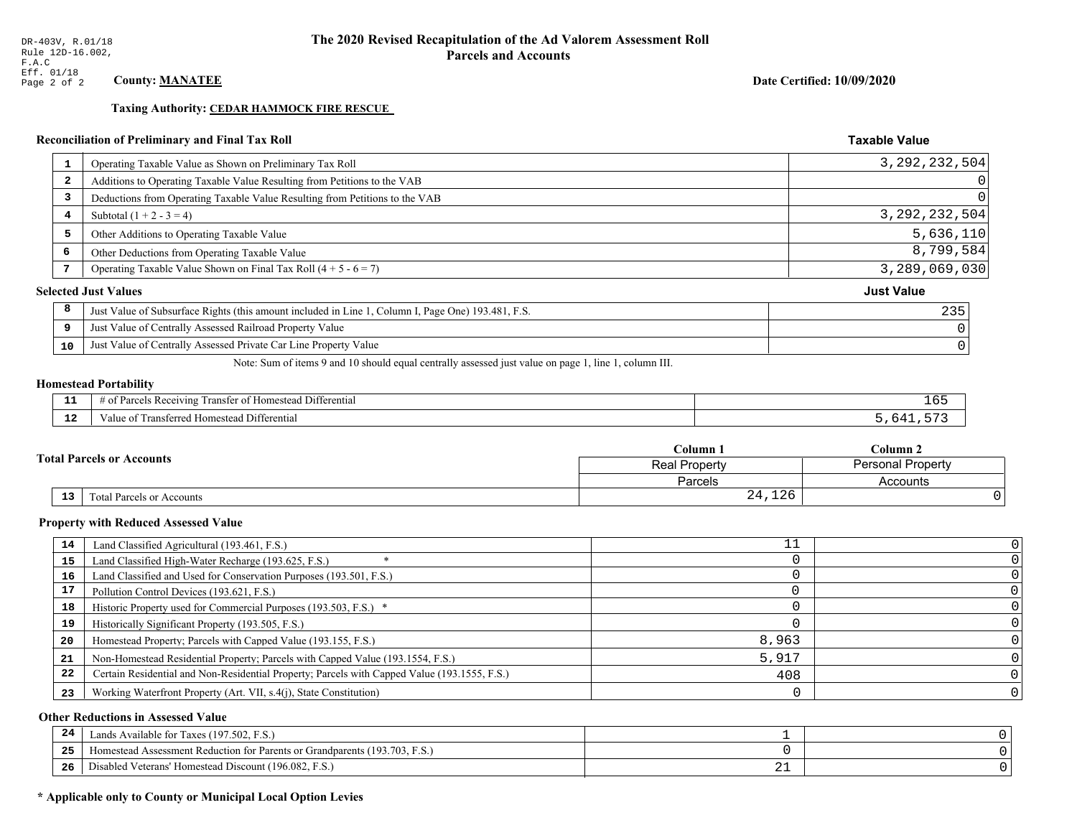**Taxing Authority: CEDAR HAMMOCK FIRE RESCUE** 

# Reconciliation of Preliminary and Final Tax Roll

| 1                       | Operating Taxable Value as Shown on Preliminary Tax Roll                                           | 3, 292, 232, 504  |
|-------------------------|----------------------------------------------------------------------------------------------------|-------------------|
| $\overline{\mathbf{2}}$ | Additions to Operating Taxable Value Resulting from Petitions to the VAB                           | $\Omega$          |
| 3                       | Deductions from Operating Taxable Value Resulting from Petitions to the VAB                        | 0                 |
| 4                       | Subtotal $(1 + 2 - 3 = 4)$                                                                         | 3, 292, 232, 504  |
| 5                       | Other Additions to Operating Taxable Value                                                         | 5,636,110         |
| 6                       | Other Deductions from Operating Taxable Value                                                      | 8,799,584         |
| 7                       | Operating Taxable Value Shown on Final Tax Roll $(4 + 5 - 6 = 7)$                                  | 3,289,069,030     |
|                         | <b>Selected Just Values</b>                                                                        | <b>Just Value</b> |
| 8                       | Just Value of Subsurface Rights (this amount included in Line 1, Column I, Page One) 193.481, F.S. | 235               |
| 9                       | Just Value of Centrally Assessed Railroad Property Value                                           |                   |
| 10                      | Just Value of Centrally Assessed Private Car Line Property Value                                   |                   |
|                         |                                                                                                    |                   |

Note: Sum of items 9 and 10 should equal centrally assessed just value on page 1, line 1, column III.

### **Homestead Portability**

| --          | $\cdots$<br>Differential<br>: Ret<br>eiving<br>ranster:<br>,,,,,, | TP. |
|-------------|-------------------------------------------------------------------|-----|
| $\sim$<br>. | <br>l Differential<br>Fransferred Homestead<br>anue oi            |     |

|                                  |    |                           | Column 1       | Column 2                 |  |
|----------------------------------|----|---------------------------|----------------|--------------------------|--|
| <b>Fotal Parcels or Accounts</b> |    |                           | Real Property  | <b>Personal Property</b> |  |
|                                  |    |                           | <b>Parcels</b> | Accounts                 |  |
|                                  | 13 | Total Parcels or Accounts | 24,126         |                          |  |

### **Property with Reduced Assessed Value**

| 14 | Land Classified Agricultural (193.461, F.S.)                                                 |       |  |
|----|----------------------------------------------------------------------------------------------|-------|--|
| 15 | Land Classified High-Water Recharge (193.625, F.S.)                                          |       |  |
| 16 | Land Classified and Used for Conservation Purposes (193.501, F.S.)                           |       |  |
|    | Pollution Control Devices (193.621, F.S.)                                                    |       |  |
| 18 | Historic Property used for Commercial Purposes (193.503, F.S.) *                             |       |  |
| 19 | Historically Significant Property (193.505, F.S.)                                            |       |  |
| 20 | Homestead Property; Parcels with Capped Value (193.155, F.S.)                                | 8,963 |  |
| 21 | Non-Homestead Residential Property; Parcels with Capped Value (193.1554, F.S.)               | 5,917 |  |
| 22 | Certain Residential and Non-Residential Property; Parcels with Capped Value (193.1555, F.S.) | 408   |  |
| 23 | Working Waterfront Property (Art. VII, s.4(j), State Constitution)                           |       |  |

### **Other Reductions in Assessed Value**

| 24    | Lands Available for Taxes (197.502, F.S.)                                  |     |  |
|-------|----------------------------------------------------------------------------|-----|--|
| - - - | Iomestead Assessment Reduction for Parents or Grandparents (193.703, F.S.) |     |  |
| -26   | l Veterans' Homestead Discount (196.082, F.S.)<br>Disabled                 | ∸ → |  |

# \* Applicable only to County or Municipal Local Option Levies

Date Certified: 10/09/2020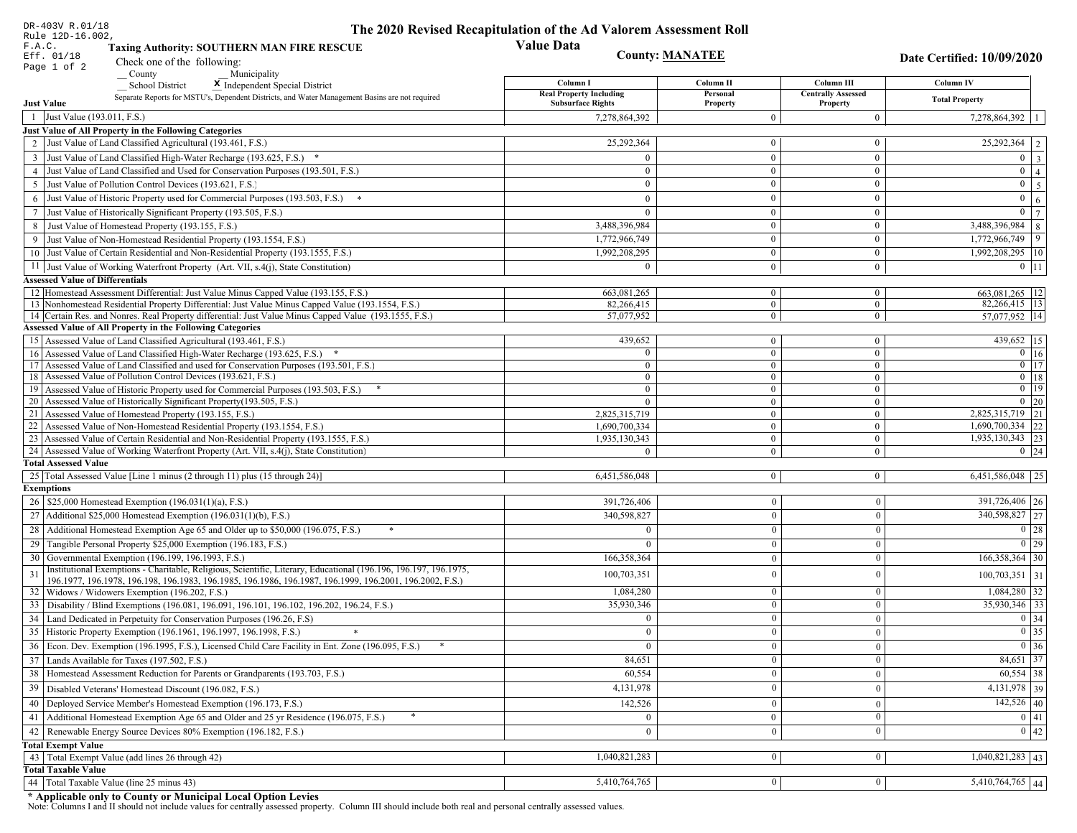| DR-403V R.01/18                                                                                                                                                                          | The 2020 Revised Recapitulation of the Ad Valorem Assessment Roll |                                  |                                         |                                     |
|------------------------------------------------------------------------------------------------------------------------------------------------------------------------------------------|-------------------------------------------------------------------|----------------------------------|-----------------------------------------|-------------------------------------|
| Rule 12D-16.002,<br>F.A.C.<br><b>Taxing Authority: SOUTHERN MAN FIRE RESCUE</b>                                                                                                          | <b>Value Data</b>                                                 |                                  |                                         |                                     |
| Eff. 01/18<br>Check one of the following:                                                                                                                                                | <b>County: MANATEE</b>                                            |                                  |                                         | Date Certified: 10/09/2020          |
| Page 1 of 2<br>County<br>Municipality                                                                                                                                                    |                                                                   |                                  |                                         |                                     |
| <b>School District</b><br>X Independent Special District                                                                                                                                 | Column I<br><b>Real Property Including</b>                        | Column II<br>Personal            | Column III<br><b>Centrally Assessed</b> | Column IV                           |
| Separate Reports for MSTU's, Dependent Districts, and Water Management Basins are not required<br><b>Just Value</b>                                                                      | <b>Subsurface Rights</b>                                          | Property                         | Property                                | <b>Total Property</b>               |
| 1 Just Value (193.011, F.S.)                                                                                                                                                             | 7,278,864,392                                                     | $\Omega$                         | $\mathbf{0}$                            | 7,278,864,392                       |
| Just Value of All Property in the Following Categories                                                                                                                                   |                                                                   |                                  |                                         |                                     |
| 2 Just Value of Land Classified Agricultural (193.461, F.S.)                                                                                                                             | 25,292,364                                                        | $\overline{0}$                   | $\bf{0}$                                | $\overline{25,292,364}$   2         |
| 3 Just Value of Land Classified High-Water Recharge (193.625, F.S.) *                                                                                                                    |                                                                   | $\Omega$                         | $\bf{0}$                                | $0 \mid 3$                          |
| 4 Just Value of Land Classified and Used for Conservation Purposes (193.501, F.S.)                                                                                                       | $\Omega$                                                          | $\overline{0}$                   | $\mathbf{0}$                            | $0 \mid 4 \mid$                     |
| 5 Just Value of Pollution Control Devices (193.621, F.S.)                                                                                                                                | $\overline{0}$                                                    | $\overline{0}$                   | $\bf{0}$                                | $0 \quad 5$                         |
| 6 Just Value of Historic Property used for Commercial Purposes (193.503, F.S.) *                                                                                                         | $\theta$                                                          | $\theta$                         | $\mathbf{0}$                            | $\mathbf{0}$<br>6 <sup>1</sup>      |
| 7 Just Value of Historically Significant Property (193.505, F.S.)                                                                                                                        | $\mathbf{0}$                                                      | $\overline{0}$                   | $\mathbf{0}$                            | $0 \mid 7$                          |
| 8 Just Value of Homestead Property (193.155, F.S.)                                                                                                                                       | 3,488,396,984                                                     | $\overline{0}$                   | $\overline{0}$                          | 3,488,396,984<br>8                  |
| 9 Just Value of Non-Homestead Residential Property (193.1554, F.S.)                                                                                                                      | 1,772,966,749                                                     | $\Omega$                         | $\mathbf{0}$                            | 9 <sup>1</sup><br>1,772,966,749     |
| 10 Just Value of Certain Residential and Non-Residential Property (193.1555, F.S.)                                                                                                       | 1,992,208,295                                                     | $\bf{0}$                         | $\bf{0}$                                | 1,992,208,295   10                  |
| 11 Just Value of Working Waterfront Property (Art. VII, s.4(j), State Constitution)                                                                                                      | $\theta$                                                          | $\mathbf{0}$                     | $\mathbf{0}$                            | $0 \mid 11$                         |
| <b>Assessed Value of Differentials</b>                                                                                                                                                   |                                                                   |                                  |                                         |                                     |
| 12 Homestead Assessment Differential: Just Value Minus Capped Value (193.155, F.S.)<br>13 Nonhomestead Residential Property Differential: Just Value Minus Capped Value (193.1554, F.S.) | 663,081,265<br>82.266.415                                         | $\overline{0}$<br>$\overline{0}$ | $\overline{0}$<br>$\overline{0}$        | $663,081,265$ 12<br>82,266,415   13 |
| 14 Certain Res. and Nonres. Real Property differential: Just Value Minus Capped Value (193.1555, F.S.)                                                                                   | 57,077,952                                                        | $\mathbf{0}$                     | $\overline{0}$                          | 57,077,952   14                     |
| <b>Assessed Value of All Property in the Following Categories</b>                                                                                                                        |                                                                   |                                  |                                         |                                     |
| 15 Assessed Value of Land Classified Agricultural (193.461, F.S.)                                                                                                                        | 439,652                                                           | $\mathbf{0}$                     | $\bf{0}$                                | 439,652 15                          |
| 16 Assessed Value of Land Classified High-Water Recharge (193.625, F.S.) *                                                                                                               | $\Omega$                                                          | $\overline{0}$                   | $\mathbf{0}$                            | $0 \mid 16$                         |
| 17 Assessed Value of Land Classified and used for Conservation Purposes (193.501, F.S.)                                                                                                  | $\Omega$                                                          | $\mathbf{0}$                     | $\overline{0}$                          | $\overline{0}$ $\overline{17}$      |
| 18 Assessed Value of Pollution Control Devices (193.621, F.S.)                                                                                                                           | $\Omega$                                                          | $\mathbf{0}$                     | $\mathbf{0}$                            | $0$ 18                              |
| 19 Assessed Value of Historic Property used for Commercial Purposes (193.503, F.S.)<br>20 Assessed Value of Historically Significant Property (193.505, F.S.)                            | $\mathbf{0}$                                                      | $\mathbf{0}$                     | $\overline{0}$                          | $0$ 19                              |
| 21 Assessed Value of Homestead Property (193.155, F.S.)                                                                                                                                  | $\Omega$<br>2,825,315,719                                         | $\overline{0}$<br>$\mathbf{0}$   | $\overline{0}$<br>$\bf{0}$              | $0 \quad 20$<br>2,825,315,719 21    |
| 22 Assessed Value of Non-Homestead Residential Property (193.1554, F.S.)                                                                                                                 | 1,690,700,334                                                     | $\mathbf{0}$                     | $\mathbf{0}$                            | $1,690,700,334$ 22                  |
| 23 Assessed Value of Certain Residential and Non-Residential Property (193.1555, F.S.)                                                                                                   | 1,935,130,343                                                     | $\mathbf{0}$                     | $\bf{0}$                                | 1,935,130,343 23                    |
| 24 Assessed Value of Working Waterfront Property (Art. VII, s.4(j), State Constitution                                                                                                   |                                                                   | $\overline{0}$                   | $\boldsymbol{0}$                        | $0 \quad 24$                        |
| <b>Total Assessed Value</b>                                                                                                                                                              |                                                                   |                                  |                                         |                                     |
| 25 Total Assessed Value [Line 1 minus (2 through 11) plus (15 through 24)]                                                                                                               | 6,451,586,048                                                     | $\overline{0}$                   | $\mathbf{0}$                            | $6,451,586,048$   25                |
| <b>Exemptions</b>                                                                                                                                                                        |                                                                   |                                  |                                         |                                     |
| 26   \$25,000 Homestead Exemption (196.031(1)(a), F.S.)                                                                                                                                  | 391,726,406                                                       | $\mathbf{0}$                     | $\boldsymbol{0}$                        | 391,726,406   26                    |
| 27   Additional \$25,000 Homestead Exemption $(196.031(1)(b), F.S.)$                                                                                                                     | 340,598,827                                                       | $\overline{0}$                   | $\mathbf{0}$                            | 340,598,827 27                      |
| 28 Additional Homestead Exemption Age 65 and Older up to \$50,000 (196.075, F.S.)                                                                                                        | $\Omega$                                                          | $\overline{0}$                   | $\boldsymbol{0}$                        | $\boxed{0}$ 28                      |
| 29 Tangible Personal Property \$25,000 Exemption (196.183, F.S.)                                                                                                                         |                                                                   | $\Omega$                         | $\boldsymbol{0}$                        | $0$   29                            |
| 30 Governmental Exemption (196.199, 196.1993, F.S.)                                                                                                                                      | 166,358,364                                                       | $\bf{0}$                         | $\mathbf{0}$                            | $166,358,364$ 30                    |
| Institutional Exemptions - Charitable, Religious, Scientific, Literary, Educational (196.196, 196.197, 196.1975,<br>31                                                                   | 100,703,351                                                       | $\mathbf{0}$                     | $\mathbf{0}$                            | $100,703,351$ 31                    |
| 196.1977, 196.1978, 196.198, 196.1983, 196.1985, 196.1986, 196.1987, 196.1999, 196.2001, 196.2002, F.S.)<br>32   Widows / Widowers Exemption (196.202, F.S.)                             | 1,084,280                                                         | $\mathbf{0}$                     | $\mathbf{0}$                            | $1,084,280$ 32                      |
| 33<br>Disability / Blind Exemptions (196.081, 196.091, 196.101, 196.102, 196.202, 196.24, F.S.)                                                                                          | 35,930,346                                                        | $\overline{0}$                   | $\mathbf{0}$                            | 35,930,346 33                       |
| Land Dedicated in Perpetuity for Conservation Purposes (196.26, F.S)                                                                                                                     | $\Omega$                                                          | $\mathbf{0}$                     | $\Omega$                                | 0 34                                |
| 35 Historic Property Exemption (196.1961, 196.1997, 196.1998, F.S.)                                                                                                                      | 0                                                                 | $\mathbf{U}$                     | $\mathbf{0}$                            | $\boxed{0}$ 35                      |
| 36 Econ. Dev. Exemption (196.1995, F.S.), Licensed Child Care Facility in Ent. Zone (196.095, F.S.)                                                                                      | $\Omega$                                                          | $\mathbf{0}$                     | $\Omega$                                | $\boxed{0}$ 36                      |
| 37 Lands Available for Taxes (197.502, F.S.)                                                                                                                                             | 84,651                                                            | $\mathbf{0}$                     | $\mathbf{0}$                            | 84,651 37                           |
| 38   Homestead Assessment Reduction for Parents or Grandparents (193.703, F.S.)                                                                                                          | 60,554                                                            | $\mathbf{0}$                     | $\boldsymbol{0}$                        | $60,554$ 38                         |
| 39<br>Disabled Veterans' Homestead Discount (196.082, F.S.)                                                                                                                              | 4,131,978                                                         | $\mathbf{0}$                     | $\mathbf{0}$                            | 4,131,978 39                        |
| Deployed Service Member's Homestead Exemption (196.173, F.S.)<br>40                                                                                                                      | 142,526                                                           | $\Omega$                         | $\mathbf{0}$                            | $142,526$ 40                        |
| 41   Additional Homestead Exemption Age 65 and Older and 25 yr Residence (196.075, F.S.)                                                                                                 | $\mathbf{0}$                                                      | $\overline{0}$                   | $\mathbf{0}$                            | 0 41                                |
| 42 Renewable Energy Source Devices 80% Exemption (196.182, F.S.)                                                                                                                         | $\mathbf{0}$                                                      | $\mathbf{0}$                     | $\mathbf{0}$                            | 0 42                                |
| <b>Total Exempt Value</b>                                                                                                                                                                |                                                                   |                                  |                                         |                                     |
| 43 Total Exempt Value (add lines 26 through 42)                                                                                                                                          | 1,040,821,283                                                     | $\mathbf{0}$                     | $\mathbf{0}$                            | $1,040,821,283$ 43                  |
| <b>Total Taxable Value</b>                                                                                                                                                               |                                                                   |                                  |                                         |                                     |
| 44   Total Taxable Value (line 25 minus 43)                                                                                                                                              | 5,410,764,765                                                     | 0 <sup>1</sup>                   | $\bf{0}$                                | $5,410,764,765$ 44                  |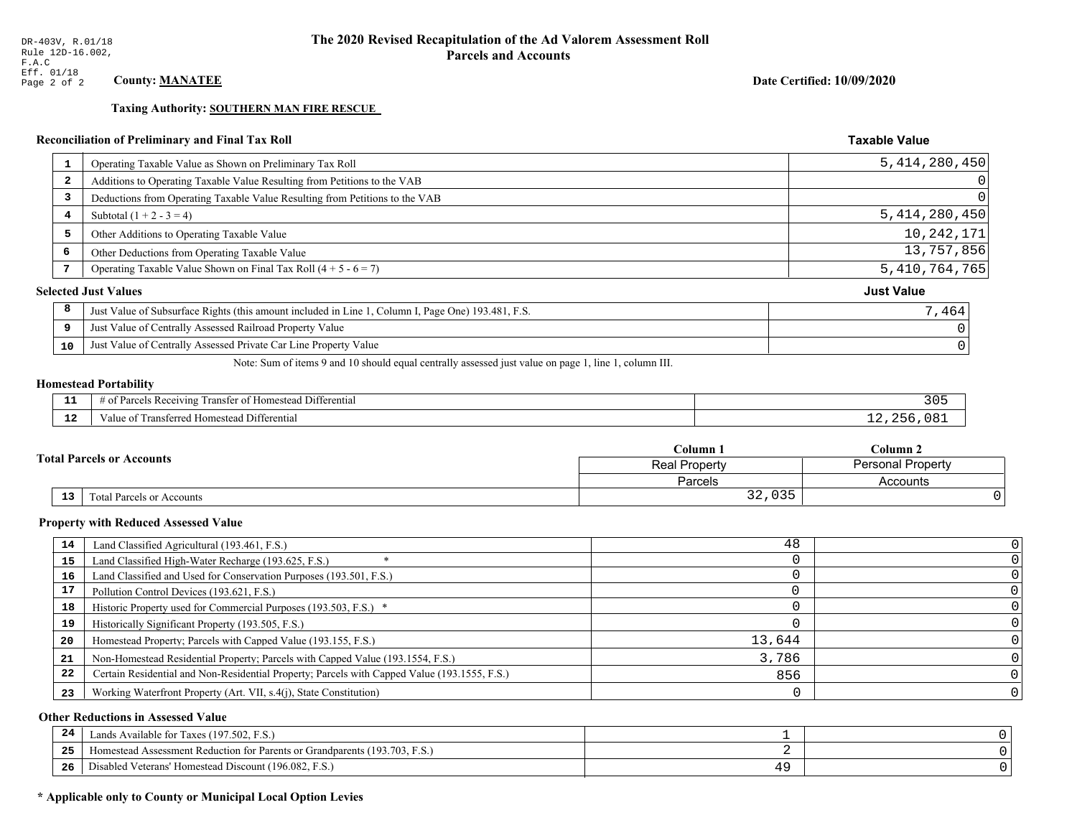**Taxing Authority: SOUTHERN MAN FIRE RESCUE** 

# Reconciliation of Preliminary and Final Tax Roll

| $\mathbf{1}$            | Operating Taxable Value as Shown on Preliminary Tax Roll                                           | 5, 414, 280, 450  |
|-------------------------|----------------------------------------------------------------------------------------------------|-------------------|
| $\overline{\mathbf{2}}$ | Additions to Operating Taxable Value Resulting from Petitions to the VAB                           | 0                 |
| 3                       | Deductions from Operating Taxable Value Resulting from Petitions to the VAB                        | 0                 |
| 4                       | Subtotal $(1 + 2 - 3 = 4)$                                                                         | 5, 414, 280, 450  |
| 5                       | Other Additions to Operating Taxable Value                                                         | 10,242,171        |
| 6                       | Other Deductions from Operating Taxable Value                                                      | 13,757,856        |
|                         | Operating Taxable Value Shown on Final Tax Roll $(4 + 5 - 6 = 7)$                                  | 5, 410, 764, 765  |
|                         | <b>Selected Just Values</b>                                                                        | <b>Just Value</b> |
| 8                       | Just Value of Subsurface Rights (this amount included in Line 1, Column I, Page One) 193.481, F.S. | 7,464             |
| 9                       | Just Value of Centrally Assessed Railroad Property Value                                           |                   |
| 10                      | Just Value of Centrally Assessed Private Car Line Property Value                                   |                   |

Note: Sum of items 9 and 10 should equal centrally assessed just value on page 1, line 1, column III.

# **Homestead Portability**

| $\sim$ | -<br>™anste.<br>Differential<br>$A$ <sup><math>\alpha</math><math>A</math><math>I</math><math>I</math><math>n</math><math>\alpha</math></sup><br>$\sim$<br>чт.<br>$\cdots$<br>. | ೨೦ |
|--------|---------------------------------------------------------------------------------------------------------------------------------------------------------------------------------|----|
| .      | alue<br>Differential<br>stea:<br>пv                                                                                                                                             |    |

|    | Column 1                         |                                                  | $C$ olumn 2 |
|----|----------------------------------|--------------------------------------------------|-------------|
|    | <b>Total Parcels or Accounts</b> | <b>Personal Property</b><br><b>Real Property</b> |             |
|    |                                  | Parcels                                          | Accounts    |
| 13 | Fotal Parcels or Accounts        | 035<br>າ າ<br>34, USS                            |             |

### **Property with Reduced Assessed Value**

| 14 | Land Classified Agricultural (193.461, F.S.)                                                 | 48     | $\Omega$       |
|----|----------------------------------------------------------------------------------------------|--------|----------------|
| 15 | Land Classified High-Water Recharge (193.625, F.S.)                                          |        |                |
| 16 | Land Classified and Used for Conservation Purposes (193.501, F.S.)                           |        |                |
| 17 | Pollution Control Devices (193.621, F.S.)                                                    |        |                |
| 18 | Historic Property used for Commercial Purposes (193.503, F.S.) *                             |        |                |
| 19 | Historically Significant Property (193.505, F.S.)                                            |        |                |
| 20 | Homestead Property; Parcels with Capped Value (193.155, F.S.)                                | 13,644 |                |
| 21 | Non-Homestead Residential Property; Parcels with Capped Value (193.1554, F.S.)               | 3,786  |                |
| 22 | Certain Residential and Non-Residential Property; Parcels with Capped Value (193.1555, F.S.) | 856    |                |
| 23 | Working Waterfront Property (Art. VII, s.4(j), State Constitution)                           |        | 0 <sup>1</sup> |

### **Other Reductions in Assessed Value**

| -24   | Lands Available for Taxes (197.502, F.S.)                                      |  |
|-------|--------------------------------------------------------------------------------|--|
| - - - | (193.703, F)<br>Aomestead Assessment Reduction for Parents or Grandparents (1) |  |
| -26   | d Veterans' Homestead Discount (196.082, F.S.)<br>Disabled                     |  |

# \* Applicable only to County or Municipal Local Option Levies

Date Certified: 10/09/2020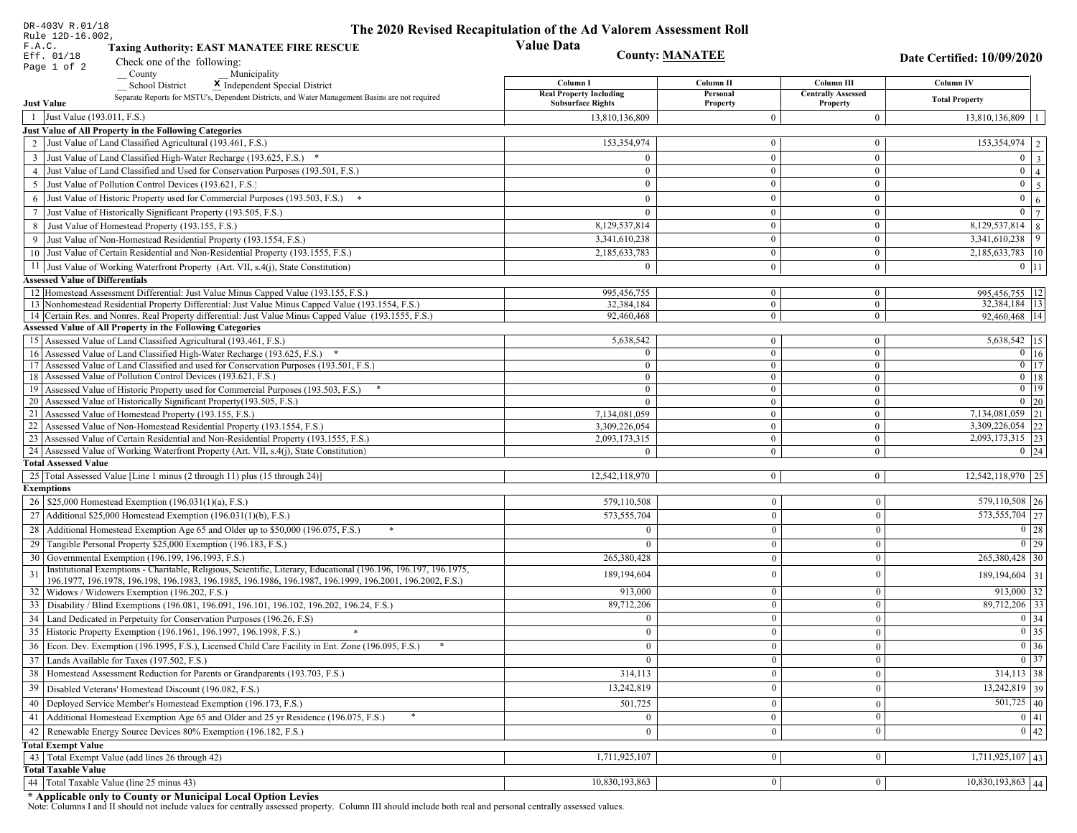| DR-403V R.01/18                                                                                                                        | The 2020 Revised Recapitulation of the Ad Valorem Assessment Roll |                      |                                       |                                |
|----------------------------------------------------------------------------------------------------------------------------------------|-------------------------------------------------------------------|----------------------|---------------------------------------|--------------------------------|
| Rule 12D-16.002,<br>F.A.C.<br><b>Taxing Authority: EAST MANATEE FIRE RESCUE</b>                                                        | <b>Value Data</b>                                                 |                      |                                       |                                |
| Eff. 01/18<br>Check one of the following:                                                                                              | <b>County: MANATEE</b>                                            |                      |                                       | Date Certified: 10/09/2020     |
| Page 1 of 2<br>County<br>Municipality                                                                                                  |                                                                   |                      |                                       |                                |
| <b>School District</b><br>X Independent Special District                                                                               | Column I                                                          | Column II            | Column III                            | Column IV                      |
| Separate Reports for MSTU's, Dependent Districts, and Water Management Basins are not required<br><b>Just Value</b>                    | <b>Real Property Including</b><br><b>Subsurface Rights</b>        | Personal<br>Property | <b>Centrally Assessed</b><br>Property | <b>Total Property</b>          |
| 1 Just Value (193.011, F.S.)                                                                                                           | 13,810,136,809                                                    | $\Omega$             | $\mathbf{0}$                          | 13,810,136,809                 |
| Just Value of All Property in the Following Categories                                                                                 |                                                                   |                      |                                       |                                |
| 2 Just Value of Land Classified Agricultural (193.461, F.S.)                                                                           | 153,354,974                                                       | $\mathbf{0}$         | $\bf{0}$                              | $\overline{153,354,974}$   2   |
| 3 Just Value of Land Classified High-Water Recharge (193.625, F.S.) *                                                                  |                                                                   | $\overline{0}$       | $\bf{0}$                              | $0 \mid 3$                     |
| 4 Just Value of Land Classified and Used for Conservation Purposes (193.501, F.S.)                                                     | $\overline{0}$                                                    | $\overline{0}$       | $\mathbf{0}$                          | $\boxed{0}$ $\boxed{4}$        |
| 5 Just Value of Pollution Control Devices (193.621, F.S.)                                                                              | $\overline{0}$                                                    | $\mathbf{0}$         | $\bf{0}$                              | $0 \quad 5$                    |
| 6 Just Value of Historic Property used for Commercial Purposes (193.503, F.S.) *                                                       | $\theta$                                                          | $\theta$             | $\mathbf{0}$                          | $\mathbf{0}$<br>6 <sup>1</sup> |
| 7 Just Value of Historically Significant Property (193.505, F.S.)                                                                      | $\mathbf{0}$                                                      | $\overline{0}$       | $\mathbf{0}$                          | $0 \mid 7 \mid$                |
| 8 Just Value of Homestead Property (193.155, F.S.)                                                                                     | 8,129,537,814                                                     | $\overline{0}$       | $\overline{0}$                        | 8,129,537,814 8                |
| 9 Just Value of Non-Homestead Residential Property (193.1554, F.S.)                                                                    | 3,341,610,238                                                     | $\Omega$             | $\mathbf{0}$                          | $3,341,610,238$ 9              |
| 10 Just Value of Certain Residential and Non-Residential Property (193.1555, F.S.)                                                     | 2,185,633,783                                                     | $\bf{0}$             | $\bf{0}$                              | 2,185,633,783   10             |
| 11 Just Value of Working Waterfront Property (Art. VII, s.4(j), State Constitution)                                                    | $\Omega$                                                          | $\bf{0}$             | $\mathbf{0}$                          | $0$   11                       |
| <b>Assessed Value of Differentials</b>                                                                                                 |                                                                   |                      |                                       |                                |
| 12 Homestead Assessment Differential: Just Value Minus Capped Value (193.155, F.S.)                                                    | 995,456,755                                                       | $\bf{0}$             | $\overline{0}$                        | 995,456,755   12               |
| 13 Nonhomestead Residential Property Differential: Just Value Minus Capped Value (193.1554, F.S.)                                      | 32.384.184                                                        | $\overline{0}$       | $\overline{0}$                        | 32,384,184 13                  |
| 14 Certain Res. and Nonres. Real Property differential: Just Value Minus Capped Value (193.1555, F.S.)                                 | 92,460,468                                                        | $\mathbf{0}$         | $\overline{0}$                        | 92,460,468   14                |
| <b>Assessed Value of All Property in the Following Categories</b><br>15 Assessed Value of Land Classified Agricultural (193.461, F.S.) | 5,638,542                                                         | $\mathbf{0}$         | $\bf{0}$                              | 5,638,542   15                 |
| 16 Assessed Value of Land Classified High-Water Recharge (193.625, F.S.) *                                                             | $\Omega$                                                          | $\mathbf{0}$         | $\mathbf{0}$                          | $0 \mid 16$                    |
| 17 Assessed Value of Land Classified and used for Conservation Purposes (193.501, F.S.)                                                | $\theta$                                                          | $\mathbf{0}$         | $\overline{0}$                        | $\overline{0}$ $\overline{17}$ |
| 18 Assessed Value of Pollution Control Devices (193.621, F.S.)                                                                         | $\overline{0}$                                                    | $\mathbf{0}$         | $\mathbf{0}$                          | $0$ 18                         |
| 19 Assessed Value of Historic Property used for Commercial Purposes (193.503, F.S.)                                                    | $\mathbf{0}$                                                      | $\mathbf{0}$         | $\overline{0}$                        | $0$   19                       |
| 20 Assessed Value of Historically Significant Property (193.505, F.S.)                                                                 | $\theta$                                                          | $\overline{0}$       | $\overline{0}$                        | $0 \quad 20$                   |
| 21 Assessed Value of Homestead Property (193.155, F.S.)                                                                                | 7,134,081,059                                                     | $\mathbf{0}$         | $\bf{0}$                              | 7,134,081,059 21               |
| 22 Assessed Value of Non-Homestead Residential Property (193.1554, F.S.)                                                               | 3,309,226,054                                                     | $\mathbf{0}$         | $\mathbf{0}$                          | 3,309,226,054 22               |
| 23 Assessed Value of Certain Residential and Non-Residential Property (193.1555, F.S.)                                                 | 2,093,173,315                                                     | $\mathbf{0}$         | $\bf{0}$                              | 2,093,173,315 23               |
| 24 Assessed Value of Working Waterfront Property (Art. VII, s.4(j), State Constitution<br><b>Total Assessed Value</b>                  |                                                                   | $\overline{0}$       | $\bf{0}$                              | $0 \mid 24$                    |
| 25 Total Assessed Value [Line 1 minus (2 through 11) plus (15 through 24)]                                                             | 12,542,118,970                                                    | $\overline{0}$       | $\mathbf{0}$                          | $12,542,118,970$ 25            |
| <b>Exemptions</b>                                                                                                                      |                                                                   |                      |                                       |                                |
| 26   \$25,000 Homestead Exemption (196.031(1)(a), F.S.)                                                                                | 579,110,508                                                       | $\mathbf{0}$         | $\boldsymbol{0}$                      | 579,110,508 26                 |
| 27   Additional \$25,000 Homestead Exemption $(196.031(1)(b), F.S.)$                                                                   | 573,555,704                                                       | $\overline{0}$       | $\mathbf{0}$                          | 573, 555, 704 27               |
| 28 Additional Homestead Exemption Age 65 and Older up to \$50,000 (196.075, F.S.)                                                      | $\Omega$                                                          | $\overline{0}$       | $\boldsymbol{0}$                      | $\boxed{0}$ 28                 |
| 29 Tangible Personal Property \$25,000 Exemption (196.183, F.S.)                                                                       |                                                                   | $\mathbf{0}$         | $\boldsymbol{0}$                      | $0$   29                       |
| 30 Governmental Exemption (196.199, 196.1993, F.S.)                                                                                    | 265,380,428                                                       | $\bf{0}$             | $\mathbf{0}$                          | 265,380,428 30                 |
| Institutional Exemptions - Charitable, Religious, Scientific, Literary, Educational (196.196, 196.197, 196.1975,<br>31                 |                                                                   | $\mathbf{0}$         | $\mathbf{0}$                          |                                |
| 196.1977, 196.1978, 196.198, 196.1983, 196.1985, 196.1986, 196.1987, 196.1999, 196.2001, 196.2002, F.S.)                               | 189,194,604                                                       |                      |                                       | 189, 194, 604 31               |
| 32   Widows / Widowers Exemption (196.202, F.S.)                                                                                       | 913,000                                                           | $\mathbf{0}$         | $\mathbf{0}$                          | $913,000$ 32                   |
| 33<br>Disability / Blind Exemptions (196.081, 196.091, 196.101, 196.102, 196.202, 196.24, F.S.)                                        | 89,712,206                                                        | $\overline{0}$       | $\mathbf{0}$                          | 89,712,206 33                  |
| Land Dedicated in Perpetuity for Conservation Purposes (196.26, F.S)                                                                   | $\Omega$                                                          | $\mathbf{0}$         | $\theta$                              | 0 34                           |
| 35 Historic Property Exemption (196.1961, 196.1997, 196.1998, F.S.)                                                                    | 0                                                                 | $\mathbf{U}$         | $\mathbf{0}$                          | $\boxed{0}$ 35                 |
| 36 Econ. Dev. Exemption (196.1995, F.S.), Licensed Child Care Facility in Ent. Zone (196.095, F.S.)                                    | $\Omega$                                                          | $\mathbf{0}$         | $\Omega$                              | $\boxed{0}$ 36                 |
| 37 Lands Available for Taxes (197.502, F.S.)                                                                                           | $\Omega$                                                          | $\mathbf{0}$         | $\Omega$                              | $0 \mid 37$                    |
| 38   Homestead Assessment Reduction for Parents or Grandparents (193.703, F.S.)                                                        | 314,113                                                           | $\mathbf{0}$         | $\boldsymbol{0}$                      | $314,113$ 38                   |
| 39<br>Disabled Veterans' Homestead Discount (196.082, F.S.)                                                                            | 13,242,819                                                        | $\mathbf{0}$         | $\mathbf{0}$                          | $13,242,819$ 39                |
| Deployed Service Member's Homestead Exemption (196.173, F.S.)<br>40                                                                    | 501,725                                                           | $\Omega$             | $\Omega$                              | $\overline{501,725}$ 40        |
| 41   Additional Homestead Exemption Age 65 and Older and 25 yr Residence (196.075, F.S.)                                               | $\mathbf{0}$                                                      | $\overline{0}$       | $\mathbf{0}$                          | $\boxed{0}$ 41                 |
| 42 Renewable Energy Source Devices 80% Exemption (196.182, F.S.)                                                                       | $\mathbf{0}$                                                      | $\mathbf{0}$         | $\mathbf{0}$                          | 0 42                           |
| <b>Total Exempt Value</b>                                                                                                              |                                                                   |                      |                                       |                                |
| 43 Total Exempt Value (add lines 26 through 42)                                                                                        | 1,711,925,107                                                     | $\mathbf{0}$         | $\mathbf{0}$                          | $1,711,925,107$ 43             |
| <b>Total Taxable Value</b>                                                                                                             |                                                                   |                      |                                       |                                |
| 44   Total Taxable Value (line 25 minus 43)                                                                                            | 10,830,193,863                                                    | 0 <sup>1</sup>       | $\bf{0}$                              | $\overline{10,830,193,863}$ 44 |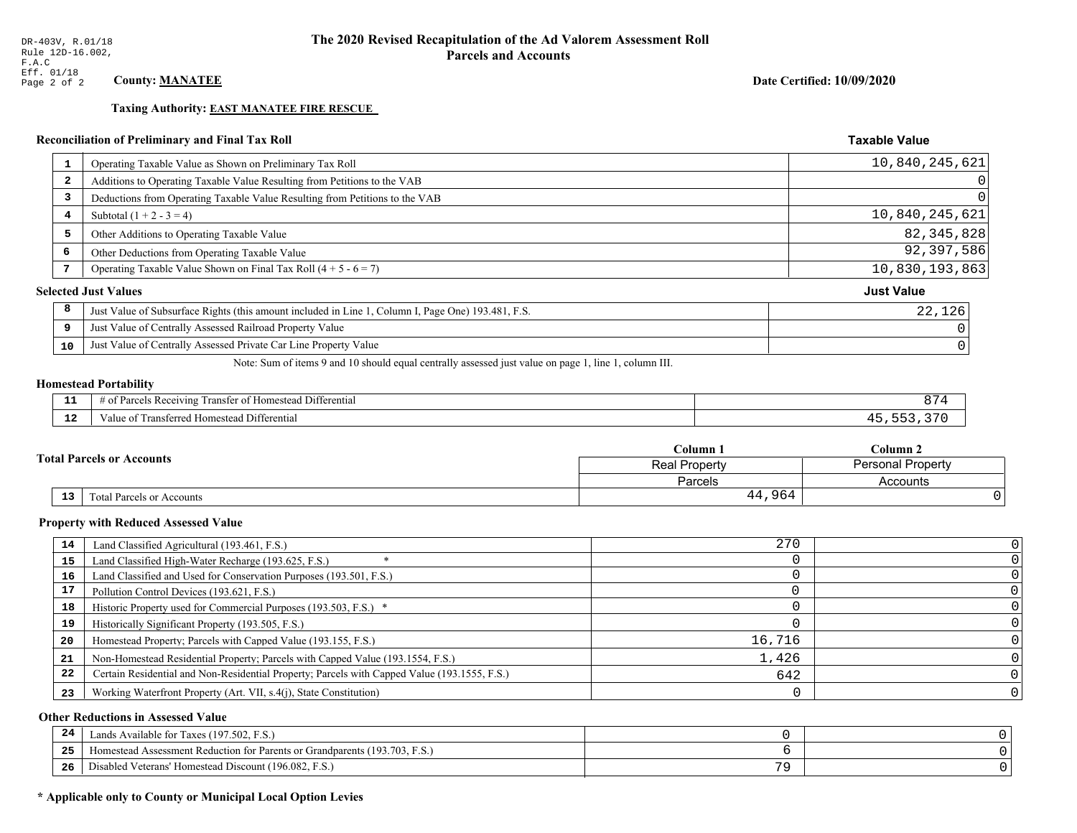**Taxing Authority: EAST MANATEE FIRE RESCUE** 

# Reconciliation of Preliminary and Final Tax Roll

| 1  | Operating Taxable Value as Shown on Preliminary Tax Roll                                           | 10,840,245,621    |
|----|----------------------------------------------------------------------------------------------------|-------------------|
| 2  | Additions to Operating Taxable Value Resulting from Petitions to the VAB                           | 0                 |
| 3  | Deductions from Operating Taxable Value Resulting from Petitions to the VAB                        | $\Omega$          |
| 4  | Subtotal $(1 + 2 - 3 = 4)$                                                                         | 10,840,245,621    |
| 5  | Other Additions to Operating Taxable Value                                                         | 82, 345, 828      |
| 6  | Other Deductions from Operating Taxable Value                                                      | 92,397,586        |
|    | Operating Taxable Value Shown on Final Tax Roll $(4 + 5 - 6 = 7)$                                  | 10,830,193,863    |
|    | <b>Selected Just Values</b>                                                                        | <b>Just Value</b> |
| 8  | Just Value of Subsurface Rights (this amount included in Line 1, Column I, Page One) 193.481, F.S. | 22,126            |
| 9  | Just Value of Centrally Assessed Railroad Property Value                                           |                   |
| 10 | Just Value of Centrally Assessed Private Car Line Property Value                                   |                   |

Note: Sum of items 9 and 10 should equal centrally assessed just value on page 1, line 1, column III.

# **Homestead Portability**

| --          | --<br>Differential<br>∵ Rec<br>ranster<br>enving               |  |
|-------------|----------------------------------------------------------------|--|
| $\sim$<br>. | -<br>. Differential<br>: Transferreo<br>l Homestead<br>aiue of |  |

| $\mathbb C$ olumn $\;$ .<br><b>Total Parcels or Accounts</b> |                           | $\mathbb C$ olumn 2                       |          |
|--------------------------------------------------------------|---------------------------|-------------------------------------------|----------|
|                                                              |                           | Personal Property<br><b>Real Property</b> |          |
|                                                              |                           | Parcels                                   | Accounts |
| 13                                                           | Fotal Parcels or Accounts | 44,964                                    |          |

### **Property with Reduced Assessed Value**

| 14 | Land Classified Agricultural (193.461, F.S.)                                                 | 270    |  |
|----|----------------------------------------------------------------------------------------------|--------|--|
| 15 | Land Classified High-Water Recharge (193.625, F.S.)                                          |        |  |
| 16 | Land Classified and Used for Conservation Purposes (193.501, F.S.)                           |        |  |
| 17 | Pollution Control Devices (193.621, F.S.)                                                    |        |  |
| 18 | Historic Property used for Commercial Purposes (193.503, F.S.) *                             |        |  |
| 19 | Historically Significant Property (193.505, F.S.)                                            |        |  |
| 20 | Homestead Property; Parcels with Capped Value (193.155, F.S.)                                | 16,716 |  |
| 21 | Non-Homestead Residential Property; Parcels with Capped Value (193.1554, F.S.)               | 1,426  |  |
| 22 | Certain Residential and Non-Residential Property; Parcels with Capped Value (193.1555, F.S.) | 642    |  |
| 23 | Working Waterfront Property (Art. VII, s.4(j), State Constitution)                           |        |  |

### **Other Reductions in Assessed Value**

| 24    | Lands Available for Taxes (197.502, F.S.)                                  |              |  |
|-------|----------------------------------------------------------------------------|--------------|--|
| - - - | Iomestead Assessment Reduction for Parents or Grandparents (193.703, F.S.) |              |  |
| -26   | I Veterans' Homestead Discount (196.082, F.S.)<br>Disabled                 | $\mathbf{z}$ |  |

# \* Applicable only to County or Municipal Local Option Levies

Date Certified: 10/09/2020

|  | $\cap$ $\cap$ |  |
|--|---------------|--|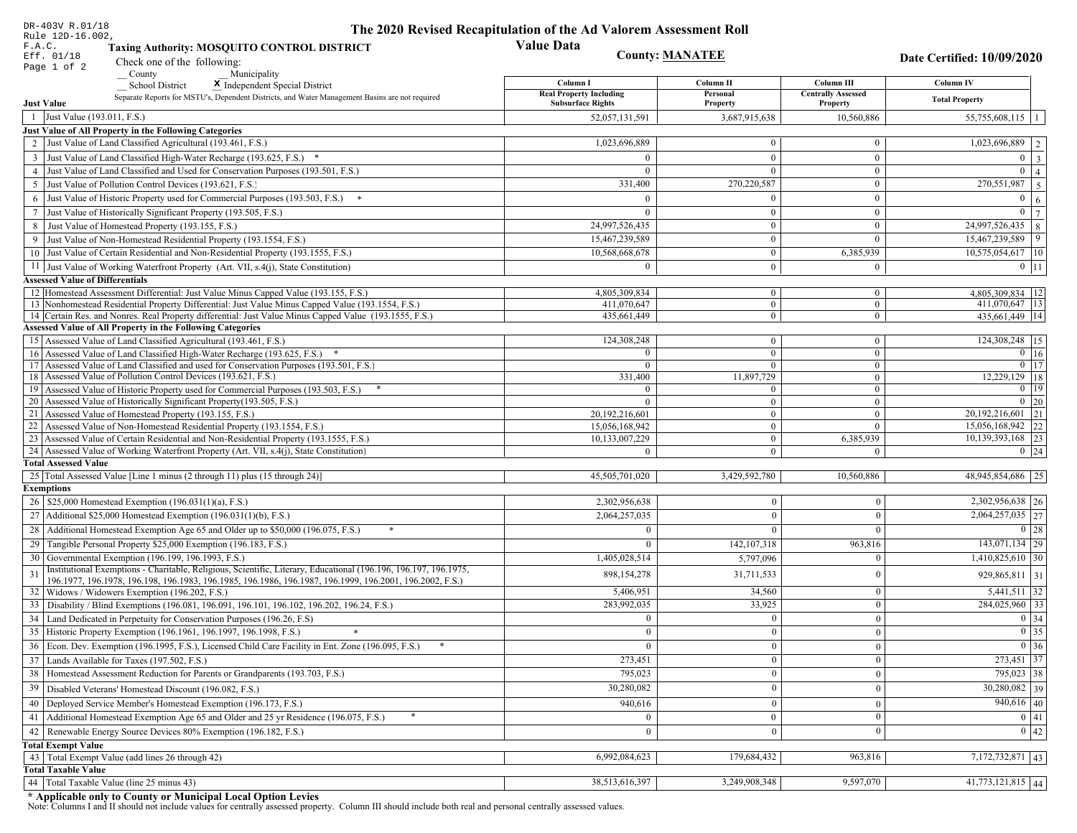| DR-403V R.01/18                                                                                                                                                                                                              | The 2020 Revised Recapitulation of the Ad Valorem Assessment Roll |                                  |                                       |                                               |
|------------------------------------------------------------------------------------------------------------------------------------------------------------------------------------------------------------------------------|-------------------------------------------------------------------|----------------------------------|---------------------------------------|-----------------------------------------------|
| Rule 12D-16.002,<br>F.A.C.<br><b>Taxing Authority: MOSQUITO CONTROL DISTRICT</b>                                                                                                                                             | <b>Value Data</b>                                                 |                                  |                                       |                                               |
| <b>County: MANATEE</b><br>Eff. 01/18<br>Check one of the following:                                                                                                                                                          |                                                                   |                                  |                                       | Date Certified: 10/09/2020                    |
| Page 1 of 2<br>County<br>Municipality                                                                                                                                                                                        |                                                                   |                                  |                                       |                                               |
| <b>School District</b><br>X Independent Special District                                                                                                                                                                     | Column I                                                          | Column II                        | Column III                            | Column IV                                     |
| Separate Reports for MSTU's, Dependent Districts, and Water Management Basins are not required<br><b>Just Value</b>                                                                                                          | <b>Real Property Including</b><br><b>Subsurface Rights</b>        | Personal<br>Property             | <b>Centrally Assessed</b><br>Property | <b>Total Property</b>                         |
| 1 Just Value (193.011, F.S.)                                                                                                                                                                                                 | 52,057,131,591                                                    | 3,687,915,638                    | 10,560,886                            | $55,755,608,115$   1                          |
| Just Value of All Property in the Following Categories                                                                                                                                                                       |                                                                   |                                  |                                       |                                               |
| 2 Just Value of Land Classified Agricultural (193.461, F.S.)                                                                                                                                                                 | 1,023,696,889                                                     | $\bf{0}$                         | $\bf{0}$                              | 1,023,696,889   2                             |
| 3 Just Value of Land Classified High-Water Recharge (193.625, F.S.) *                                                                                                                                                        | $\Omega$                                                          | $\mathbf{0}$                     | $\mathbf{0}$                          | $0 \mid 3$                                    |
| 4 Just Value of Land Classified and Used for Conservation Purposes (193.501, F.S.)                                                                                                                                           | $\Omega$                                                          | $\Omega$                         | $\boldsymbol{0}$                      | $\overline{0}$<br>$\overline{4}$              |
| 5 Just Value of Pollution Control Devices (193.621, F.S.)                                                                                                                                                                    | 331,400                                                           | 270,220,587                      | $\boldsymbol{0}$                      | $\boxed{270,551,987}$   5                     |
| 6 Just Value of Historic Property used for Commercial Purposes (193.503, F.S.) *                                                                                                                                             | $\Omega$                                                          |                                  | $\boldsymbol{0}$                      | $\overline{0}$<br>6                           |
| 7 Just Value of Historically Significant Property (193.505, F.S.)                                                                                                                                                            | $\Omega$                                                          | $\bf{0}$                         | $\boldsymbol{0}$                      | $0 \overline{7}$                              |
| 8 Just Value of Homestead Property (193.155, F.S.)                                                                                                                                                                           | 24,997,526,435                                                    | $\boldsymbol{0}$                 | $\boldsymbol{0}$                      | 24,997,526,435   8                            |
| 9 Just Value of Non-Homestead Residential Property (193.1554, F.S.)                                                                                                                                                          | 15,467,239,589                                                    | $\boldsymbol{0}$                 | $\theta$                              | 15,467,239,589<br>$\vert$ 9                   |
| 10 Just Value of Certain Residential and Non-Residential Property (193.1555, F.S.)                                                                                                                                           | 10,568,668,678                                                    | $\mathbf{0}$                     | 6,385,939                             | 10,575,054,617 10                             |
| 11 Just Value of Working Waterfront Property (Art. VII, s.4(j), State Constitution)                                                                                                                                          | $\Omega$                                                          | $\boldsymbol{0}$                 | $\bf{0}$                              | $0$   11                                      |
| <b>Assessed Value of Differentials</b>                                                                                                                                                                                       |                                                                   |                                  |                                       |                                               |
| 12   Homestead Assessment Differential: Just Value Minus Capped Value (193.155, F.S.)                                                                                                                                        | 4,805,309,834                                                     | $\bf{0}$                         | $\bf{0}$                              | 4,805,309,834   12                            |
| 13 Nonhomestead Residential Property Differential: Just Value Minus Capped Value (193.1554, F.S.)<br>14 Certain Res. and Nonres. Real Property differential: Just Value Minus Capped Value (193.1555, F.S.)                  | 411,070,647<br>435,661,449                                        | $\overline{0}$<br>$\overline{0}$ | $\mathbf{0}$<br>$\overline{0}$        | 411,070,647   13<br>435.661.449 14            |
| <b>Assessed Value of All Property in the Following Categories</b>                                                                                                                                                            |                                                                   |                                  |                                       |                                               |
| 15 Assessed Value of Land Classified Agricultural (193.461, F.S.)                                                                                                                                                            | 124,308,248                                                       | $\mathbf{0}$                     | $\mathbf{0}$                          | 124,308,248 15                                |
| Assessed Value of Land Classified High-Water Recharge (193.625, F.S.) *                                                                                                                                                      | $\Omega$                                                          | $\overline{0}$                   | $\mathbf{0}$                          | $\overline{0}$ 16                             |
| Assessed Value of Land Classified and used for Conservation Purposes (193.501, F.S.)<br>17                                                                                                                                   | $\Omega$                                                          | $\overline{0}$                   | $\boldsymbol{0}$                      | $0$   17                                      |
| Assessed Value of Pollution Control Devices (193.621, F.S.)<br>18                                                                                                                                                            | 331,400                                                           | 11,897,729                       | $\mathbf{0}$                          | 12,229,129 18                                 |
| 19 Assessed Value of Historic Property used for Commercial Purposes (193.503, F.S.)                                                                                                                                          | $\overline{0}$                                                    | $\overline{0}$                   | $\overline{0}$                        | $0 \mid 19$                                   |
| 20 Assessed Value of Historically Significant Property (193.505, F.S.)<br>21 Assessed Value of Homestead Property (193.155, F.S.)                                                                                            | $\Omega$<br>20,192,216,601                                        | $\overline{0}$<br>$\overline{0}$ | $\overline{0}$<br>$\boldsymbol{0}$    | $0 \mid 20$<br>$\overline{20,192,216,601}$ 21 |
| 22 Assessed Value of Non-Homestead Residential Property (193.1554, F.S.)                                                                                                                                                     | 15,056,168,942                                                    | $\overline{0}$                   | $\mathbf{0}$                          | $15,056,168,942$ 22                           |
| 23 Assessed Value of Certain Residential and Non-Residential Property (193.1555, F.S.)                                                                                                                                       | 10,133,007,229                                                    | $\overline{0}$                   | 6,385,939                             | 10,139,393,168 23                             |
| 24 Assessed Value of Working Waterfront Property (Art. VII, s.4(j), State Constitution)                                                                                                                                      | $\Omega$                                                          | $\overline{0}$                   | $\mathbf{0}$                          | $0 \mid 24$                                   |
| <b>Total Assessed Value</b>                                                                                                                                                                                                  |                                                                   |                                  |                                       |                                               |
| 25 Total Assessed Value [Line 1 minus (2 through 11) plus (15 through 24)]                                                                                                                                                   | 45,505,701,020                                                    | 3,429,592,780                    | 10,560,886                            | 48,945,854,686 25                             |
| <b>Exemptions</b>                                                                                                                                                                                                            |                                                                   |                                  |                                       |                                               |
| 26   \$25,000 Homestead Exemption (196.031(1)(a), F.S.)                                                                                                                                                                      | 2,302,956,638                                                     | $\mathbf{0}$                     | $\mathbf{0}$                          | 2,302,956,638 26                              |
| 27   Additional \$25,000 Homestead Exemption $(196.031(1)(b), F.S.)$                                                                                                                                                         | 2,064,257,035                                                     | $\Omega$                         | $\Omega$                              | $\overline{2,064,257,035}$ 27                 |
| 28 Additional Homestead Exemption Age 65 and Older up to \$50,000 (196.075, F.S.)                                                                                                                                            | $\theta$                                                          | $\Omega$                         | $\Omega$                              | $0 \mid 28$                                   |
| 29 Tangible Personal Property \$25,000 Exemption (196.183, F.S.)                                                                                                                                                             | $\theta$                                                          | 142, 107, 318                    | 963,816                               | $143,071,134$ 29                              |
| 30 Governmental Exemption (196.199, 196.1993, F.S.)                                                                                                                                                                          | 1,405,028,514                                                     | 5,797,096                        |                                       | $1,410,825,610$ 30                            |
| Institutional Exemptions - Charitable, Religious, Scientific, Literary, Educational (196.196, 196.197, 196.1975,<br>196.1977, 196.1978, 196.198, 196.1983, 196.1985, 196.1986, 196.1987, 196.1999, 196.2001, 196.2002, F.S.) | 898, 154, 278                                                     | 31,711,533                       | $\Omega$                              | 929,865,811 31                                |
| 32 Widows / Widowers Exemption (196.202, F.S.)                                                                                                                                                                               | 5,406,951                                                         | 34,560                           | $\mathbf{0}$                          | $5,441,511$ 32                                |
| 33 Disability / Blind Exemptions (196.081, 196.091, 196.101, 196.102, 196.202, 196.24, F.S.)                                                                                                                                 | 283,992,035                                                       | 33,925                           | $\Omega$                              | 284,025,960 33                                |
| 34 Land Dedicated in Perpetuity for Conservation Purposes (196.26, F.S)                                                                                                                                                      | $\Omega$                                                          | $\mathbf{0}$                     | $\Omega$                              | 0 34                                          |
| 35 Historic Property Exemption (196.1961, 196.1997, 196.1998, F.S.)                                                                                                                                                          | 0                                                                 | $\mathbf{0}$                     | $\mathbf{0}$                          | $\boxed{0}$ 35                                |
| 36 Econ. Dev. Exemption (196.1995, F.S.), Licensed Child Care Facility in Ent. Zone (196.095, F.S.)                                                                                                                          | $\Omega$                                                          | $\boldsymbol{0}$                 | $\Omega$                              | $0 \mid 36$                                   |
| 37 Lands Available for Taxes (197.502, F.S.)                                                                                                                                                                                 | 273,451                                                           | $\mathbf{0}$                     | $\Omega$                              | 273,451 37                                    |
| 38   Homestead Assessment Reduction for Parents or Grandparents (193.703, F.S.)                                                                                                                                              | 795,023                                                           | $\mathbf{0}$                     | $\overline{0}$                        | 795,023 38                                    |
| 39   Disabled Veterans' Homestead Discount (196.082, F.S.)                                                                                                                                                                   | 30,280,082                                                        | $\mathbf{0}$                     | $\overline{0}$                        | $30,280,082$ 39                               |
| 40   Deployed Service Member's Homestead Exemption (196.173, F.S.)                                                                                                                                                           | 940,616                                                           | $\mathbf{0}$                     | $\Omega$                              | $940,616$ 40                                  |
| 41   Additional Homestead Exemption Age 65 and Older and 25 yr Residence (196.075, F.S.)                                                                                                                                     | $\overline{0}$                                                    | $\mathbf{0}$                     | $\mathbf{0}$                          | 0 41                                          |
| 42 Renewable Energy Source Devices 80% Exemption (196.182, F.S.)                                                                                                                                                             | $\mathbf{0}$                                                      | $\mathbf{0}$                     | $\Omega$                              | 0 42                                          |
| <b>Total Exempt Value</b>                                                                                                                                                                                                    |                                                                   |                                  |                                       |                                               |
| 43 Total Exempt Value (add lines 26 through 42)                                                                                                                                                                              | 6,992,084,623                                                     | 179,684,432                      | 963,816                               | 7,172,732,871 43                              |
| <b>Total Taxable Value</b>                                                                                                                                                                                                   |                                                                   |                                  |                                       |                                               |
| 44 Total Taxable Value (line 25 minus 43)                                                                                                                                                                                    | 38,513,616,397                                                    | 3,249,908,348                    | 9,597,070                             | $41,773,121,815$ 44                           |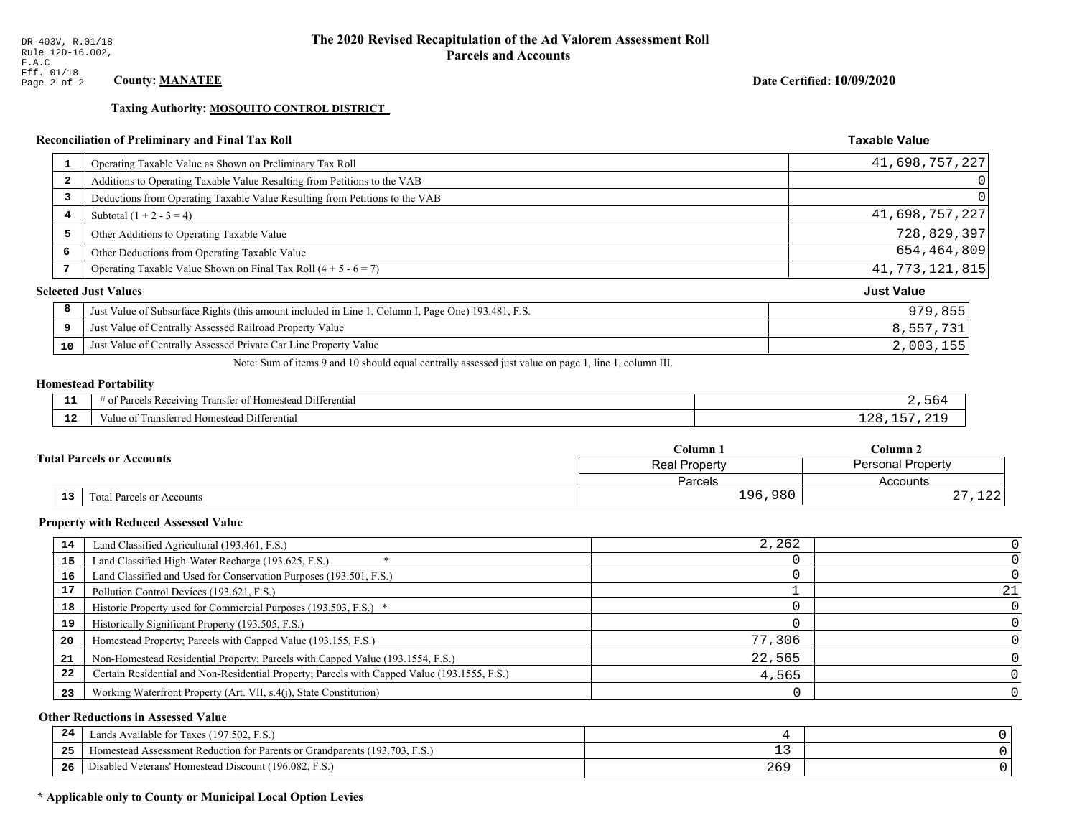Taxing Authority: MOSQUITO CONTROL DISTRICT

# Reconciliation of Preliminary and Final Tax Roll

| $\mathbf{1}$ | Operating Taxable Value as Shown on Preliminary Tax Roll                                           | 41,698,757,227    |
|--------------|----------------------------------------------------------------------------------------------------|-------------------|
| 2            | Additions to Operating Taxable Value Resulting from Petitions to the VAB                           | 0                 |
| 3            | Deductions from Operating Taxable Value Resulting from Petitions to the VAB                        | 0                 |
| 4            | Subtotal $(1 + 2 - 3 = 4)$                                                                         | 41,698,757,227    |
| 5            | Other Additions to Operating Taxable Value                                                         | 728,829,397       |
| 6            | Other Deductions from Operating Taxable Value                                                      | 654,464,809       |
| 7            | Operating Taxable Value Shown on Final Tax Roll $(4 + 5 - 6 = 7)$                                  | 41, 773, 121, 815 |
|              | <b>Selected Just Values</b>                                                                        | <b>Just Value</b> |
| 8            | Just Value of Subsurface Rights (this amount included in Line 1, Column I, Page One) 193.481, F.S. | 979,855           |
| 9            | Just Value of Centrally Assessed Railroad Property Value                                           | 8,557,731         |
| 10           | Just Value of Centrally Assessed Private Car Line Property Value                                   | 2,003,155         |

Note: Sum of items 9 and 10 should equal centrally assessed just value on page 1, line 1, column III.

# **Homestead Portability**

| . | $\cdots$<br>. Differential<br>з кес<br>eiving<br>r of Homesteac<br>ranster<br>71 I C |  |
|---|--------------------------------------------------------------------------------------|--|
| . | Iomestead Differential<br>$\mathbf{u}$<br>– ame<br>'nsien                            |  |

| <b>Total Parcels or Accounts</b> |    |                           | Column 1             | $C$ olumn 2              |  |
|----------------------------------|----|---------------------------|----------------------|--------------------------|--|
|                                  |    |                           | <b>Real Property</b> | <b>Personal Property</b> |  |
|                                  |    |                           | Parcels              | Accounts                 |  |
|                                  | 13 | Fotal Parcels or Accounts | 196,980              | 1 O O<br>ـ 2 د د<br>، ہے |  |

### **Property with Reduced Assessed Value**

| 14 | Land Classified Agricultural (193.461, F.S.)                                                 | 2,262  |  |
|----|----------------------------------------------------------------------------------------------|--------|--|
| 15 | Land Classified High-Water Recharge (193.625, F.S.)                                          |        |  |
| 16 | Land Classified and Used for Conservation Purposes (193.501, F.S.)                           |        |  |
| 17 | Pollution Control Devices (193.621, F.S.)                                                    |        |  |
| 18 | Historic Property used for Commercial Purposes (193.503, F.S.) *                             |        |  |
| 19 | Historically Significant Property (193.505, F.S.)                                            |        |  |
| 20 | Homestead Property; Parcels with Capped Value (193.155, F.S.)                                | 77,306 |  |
| 21 | Non-Homestead Residential Property; Parcels with Capped Value (193.1554, F.S.)               | 22,565 |  |
| 22 | Certain Residential and Non-Residential Property; Parcels with Capped Value (193.1555, F.S.) | 4,565  |  |
| 23 | Working Waterfront Property (Art. VII, s.4(j), State Constitution)                           |        |  |

### **Other Reductions in Assessed Value**

| 24    | Lands Available for Taxes (197.502, F.S.)                                  |       |  |
|-------|----------------------------------------------------------------------------|-------|--|
| - - - | Homestead Assessment Reduction for Parents or Grandparents (193.703, F.S.) | - -   |  |
| -26   | Disabled Veterans' Homestead Discount (196.082, F.<br>F.S.                 | 2 U J |  |

# \* Applicable only to County or Municipal Local Option Levies

Date Certified: 10/09/2020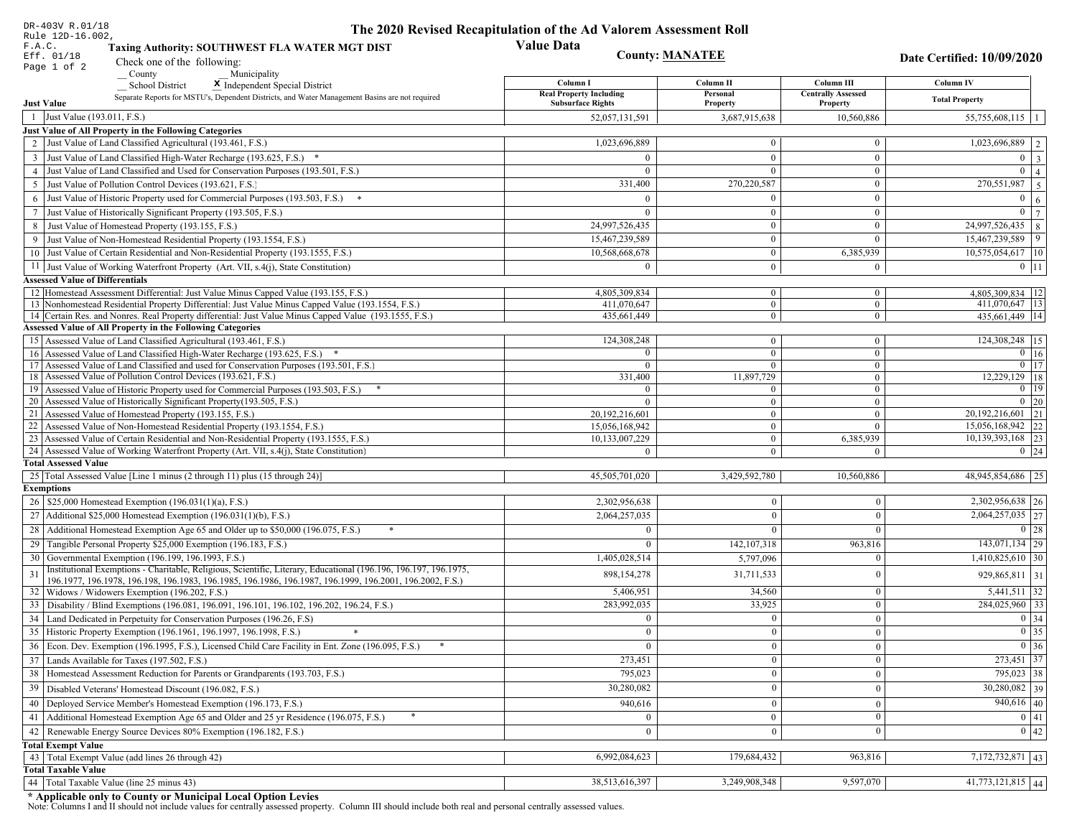| DR-403V R.01/18<br>Rule 12D-16.002,                                                                                                                                         | The 2020 Revised Recapitulation of the Ad Valorem Assessment Roll |                                  |                                         |                                                    |
|-----------------------------------------------------------------------------------------------------------------------------------------------------------------------------|-------------------------------------------------------------------|----------------------------------|-----------------------------------------|----------------------------------------------------|
| F.A.C.<br>Taxing Authority: SOUTHWEST FLA WATER MGT DIST<br>Eff. 01/18<br>Check one of the following:                                                                       | <b>Value Data</b><br><b>County: MANATEE</b>                       |                                  |                                         | Date Certified: 10/09/2020                         |
| Page 1 of 2<br>$\sqrt{\frac{1}{2}}$ County<br>Municipality                                                                                                                  |                                                                   |                                  |                                         |                                                    |
| <b>School District</b><br>X Independent Special District                                                                                                                    | Column I<br><b>Real Property Including</b>                        | Column II<br>Personal            | Column III<br><b>Centrally Assessed</b> | Column IV                                          |
| Separate Reports for MSTU's, Dependent Districts, and Water Management Basins are not required<br><b>Just Value</b>                                                         | <b>Subsurface Rights</b>                                          | Property                         | Property                                | <b>Total Property</b>                              |
| 1 Just Value (193.011, F.S.)                                                                                                                                                | 52,057,131,591                                                    | 3,687,915,638                    | 10,560,886                              | $55,755,608,115$   1                               |
| Just Value of All Property in the Following Categories                                                                                                                      |                                                                   |                                  |                                         |                                                    |
| 2 Just Value of Land Classified Agricultural (193.461, F.S.)                                                                                                                | 1,023,696,889                                                     | $\theta$                         | $\bf{0}$                                | 1,023,696,889 2                                    |
| 3 Just Value of Land Classified High-Water Recharge (193.625, F.S.) *                                                                                                       | $\theta$                                                          | $\bf{0}$                         | $\boldsymbol{0}$                        | $0 \mid 3$                                         |
| 4 Just Value of Land Classified and Used for Conservation Purposes (193.501, F.S.)                                                                                          | $\Omega$                                                          | $\mathbf{0}$                     | $\mathbf{0}$                            | $\overline{0}$<br>$\vert$ 4                        |
| 5 Just Value of Pollution Control Devices (193.621, F.S.)                                                                                                                   | 331,400                                                           | 270,220,587                      | $\boldsymbol{0}$                        | 270,551,987<br>$\overline{5}$                      |
| 6 Just Value of Historic Property used for Commercial Purposes (193.503, F.S.) *                                                                                            | $\Omega$                                                          | $\theta$                         | $\mathbf{0}$                            | $\overline{0}$<br>6                                |
| 7 Just Value of Historically Significant Property (193.505, F.S.)                                                                                                           | $\Omega$                                                          | $\mathbf{0}$                     | $\boldsymbol{0}$                        | $\overline{0}$<br> 7                               |
| 8 Just Value of Homestead Property (193.155, F.S.)                                                                                                                          | 24,997,526,435                                                    | $\boldsymbol{0}$                 | $\boldsymbol{0}$                        | 24,997,526,435<br> 8                               |
| 9 Just Value of Non-Homestead Residential Property (193.1554, F.S.)                                                                                                         | 15,467,239,589                                                    | $\bf{0}$                         | $\mathbf{0}$                            | $\begin{array}{c} 9 \end{array}$<br>15,467,239,589 |
| 10 Just Value of Certain Residential and Non-Residential Property (193.1555, F.S.)                                                                                          | 10,568,668,678                                                    | $\mathbf{0}$                     | 6,385,939                               | $10,575,054,617$ 10                                |
| 11 Just Value of Working Waterfront Property (Art. VII, s.4(j), State Constitution)                                                                                         | $\theta$                                                          | $\mathbf{0}$                     | $\bf{0}$                                | $0$   11                                           |
| <b>Assessed Value of Differentials</b>                                                                                                                                      |                                                                   |                                  |                                         |                                                    |
| 12 Homestead Assessment Differential: Just Value Minus Capped Value (193.155, F.S.)                                                                                         | 4,805,309,834                                                     | $\mathbf{0}$                     | $\bf{0}$                                | 4,805,309,834   12                                 |
| 13 Nonhomestead Residential Property Differential: Just Value Minus Capped Value (193.1554, F.S.)                                                                           | 411,070,647                                                       | $\mathbf{0}$                     | $\boldsymbol{0}$                        | 411,070,647 13                                     |
| 14 Certain Res. and Nonres. Real Property differential: Just Value Minus Capped Value (193.1555, F.S.)<br><b>Assessed Value of All Property in the Following Categories</b> | 435,661,449                                                       | $\overline{0}$                   | $\overline{0}$                          | 435,661,449   14                                   |
|                                                                                                                                                                             | 124,308,248                                                       |                                  |                                         | 124,308,248 15                                     |
| 15 Assessed Value of Land Classified Agricultural (193.461, F.S.)<br>16 Assessed Value of Land Classified High-Water Recharge (193.625, F.S.) *                             |                                                                   | $\boldsymbol{0}$<br>$\mathbf{0}$ | $\bf{0}$<br>$\mathbf{0}$                | $0$ 16                                             |
| 17 Assessed Value of Land Classified and used for Conservation Purposes (193.501, F.S.)                                                                                     | $\overline{0}$                                                    | $\overline{0}$                   | $\mathbf{0}$                            | $0$ 17                                             |
| 18 Assessed Value of Pollution Control Devices (193.621, F.S.)                                                                                                              | 331,400                                                           | 11,897,729                       | $\mathbf{0}$                            | $12,229,129$ 18                                    |
| 19 Assessed Value of Historic Property used for Commercial Purposes (193.503, F.S.)                                                                                         | $\overline{0}$                                                    | $\overline{0}$                   | $\overline{0}$                          | 0   19                                             |
| 20 Assessed Value of Historically Significant Property (193.505, F.S.)                                                                                                      |                                                                   | $\overline{0}$                   | $\mathbf{0}$                            | $0 \mid 20$                                        |
| 21 Assessed Value of Homestead Property (193.155, F.S.)                                                                                                                     | 20,192,216,601                                                    | $\overline{0}$                   | $\mathbf{0}$                            | $\overline{20,192,216,601}$ 21                     |
| 22 Assessed Value of Non-Homestead Residential Property (193.1554, F.S.)                                                                                                    | 15,056,168,942                                                    | $\bf{0}$                         | $\theta$                                | 15,056,168,942 22                                  |
| 23 Assessed Value of Certain Residential and Non-Residential Property (193.1555, F.S.)                                                                                      | 10,133,007,229                                                    | $\overline{0}$                   | 6,385,939                               | 10,139,393,168 23                                  |
| 24 Assessed Value of Working Waterfront Property (Art. VII, s.4(j), State Constitution)<br><b>Total Assessed Value</b>                                                      | $\Omega$                                                          | $\overline{0}$                   | $\overline{0}$                          | $0 \mid 24$                                        |
| 25 Total Assessed Value [Line 1 minus (2 through 11) plus (15 through 24)]                                                                                                  | 45,505,701,020                                                    | 3,429,592,780                    | 10,560,886                              | 48,945,854,686 25                                  |
| <b>Exemptions</b>                                                                                                                                                           |                                                                   |                                  |                                         |                                                    |
| 26   \$25,000 Homestead Exemption (196.031(1)(a), F.S.)                                                                                                                     | 2,302,956,638                                                     | $\boldsymbol{0}$                 | $\Omega$                                | 2,302,956,638 26                                   |
| 27 Additional \$25,000 Homestead Exemption $(196.031(1)(b), F.S.)$                                                                                                          | 2,064,257,035                                                     | $\mathbf{0}$                     | $\Omega$                                | $\overline{2,064,257,035}$ 27                      |
| 28 Additional Homestead Exemption Age 65 and Older up to \$50,000 (196.075, F.S.)<br>$\ast$                                                                                 | $\Omega$                                                          | $\Omega$                         | $\Omega$                                | $0 \mid 28$                                        |
| 29 Tangible Personal Property \$25,000 Exemption (196.183, F.S.)                                                                                                            |                                                                   | 142, 107, 318                    | 963,816                                 | $143,071,134$ 29                                   |
| 30 Governmental Exemption (196.199, 196.1993, F.S.)                                                                                                                         | 1,405,028,514                                                     | 5,797,096                        | $\Omega$                                | $1,410,825,610$ 30                                 |
| Institutional Exemptions - Charitable, Religious, Scientific, Literary, Educational (196.196, 196.197, 196.1975,                                                            |                                                                   |                                  |                                         |                                                    |
| 196.1977, 196.1978, 196.198, 196.1983, 196.1985, 196.1986, 196.1987, 196.1999, 196.2001, 196.2002, F.S.)                                                                    | 898,154,278                                                       | 31,711,533                       | $\Omega$                                | 929,865,811 31                                     |
| 32   Widows / Widowers Exemption (196.202, F.S.)                                                                                                                            | 5,406,951                                                         | 34,560                           | $\Omega$                                | $5,441,511$ 32                                     |
| 33 Disability / Blind Exemptions (196.081, 196.091, 196.101, 196.102, 196.202, 196.24, F.S.)                                                                                | 283,992,035                                                       | 33,925                           | $\Omega$                                | 284,025,960 33                                     |
| 34   Land Dedicated in Perpetuity for Conservation Purposes (196.26, F.S)                                                                                                   | $\bf{0}$                                                          | $\overline{0}$                   | $\Omega$                                | 0 34                                               |
| 35   Historic Property Exemption (196.1961, 196.1997, 196.1998, F.S.)                                                                                                       | $\bf{0}$                                                          | $\theta$                         | $\bf{0}$                                | $\boxed{0}$ 35                                     |
| 36 Econ. Dev. Exemption (196.1995, F.S.), Licensed Child Care Facility in Ent. Zone (196.095, F.S.)                                                                         |                                                                   | $\mathbf{0}$                     | $\theta$                                | $\boxed{0}$ 36                                     |
| 37 Lands Available for Taxes (197.502, F.S.)                                                                                                                                | 273,451                                                           | $\Omega$                         | $\Omega$                                | 273,451 37                                         |
| 38   Homestead Assessment Reduction for Parents or Grandparents (193.703, F.S.)                                                                                             | 795,023                                                           | $\mathbf{0}$                     | $\Omega$                                | 795,023 38                                         |
| 39   Disabled Veterans' Homestead Discount (196.082, F.S.)                                                                                                                  | 30,280,082                                                        | $\mathbf{0}$                     | $\mathbf{0}$                            | $30,280,082$ 39                                    |
| 40 Deployed Service Member's Homestead Exemption (196.173, F.S.)                                                                                                            | 940,616                                                           | $\mathbf{0}$                     | $\mathbf{0}$                            | $940,616$ 40                                       |
| 41 Additional Homestead Exemption Age 65 and Older and 25 yr Residence (196.075, F.S.)                                                                                      | $\overline{0}$                                                    | $\overline{0}$                   | $\overline{0}$                          | 0 41                                               |
| 42 Renewable Energy Source Devices 80% Exemption (196.182, F.S.)                                                                                                            | $\mathbf{0}$                                                      | $\boldsymbol{0}$                 | $\overline{0}$                          | $\overline{0}$   42                                |
| <b>Total Exempt Value</b>                                                                                                                                                   |                                                                   |                                  |                                         |                                                    |
| 43 Total Exempt Value (add lines 26 through 42)                                                                                                                             | 6,992,084,623                                                     | 179,684,432                      | 963,816                                 | 7,172,732,871 43                                   |
| <b>Total Taxable Value</b>                                                                                                                                                  |                                                                   |                                  |                                         |                                                    |
| 44   Total Taxable Value (line 25 minus 43)                                                                                                                                 | 38,513,616,397                                                    | 3,249,908,348                    | 9,597,070                               | $41,773,121,815$ 44                                |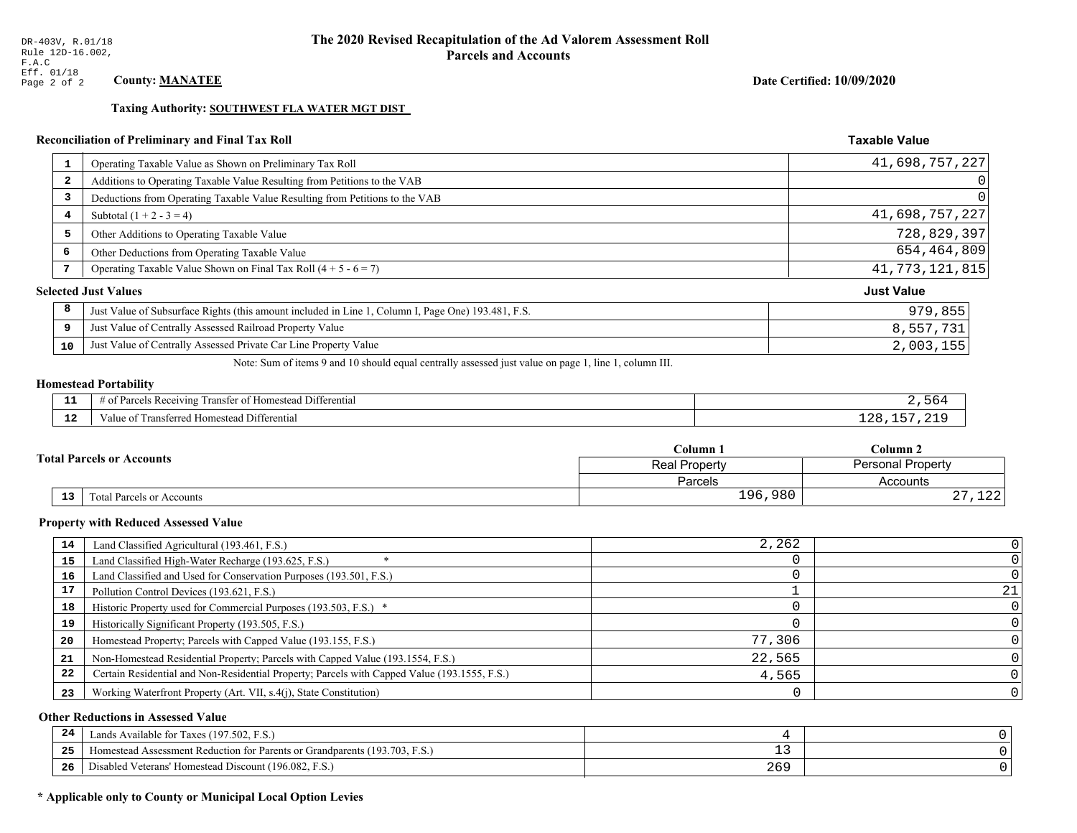### Date Certified: 10/09/2020

**Taxable Value** 

### Taxing Authority: SOUTHWEST FLA WATER MGT DIST

# Reconciliation of Preliminary and Final Tax Roll

| $\mathbf{1}$   | Operating Taxable Value as Shown on Preliminary Tax Roll                                           | 41,698,757,227    |
|----------------|----------------------------------------------------------------------------------------------------|-------------------|
| $\overline{2}$ | Additions to Operating Taxable Value Resulting from Petitions to the VAB                           |                   |
| 3              | Deductions from Operating Taxable Value Resulting from Petitions to the VAB                        |                   |
| 4              | Subtotal $(1 + 2 - 3 = 4)$                                                                         | 41,698,757,227    |
| 5              | Other Additions to Operating Taxable Value                                                         | 728,829,397       |
| 6              | Other Deductions from Operating Taxable Value                                                      | 654,464,809       |
| 7              | Operating Taxable Value Shown on Final Tax Roll $(4 + 5 - 6 = 7)$                                  | 41, 773, 121, 815 |
|                | <b>Selected Just Values</b>                                                                        | <b>Just Value</b> |
| 8              | Just Value of Subsurface Rights (this amount included in Line 1, Column I, Page One) 193.481, F.S. | 979,855           |
| 9              | Just Value of Centrally Assessed Railroad Property Value                                           | 8,557,731         |
| 10             | Just Value of Centrally Assessed Private Car Line Property Value                                   | 2,003,155         |
|                |                                                                                                    |                   |

Note: Sum of items 9 and 10 should equal centrally assessed just value on page 1, line 1, column III.

# **Homestead Portability**

| ---         | $  -$<br>.<br>$\cdot$ D $\sim$<br>. Differential<br>eivin.<br>rancter<br>lomeste:<br>≍ IN C. |  |
|-------------|----------------------------------------------------------------------------------------------|--|
| $\sim$<br>. | l Differential<br>Transferred Homestead<br>'aiue oi                                          |  |

| <b>Total Parcels or Accounts</b> |    |                                  | Column 1      | Column 2                  |  |
|----------------------------------|----|----------------------------------|---------------|---------------------------|--|
|                                  |    |                                  | Real Property | <b>Personal Property</b>  |  |
|                                  |    |                                  | Parcels       | Accounts                  |  |
|                                  | 13 | <b>Fotal Parcels or Accounts</b> | 196,980       | $\sim$ $\sim$<br>ᆂᅀᅀ<br>▵ |  |

### **Property with Reduced Assessed Value**

| 14 | Land Classified Agricultural (193.461, F.S.)                                                 | 2,262  |    |
|----|----------------------------------------------------------------------------------------------|--------|----|
| 15 | Land Classified High-Water Recharge (193.625, F.S.)                                          |        |    |
| 16 | Land Classified and Used for Conservation Purposes (193.501, F.S.)                           |        |    |
| 17 | Pollution Control Devices (193.621, F.S.)                                                    |        | 21 |
| 18 | Historic Property used for Commercial Purposes (193.503, F.S.) *                             |        |    |
| 19 | Historically Significant Property (193.505, F.S.)                                            |        |    |
| 20 | Homestead Property; Parcels with Capped Value (193.155, F.S.)                                | 77,306 |    |
| 21 | Non-Homestead Residential Property; Parcels with Capped Value (193.1554, F.S.)               | 22,565 |    |
| 22 | Certain Residential and Non-Residential Property; Parcels with Capped Value (193.1555, F.S.) | 4,565  |    |
| 23 | Working Waterfront Property (Art. VII, s.4(j), State Constitution)                           |        |    |

### **Other Reductions in Assessed Value**

| 24 | Lands Available for Taxes (197.502, F.S.)                                           |     |  |
|----|-------------------------------------------------------------------------------------|-----|--|
| 25 | Homestead Assessment Reduction for Parents or Grandparents (193.<br>I3.703.<br>F.S. | - - |  |
| 26 | $ -$<br>1 Veterans' Homestead Discount (196.082, F.S.)<br>)isabled                  | 269 |  |

# \* Applicable only to County or Municipal Local Option Levies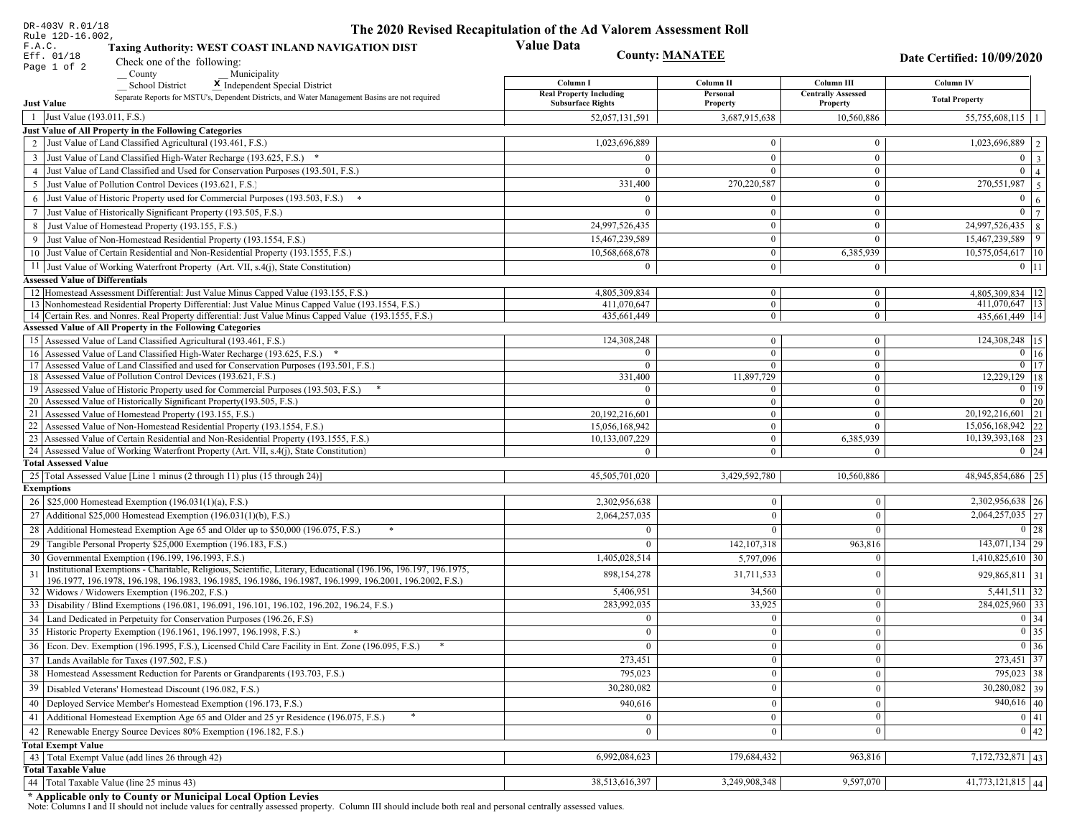| DR-403V R.01/18                                                                                                                                                                                             | The 2020 Revised Recapitulation of the Ad Valorem Assessment Roll |                                  |                                |                                       |
|-------------------------------------------------------------------------------------------------------------------------------------------------------------------------------------------------------------|-------------------------------------------------------------------|----------------------------------|--------------------------------|---------------------------------------|
| Rule 12D-16.002,<br>F.A.C.<br>Taxing Authority: WEST COAST INLAND NAVIGATION DIST                                                                                                                           | <b>Value Data</b>                                                 |                                  |                                |                                       |
| Eff. 01/18<br>Check one of the following:<br>Page 1 of 2                                                                                                                                                    |                                                                   | <b>County: MANATEE</b>           |                                | Date Certified: 10/09/2020            |
| County<br>Municipality                                                                                                                                                                                      | Column I                                                          | Column II                        | Column III                     | Column IV                             |
| <b>School District</b><br>X Independent Special District<br>Separate Reports for MSTU's, Dependent Districts, and Water Management Basins are not required                                                  | <b>Real Property Including</b>                                    | Personal                         | <b>Centrally Assessed</b>      |                                       |
| <b>Just Value</b>                                                                                                                                                                                           | <b>Subsurface Rights</b>                                          | Property                         | Property                       | <b>Total Property</b>                 |
| 1 Just Value (193.011, F.S.)                                                                                                                                                                                | 52,057,131,591                                                    | 3,687,915,638                    | 10,560,886                     | $55,755,608,115$   1                  |
| Just Value of All Property in the Following Categories                                                                                                                                                      |                                                                   |                                  |                                |                                       |
| 2 Just Value of Land Classified Agricultural (193.461, F.S.)                                                                                                                                                | 1,023,696,889                                                     | $\overline{0}$                   | $\bf{0}$                       | $\overline{1,023,696,889}$   2        |
| 3 Just Value of Land Classified High-Water Recharge (193.625, F.S.) *                                                                                                                                       |                                                                   | $\mathbf{0}$                     | $\bf{0}$                       | $0 \mid 3 \mid$                       |
| 4 Just Value of Land Classified and Used for Conservation Purposes (193.501, F.S.)                                                                                                                          | $\Omega$                                                          | $\theta$                         | $\mathbf{0}$                   | $\overline{0}$   4                    |
| 5 Just Value of Pollution Control Devices (193.621, F.S.)                                                                                                                                                   | 331,400                                                           | 270,220,587                      | $\bf{0}$                       | 270,551,987 5                         |
| 6 Just Value of Historic Property used for Commercial Purposes (193.503, F.S.) *                                                                                                                            | $\Omega$                                                          | $\Omega$                         | $\bf{0}$                       | $\mathbf{0}$<br>6 <sup>1</sup>        |
| 7 Just Value of Historically Significant Property (193.505, F.S.)                                                                                                                                           | $\Omega$                                                          | $\overline{0}$                   | $\mathbf{0}$                   | $0 \mid 7 \mid$                       |
| 8 Just Value of Homestead Property (193.155, F.S.)                                                                                                                                                          | 24,997,526,435                                                    | $\bf{0}$                         | $\overline{0}$                 | 24,997,526,435<br>$\overline{8}$      |
| 9 Just Value of Non-Homestead Residential Property (193.1554, F.S.)                                                                                                                                         | 15,467,239,589                                                    | $\overline{0}$                   | $\overline{0}$                 | 15,467,239,589<br>9                   |
| 10 Just Value of Certain Residential and Non-Residential Property (193.1555, F.S.)                                                                                                                          | 10,568,668,678                                                    | $\mathbf{0}$                     | 6,385,939                      | $10,575,054,617$  10                  |
| 11 Just Value of Working Waterfront Property (Art. VII, s.4(j), State Constitution)                                                                                                                         | $\Omega$                                                          | $\mathbf{0}$                     | $\bf{0}$                       | $0$   11                              |
| <b>Assessed Value of Differentials</b>                                                                                                                                                                      |                                                                   |                                  |                                |                                       |
| 12 Homestead Assessment Differential: Just Value Minus Capped Value (193.155, F.S.)                                                                                                                         | 4.805.309.834                                                     | $\bf{0}$                         | $\bf{0}$                       | 4,805,309,834   12                    |
| 13 Nonhomestead Residential Property Differential: Just Value Minus Capped Value (193.1554, F.S.)<br>14 Certain Res. and Nonres. Real Property differential: Just Value Minus Capped Value (193.1555, F.S.) | 411,070,647<br>435,661,449                                        | $\mathbf{0}$<br>$\overline{0}$   | $\overline{0}$<br>$\mathbf{0}$ | 411,070,647 13<br>435.661.449 14      |
| Assessed Value of All Property in the Following Categories                                                                                                                                                  |                                                                   |                                  |                                |                                       |
| 15 Assessed Value of Land Classified Agricultural (193.461, F.S.)                                                                                                                                           | 124,308,248                                                       | $\mathbf{0}$                     | $\bf{0}$                       | 124,308,248 15                        |
| 16 Assessed Value of Land Classified High-Water Recharge (193.625, F.S.) *                                                                                                                                  |                                                                   | $\mathbf{0}$                     | $\bf{0}$                       | $0 \mid 16$                           |
| Assessed Value of Land Classified and used for Conservation Purposes (193.501, F.S.)<br>17                                                                                                                  | $\Omega$                                                          | $\mathbf{0}$                     | $\mathbf{0}$                   | $0$   17                              |
| Assessed Value of Pollution Control Devices (193.621, F.S.)<br>18                                                                                                                                           | 331,400                                                           | 11,897,729                       | $\mathbf{0}$                   | 12,229,129 18                         |
| 19 Assessed Value of Historic Property used for Commercial Purposes (193.503, F.S.)                                                                                                                         | $\Omega$                                                          | $\bf{0}$                         | $\mathbf{0}$                   | $0$   19                              |
| 20 Assessed Value of Historically Significant Property (193.505, F.S.)                                                                                                                                      | $\Omega$                                                          | $\overline{0}$                   | $\overline{0}$                 | $0 \mid 20$                           |
| 21 Assessed Value of Homestead Property (193.155, F.S.)                                                                                                                                                     | 20,192,216,601                                                    | $\overline{0}$                   | $\mathbf{0}$                   | 20, 192, 216, 601   21                |
| 22 Assessed Value of Non-Homestead Residential Property (193.1554, F.S.)                                                                                                                                    | 15,056,168,942                                                    | $\overline{0}$                   | $\mathbf{0}$                   | 15,056,168,942 22                     |
| 23 Assessed Value of Certain Residential and Non-Residential Property (193.1555, F.S.)<br>24 Assessed Value of Working Waterfront Property (Art. VII, s.4(j), State Constitution)                           | 10,133,007,229                                                    | $\overline{0}$<br>$\overline{0}$ | 6,385,939<br>$\Omega$          | 10,139,393,168 23<br>$0 \mid 24$      |
| <b>Total Assessed Value</b>                                                                                                                                                                                 |                                                                   |                                  |                                |                                       |
| 25 Total Assessed Value [Line 1 minus (2 through 11) plus (15 through 24)]                                                                                                                                  | 45,505,701,020                                                    | 3,429,592,780                    | 10,560,886                     | 48,945,854,686 25                     |
| <b>Exemptions</b>                                                                                                                                                                                           |                                                                   |                                  |                                |                                       |
| 26   \$25,000 Homestead Exemption (196.031(1)(a), F.S.)                                                                                                                                                     | 2,302,956,638                                                     | $\theta$                         | $\mathbf{0}$                   | 2,302,956,638 26                      |
| 27   Additional \$25,000 Homestead Exemption (196.031(1)(b), F.S.)                                                                                                                                          | 2,064,257,035                                                     | $\Omega$                         | $\Omega$                       | $\overline{2,064,257,035}$ 27         |
| 28 Additional Homestead Exemption Age 65 and Older up to \$50,000 (196.075, F.S.)                                                                                                                           | $\Omega$                                                          | $\Omega$                         | $\Omega$                       | $0 \mid 28$                           |
| 29 Tangible Personal Property \$25,000 Exemption (196.183, F.S.)                                                                                                                                            |                                                                   | 142, 107, 318                    | 963,816                        | $143,071,134$ 29                      |
| 30 Governmental Exemption (196.199, 196.1993, F.S.)                                                                                                                                                         | 1,405,028,514                                                     | 5,797,096                        | $\Omega$                       | $1,410,825,610$ 30                    |
| Institutional Exemptions - Charitable, Religious, Scientific, Literary, Educational (196.196, 196.197, 196.1975,                                                                                            |                                                                   |                                  | $\mathbf{0}$                   |                                       |
| 196.1977, 196.1978, 196.198, 196.1983, 196.1985, 196.1986, 196.1987, 196.1999, 196.2001, 196.2002, F.S.)                                                                                                    | 898, 154, 278                                                     | 31,711,533                       |                                | 929,865,811 31                        |
| 32 Widows / Widowers Exemption (196.202, F.S.)                                                                                                                                                              | 5,406,951                                                         | 34,560                           | $\mathbf{0}$                   | $5,441,511$ 32                        |
| 33 Disability / Blind Exemptions (196.081, 196.091, 196.101, 196.102, 196.202, 196.24, F.S.)                                                                                                                | 283,992,035                                                       | 33,925                           | $\mathbf{0}$                   | 284,025,960 33                        |
| 34 Land Dedicated in Perpetuity for Conservation Purposes (196.26, F.S)                                                                                                                                     |                                                                   | $\theta$                         | $\theta$                       | $0 \mid 34$                           |
| 35 Historic Property Exemption (196.1961, 196.1997, 196.1998, F.S.)                                                                                                                                         | 0                                                                 | $\mathbf{U}$                     | $\mathbf{0}$                   | $\boxed{0}$ 35                        |
| 36 Econ. Dev. Exemption (196.1995, F.S.), Licensed Child Care Facility in Ent. Zone (196.095, F.S.)                                                                                                         |                                                                   | $\Omega$                         | $\Omega$                       | $\boxed{0}$ 36                        |
| 37 Lands Available for Taxes (197.502, F.S.)                                                                                                                                                                | 273,451                                                           | $\Omega$                         | $\mathbf{0}$                   | 273,451 37                            |
| 38   Homestead Assessment Reduction for Parents or Grandparents (193.703, F.S.)                                                                                                                             | 795,023                                                           | $\bf{0}$                         | $\boldsymbol{0}$               | 795,023 38                            |
| 39 Disabled Veterans' Homestead Discount (196.082, F.S.)                                                                                                                                                    | 30,280,082                                                        |                                  | $\mathbf{0}$                   | $30,280,082$ 39                       |
| 40   Deployed Service Member's Homestead Exemption (196.173, F.S.)                                                                                                                                          | 940,616                                                           | $\theta$                         | $\mathbf{0}$                   | $940,616$ 40                          |
| 41 Additional Homestead Exemption Age 65 and Older and 25 yr Residence (196.075, F.S.)                                                                                                                      | $\mathbf{0}$                                                      | $\mathbf{0}$                     | $\mathbf{0}$                   | $\boxed{0}$ 41                        |
| 42   Renewable Energy Source Devices 80% Exemption (196.182, F.S.)                                                                                                                                          | $\bf{0}$                                                          | $\theta$                         | $\mathbf{0}$                   | 0 42                                  |
| <b>Total Exempt Value</b>                                                                                                                                                                                   |                                                                   |                                  |                                |                                       |
| 43 Total Exempt Value (add lines 26 through 42)                                                                                                                                                             | 6,992,084,623                                                     | 179,684,432                      | 963,816                        | 7,172,732,871 43                      |
| <b>Total Taxable Value</b>                                                                                                                                                                                  |                                                                   |                                  |                                |                                       |
| 44   Total Taxable Value (line 25 minus 43)                                                                                                                                                                 | 38,513,616,397                                                    | 3,249,908,348                    | 9,597,070                      | $\boxed{41,773,121,815}$ $\boxed{44}$ |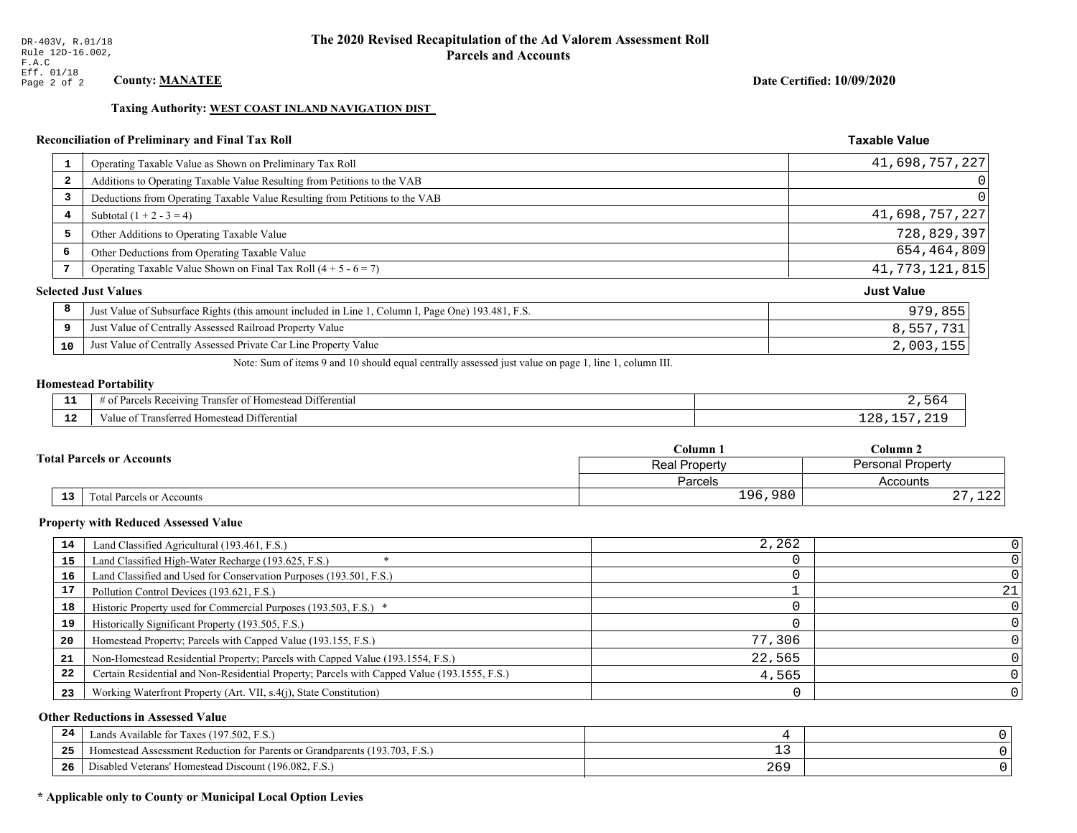### Date Certified: 10/09/2020

Taxable Value

### Taxing Authority: WEST COAST INLAND NAVIGATION DIST

# Reconciliation of Preliminary and Final Tax Roll

|                         | Operating Taxable Value as Shown on Preliminary Tax Roll                                           | 41,698,757,227    |
|-------------------------|----------------------------------------------------------------------------------------------------|-------------------|
| $\overline{\mathbf{2}}$ | Additions to Operating Taxable Value Resulting from Petitions to the VAB                           | $\overline{0}$    |
| 3                       | Deductions from Operating Taxable Value Resulting from Petitions to the VAB                        | $\Omega$          |
| 4                       | Subtotal $(1 + 2 - 3 = 4)$                                                                         | 41,698,757,227    |
| 5                       | Other Additions to Operating Taxable Value                                                         | 728,829,397       |
| 6                       | Other Deductions from Operating Taxable Value                                                      | 654,464,809       |
| 7                       | Operating Taxable Value Shown on Final Tax Roll $(4 + 5 - 6 = 7)$                                  | 41, 773, 121, 815 |
|                         | <b>Selected Just Values</b>                                                                        | <b>Just Value</b> |
| 8                       | Just Value of Subsurface Rights (this amount included in Line 1, Column I, Page One) 193.481, F.S. | 979,855           |
| 9                       | Just Value of Centrally Assessed Railroad Property Value                                           | 8,557,731         |
| 10                      | Just Value of Centrally Assessed Private Car Line Property Value                                   | 2,003,155         |
|                         |                                                                                                    |                   |

Note: Sum of items 9 and 10 should equal centrally assessed just value on page 1, line 1, column III.

#### Homestead Portability

| . . | ittei<br>ential<br>ranster<br>$201171n \sigma$<br>വ<br>тo.<br>яπ<br>. |  |
|-----|-----------------------------------------------------------------------|--|
| .   | Differentia<br>$\alpha$ mac<br>alu<br>лнемеа                          |  |

| <b>Total Parcels or Accounts</b> |    |                                  | Column 1             | $C$ olumn 2              |  |
|----------------------------------|----|----------------------------------|----------------------|--------------------------|--|
|                                  |    |                                  | <b>Real Property</b> | <b>Personal Property</b> |  |
|                                  |    |                                  | Parcels              | Accounts                 |  |
|                                  | 13 | <b>Total Parcels or Accounts</b> | 196,980              | 100<br>ᆂᅎᅎ<br>، ،        |  |

### Property with Reduced Assessed Value

| 14 | Land Classified Agricultural (193.461, F.S.)                                                 | 2,262  |     |
|----|----------------------------------------------------------------------------------------------|--------|-----|
| 15 | Land Classified High-Water Recharge (193.625, F.S.)                                          |        |     |
| 16 | Land Classified and Used for Conservation Purposes (193.501, F.S.)                           |        |     |
| 17 | Pollution Control Devices (193.621, F.S.)                                                    |        | 211 |
| 18 | Historic Property used for Commercial Purposes (193.503, F.S.) *                             |        |     |
| 19 | Historically Significant Property (193.505, F.S.)                                            |        |     |
| 20 | Homestead Property; Parcels with Capped Value (193.155, F.S.)                                | 77,306 |     |
| 21 | Non-Homestead Residential Property; Parcels with Capped Value (193.1554, F.S.)               | 22.565 |     |
| 22 | Certain Residential and Non-Residential Property; Parcels with Capped Value (193.1555, F.S.) | 4,565  |     |
| 23 | Working Waterfront Property (Art. VII, s.4(j), State Constitution)                           |        |     |

### Other Reductions in Assessed Value

| 24  | Lands Available for Taxes (197.502, F.S.)                                                     |     |  |
|-----|-----------------------------------------------------------------------------------------------|-----|--|
| -25 | 7103<br>93.703<br>Assessment Reduction for Parents or Grandparents ()<br>F.S.<br>-Homestead A | - - |  |
| -26 | d Veterans' Homestead Discount (196.082, F.S.)<br>Jisabled                                    | 269 |  |

# \* Applicable only to County or Municipal Local Option Levies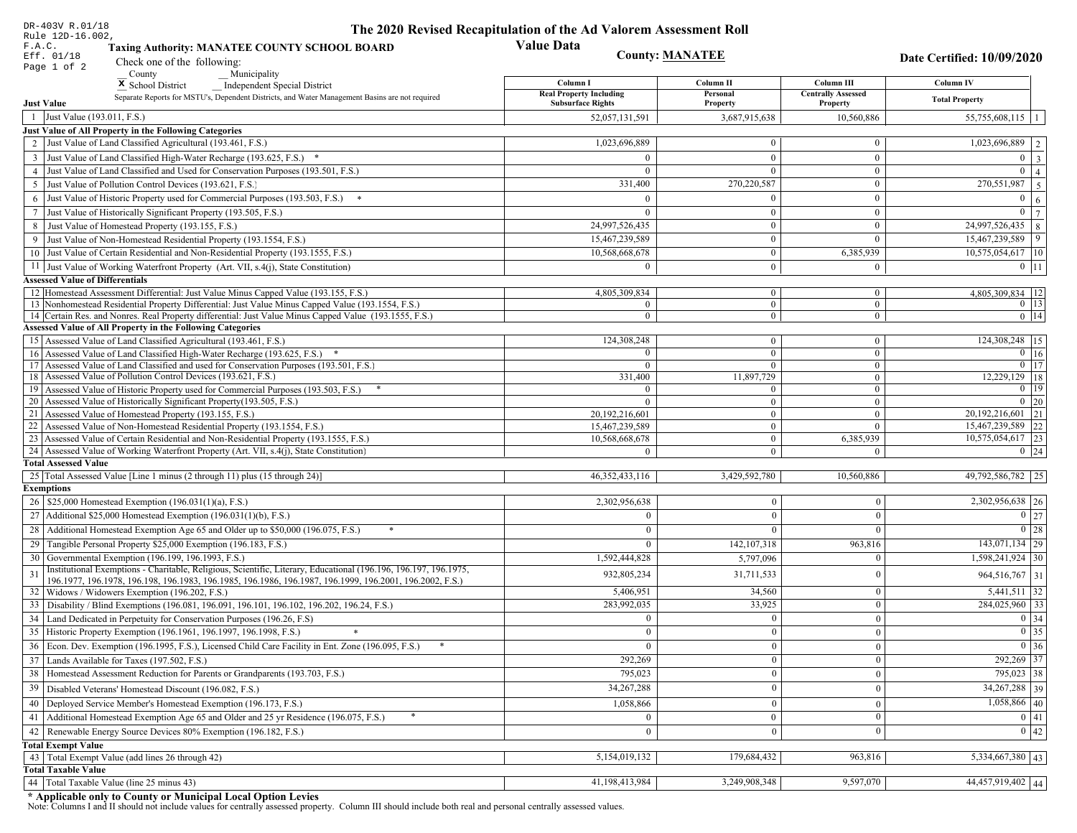| DR-403V R.01/18                                                                                                                                                                                             | The 2020 Revised Recapitulation of the Ad Valorem Assessment Roll |                                  |                                       |                                               |
|-------------------------------------------------------------------------------------------------------------------------------------------------------------------------------------------------------------|-------------------------------------------------------------------|----------------------------------|---------------------------------------|-----------------------------------------------|
| Rule 12D-16.002,<br>F.A.C.<br><b>Taxing Authority: MANATEE COUNTY SCHOOL BOARD</b>                                                                                                                          | <b>Value Data</b>                                                 |                                  |                                       |                                               |
| Eff. 01/18<br>Check one of the following:                                                                                                                                                                   |                                                                   | <b>County: MANATEE</b>           |                                       | Date Certified: 10/09/2020                    |
| Page 1 of 2<br>County<br>Municipality                                                                                                                                                                       |                                                                   |                                  |                                       |                                               |
| <sup>x</sup> School District<br><b>Independent Special District</b>                                                                                                                                         | Column I                                                          | Column II                        | Column III                            | <b>Column IV</b>                              |
| Separate Reports for MSTU's, Dependent Districts, and Water Management Basins are not required<br><b>Just Value</b>                                                                                         | <b>Real Property Including</b><br><b>Subsurface Rights</b>        | Personal<br>Property             | <b>Centrally Assessed</b><br>Property | <b>Total Property</b>                         |
| 1 Just Value (193.011, F.S.)                                                                                                                                                                                | 52,057,131,591                                                    | 3,687,915,638                    | 10,560,886                            | 55,755,608,115   1                            |
| Just Value of All Property in the Following Categories                                                                                                                                                      |                                                                   |                                  |                                       |                                               |
| 2 Just Value of Land Classified Agricultural (193.461, F.S.)                                                                                                                                                | 1,023,696,889                                                     | $\bf{0}$                         | $\bf{0}$                              | 1,023,696,889   2                             |
| 3 Just Value of Land Classified High-Water Recharge (193.625, F.S.) *                                                                                                                                       | $\Omega$                                                          | $\Omega$                         | $\mathbf{0}$                          | $0 \mid 3$                                    |
| 4 Just Value of Land Classified and Used for Conservation Purposes (193.501, F.S.)                                                                                                                          | $\Omega$                                                          | $\Omega$                         | $\boldsymbol{0}$                      | $\mathbf{0}$<br>$\vert$ 4                     |
| 5 Just Value of Pollution Control Devices (193.621, F.S.)                                                                                                                                                   | 331,400                                                           | 270,220,587                      | $\bf{0}$                              | $\boxed{270,551,987}$   5                     |
| 6 Just Value of Historic Property used for Commercial Purposes (193.503, F.S.) *                                                                                                                            | $\Omega$                                                          |                                  | $\boldsymbol{0}$                      | $\mathbf{0}$<br>6                             |
| 7 Just Value of Historically Significant Property (193.505, F.S.)                                                                                                                                           | $\Omega$                                                          | $\bf{0}$                         | $\bf{0}$                              | $0 \overline{7}$                              |
| 8 Just Value of Homestead Property (193.155, F.S.)                                                                                                                                                          | 24,997,526,435                                                    | $\bf{0}$                         | $\boldsymbol{0}$                      | 24,997,526,435   8                            |
| 9 Just Value of Non-Homestead Residential Property (193.1554, F.S.)                                                                                                                                         | 15,467,239,589                                                    | $\bf{0}$                         | $\theta$                              | 15,467,239,589<br>$\vert$ 9                   |
| 10 Just Value of Certain Residential and Non-Residential Property (193.1555, F.S.)                                                                                                                          | 10,568,668,678                                                    | $\mathbf{0}$                     | 6,385,939                             | 10,575,054,617 10                             |
| 11 Just Value of Working Waterfront Property (Art. VII, s.4(j), State Constitution)                                                                                                                         | $\Omega$                                                          | $\bf{0}$                         | $\bf{0}$                              | $0$   11                                      |
| <b>Assessed Value of Differentials</b>                                                                                                                                                                      |                                                                   |                                  |                                       |                                               |
| 12   Homestead Assessment Differential: Just Value Minus Capped Value (193.155, F.S.)                                                                                                                       | 4,805,309,834                                                     | $\bf{0}$                         | $\bf{0}$                              | 4,805,309,834   12                            |
| 13 Nonhomestead Residential Property Differential: Just Value Minus Capped Value (193.1554, F.S.)<br>14 Certain Res. and Nonres. Real Property differential: Just Value Minus Capped Value (193.1555, F.S.) | $\overline{0}$<br>$\overline{0}$                                  | $\overline{0}$<br>$\overline{0}$ | $\mathbf{0}$<br>$\overline{0}$        | $0$   13 <br>$0$   14                         |
| <b>Assessed Value of All Property in the Following Categories</b>                                                                                                                                           |                                                                   |                                  |                                       |                                               |
| 15 Assessed Value of Land Classified Agricultural (193.461, F.S.)                                                                                                                                           | 124,308,248                                                       | $\mathbf{0}$                     | $\bf{0}$                              | 124,308,248 15                                |
| Assessed Value of Land Classified High-Water Recharge (193.625, F.S.) *                                                                                                                                     | $\Omega$                                                          | $\overline{0}$                   | $\mathbf{0}$                          | $\overline{0}$ 16                             |
| Assessed Value of Land Classified and used for Conservation Purposes (193.501, F.S.)<br>17                                                                                                                  | $\overline{0}$                                                    | $\overline{0}$                   | $\boldsymbol{0}$                      | $0$   17                                      |
| 18 Assessed Value of Pollution Control Devices (193.621, F.S.)                                                                                                                                              | 331,400                                                           | 11,897,729                       | $\mathbf{0}$                          | 12,229,129 18                                 |
| 19 Assessed Value of Historic Property used for Commercial Purposes (193.503, F.S.)                                                                                                                         | $\overline{0}$                                                    | $\overline{0}$                   | $\overline{0}$                        | $0 \mid 19$                                   |
| 20 Assessed Value of Historically Significant Property (193.505, F.S.)<br>21 Assessed Value of Homestead Property (193.155, F.S.)                                                                           | $\Omega$                                                          | $\overline{0}$                   | $\overline{0}$                        | $0 \mid 20$<br>$\overline{20,192,216,601}$ 21 |
| 22 Assessed Value of Non-Homestead Residential Property (193.1554, F.S.)                                                                                                                                    | 20,192,216,601<br>15,467,239,589                                  | $\overline{0}$<br>$\overline{0}$ | $\boldsymbol{0}$<br>$\mathbf{0}$      | 15,467,239,589 22                             |
| 23 Assessed Value of Certain Residential and Non-Residential Property (193.1555, F.S.)                                                                                                                      | 10,568,668,678                                                    | $\overline{0}$                   | 6,385,939                             | $10,575,054,617$ 23                           |
| 24 Assessed Value of Working Waterfront Property (Art. VII, s.4(j), State Constitution)                                                                                                                     | $\Omega$                                                          | $\overline{0}$                   | $\theta$                              | $0 \mid 24$                                   |
| <b>Total Assessed Value</b>                                                                                                                                                                                 |                                                                   |                                  |                                       |                                               |
| 25 Total Assessed Value [Line 1 minus (2 through 11) plus (15 through 24)]                                                                                                                                  | 46, 352, 433, 116                                                 | 3,429,592,780                    | 10,560,886                            | 49,792,586,782 25                             |
| <b>Exemptions</b>                                                                                                                                                                                           |                                                                   |                                  |                                       |                                               |
| 26   \$25,000 Homestead Exemption (196.031(1)(a), F.S.)                                                                                                                                                     | 2,302,956,638                                                     | $\mathbf{0}$                     | $\mathbf{0}$                          | 2,302,956,638 26                              |
| 27   Additional \$25,000 Homestead Exemption $(196.031(1)(b), F.S.)$                                                                                                                                        |                                                                   | $\Omega$                         | $\Omega$                              | $\boxed{0}$ 27                                |
| 28 Additional Homestead Exemption Age 65 and Older up to \$50,000 (196.075, F.S.)                                                                                                                           | $\Omega$                                                          | $\Omega$                         | $\Omega$                              |                                               |
| 29 Tangible Personal Property \$25,000 Exemption (196.183, F.S.)                                                                                                                                            | $\theta$                                                          | 142, 107, 318                    | 963,816                               | $143,071,134$ 29                              |
| 30 Governmental Exemption (196.199, 196.1993, F.S.)                                                                                                                                                         | 1,592,444,828                                                     | 5,797,096                        |                                       | 1,598,241,924 30                              |
| Institutional Exemptions - Charitable, Religious, Scientific, Literary, Educational (196.196, 196.197, 196.1975,                                                                                            | 932,805,234                                                       | 31,711,533                       | $\Omega$                              | 964,516,767 31                                |
| 196.1977, 196.1978, 196.198, 196.1983, 196.1985, 196.1986, 196.1987, 196.1999, 196.2001, 196.2002, F.S.)<br>32 Widows / Widowers Exemption (196.202, F.S.)                                                  | 5,406,951                                                         | 34,560                           | $\mathbf{0}$                          | $5,441,511$ 32                                |
| 33 Disability / Blind Exemptions (196.081, 196.091, 196.101, 196.102, 196.202, 196.24, F.S.)                                                                                                                | 283,992,035                                                       | 33,925                           | $\Omega$                              | 284,025,960 33                                |
| 34 Land Dedicated in Perpetuity for Conservation Purposes (196.26, F.S)                                                                                                                                     | $\Omega$                                                          | $\mathbf{0}$                     | $\Omega$                              | 0 34                                          |
| 35 Historic Property Exemption (196.1961, 196.1997, 196.1998, F.S.)                                                                                                                                         | 0                                                                 | $\mathbf{0}$                     | $\mathbf{0}$                          | $\boxed{0}$ 35                                |
| 36 Econ. Dev. Exemption (196.1995, F.S.), Licensed Child Care Facility in Ent. Zone (196.095, F.S.)                                                                                                         |                                                                   | $\mathbf{0}$                     | $\Omega$                              | $0 \mid 36$                                   |
| 37 Lands Available for Taxes (197.502, F.S.)                                                                                                                                                                | 292,269                                                           | $\mathbf{0}$                     | $\Omega$                              | 292,269 37                                    |
| 38   Homestead Assessment Reduction for Parents or Grandparents (193.703, F.S.)                                                                                                                             | 795,023                                                           | $\mathbf{0}$                     | $\overline{0}$                        | $795,023$ 38                                  |
| 39   Disabled Veterans' Homestead Discount (196.082, F.S.)                                                                                                                                                  | 34,267,288                                                        | $\mathbf{0}$                     | $\overline{0}$                        | 34, 267, 288 39                               |
| 40   Deployed Service Member's Homestead Exemption (196.173, F.S.)                                                                                                                                          | 1,058,866                                                         | $\mathbf{0}$                     | $\Omega$                              | $1,058,866$ 40                                |
| 41 Additional Homestead Exemption Age 65 and Older and 25 yr Residence (196.075, F.S.)                                                                                                                      | $\overline{0}$                                                    | $\mathbf{0}$                     | $\mathbf{0}$                          | 0 41                                          |
| 42 Renewable Energy Source Devices 80% Exemption (196.182, F.S.)                                                                                                                                            | $\mathbf{0}$                                                      | $\mathbf{0}$                     | $\Omega$                              | 0 42                                          |
| <b>Total Exempt Value</b>                                                                                                                                                                                   |                                                                   |                                  |                                       |                                               |
| 43 Total Exempt Value (add lines 26 through 42)                                                                                                                                                             | 5,154,019,132                                                     | 179,684,432                      | 963,816                               | 5,334,667,380   43                            |
| <b>Total Taxable Value</b>                                                                                                                                                                                  |                                                                   |                                  |                                       |                                               |
| 44 Total Taxable Value (line 25 minus 43)                                                                                                                                                                   | 41,198,413,984                                                    | 3,249,908,348                    | 9,597,070                             | 44,457,919,402 44                             |